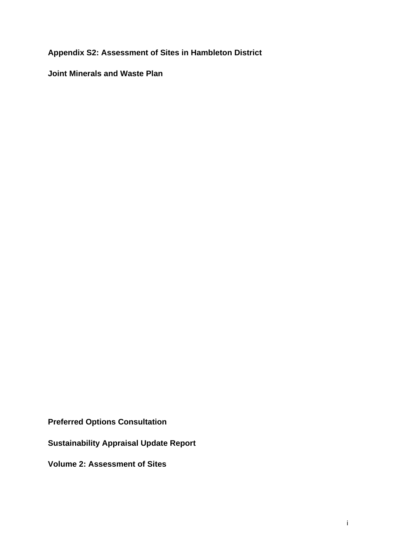**Appendix S2: Assessment of Sites in Hambleton District** 

**Joint Minerals and Waste Plan** 

**Preferred Options Consultation** 

**Sustainability Appraisal Update Report** 

**Volume 2: Assessment of Sites**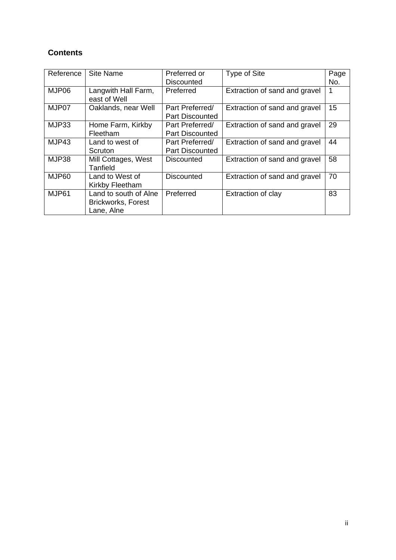# **Contents**

| Reference | Site Name                                                        | Preferred or                              | Type of Site                  | Page |
|-----------|------------------------------------------------------------------|-------------------------------------------|-------------------------------|------|
|           |                                                                  | <b>Discounted</b>                         |                               | No.  |
| MJP06     | Langwith Hall Farm,<br>east of Well                              | Preferred                                 | Extraction of sand and gravel |      |
| MJP07     | Oaklands, near Well                                              | Part Preferred/<br><b>Part Discounted</b> | Extraction of sand and gravel | 15   |
| MJP33     | Home Farm, Kirkby<br>Fleetham                                    | Part Preferred/<br><b>Part Discounted</b> | Extraction of sand and gravel | 29   |
| MJP43     | Land to west of<br>Scruton                                       | Part Preferred/<br><b>Part Discounted</b> | Extraction of sand and gravel | 44   |
| MJP38     | Mill Cottages, West<br>Tanfield                                  | Discounted                                | Extraction of sand and gravel | 58   |
| MJP60     | Land to West of<br>Kirkby Fleetham                               | <b>Discounted</b>                         | Extraction of sand and gravel | 70   |
| MJP61     | Land to south of Alne<br><b>Brickworks, Forest</b><br>Lane, Alne | Preferred                                 | Extraction of clay            | 83   |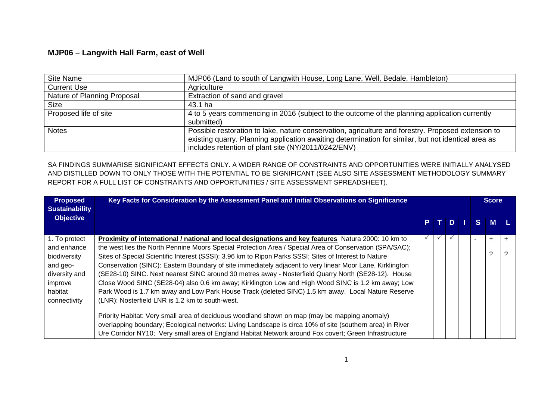## **MJP06 – Langwith Hall Farm, east of Well**

| Site Name                   | MJP06 (Land to south of Langwith House, Long Lane, Well, Bedale, Hambleton)                                                                                                                                                                                      |
|-----------------------------|------------------------------------------------------------------------------------------------------------------------------------------------------------------------------------------------------------------------------------------------------------------|
| <b>Current Use</b>          | Agriculture                                                                                                                                                                                                                                                      |
| Nature of Planning Proposal | Extraction of sand and gravel                                                                                                                                                                                                                                    |
| <b>Size</b>                 | 43.1 ha                                                                                                                                                                                                                                                          |
| Proposed life of site       | 4 to 5 years commencing in 2016 (subject to the outcome of the planning application currently<br>submitted)                                                                                                                                                      |
| <b>Notes</b>                | Possible restoration to lake, nature conservation, agriculture and forestry. Proposed extension to<br>existing quarry. Planning application awaiting determination for similar, but not identical area as<br>includes retention of plant site (NY/2011/0242/ENV) |

SA FINDINGS SUMMARISE SIGNIFICANT EFFECTS ONLY. A WIDER RANGE OF CONSTRAINTS AND OPPORTUNITIES WERE INITIALLY ANALYSED AND DISTILLED DOWN TO ONLY THOSE WITH THE POTENTIAL TO BE SIGNIFICANT (SEE ALSO SITE ASSESSMENT METHODOLOGY SUMMARY REPORT FOR A FULL LIST OF CONSTRAINTS AND OPPORTUNITIES / SITE ASSESSMENT SPREADSHEET).

| <b>Proposed</b><br><b>Sustainability</b> | Key Facts for Consideration by the Assessment Panel and Initial Observations on Significance              |    |  |   | <b>Score</b> |    |           |       |
|------------------------------------------|-----------------------------------------------------------------------------------------------------------|----|--|---|--------------|----|-----------|-------|
| <b>Objective</b>                         |                                                                                                           | P. |  | D |              | S. | <b>M</b>  |       |
| 1. To protect                            | Proximity of international / national and local designations and key features Natura 2000: 10 km to       |    |  |   |              |    | $\ddot{}$ | $\pm$ |
| and enhance                              | the west lies the North Pennine Moors Special Protection Area / Special Area of Conservation (SPA/SAC);   |    |  |   |              |    |           |       |
| biodiversity                             | Sites of Special Scientific Interest (SSSI): 3.96 km to Ripon Parks SSSI; Sites of Interest to Nature     |    |  |   |              |    | ?         |       |
| and geo-                                 | Conservation (SINC): Eastern Boundary of site immediately adjacent to very linear Moor Lane, Kirklington  |    |  |   |              |    |           |       |
| diversity and                            | (SE28-10) SINC. Next nearest SINC around 30 metres away - Nosterfield Quarry North (SE28-12). House       |    |  |   |              |    |           |       |
| improve                                  | Close Wood SINC (SE28-04) also 0.6 km away; Kirklington Low and High Wood SINC is 1.2 km away; Low        |    |  |   |              |    |           |       |
| habitat                                  | Park Wood is 1.7 km away and Low Park House Track (deleted SINC) 1.5 km away. Local Nature Reserve        |    |  |   |              |    |           |       |
| connectivity                             | (LNR): Nosterfield LNR is 1.2 km to south-west.                                                           |    |  |   |              |    |           |       |
|                                          | Priority Habitat: Very small area of deciduous woodland shown on map (may be mapping anomaly)             |    |  |   |              |    |           |       |
|                                          | overlapping boundary; Ecological networks: Living Landscape is circa 10% of site (southern area) in River |    |  |   |              |    |           |       |
|                                          | Ure Corridor NY10; Very small area of England Habitat Network around Fox covert; Green Infrastructure     |    |  |   |              |    |           |       |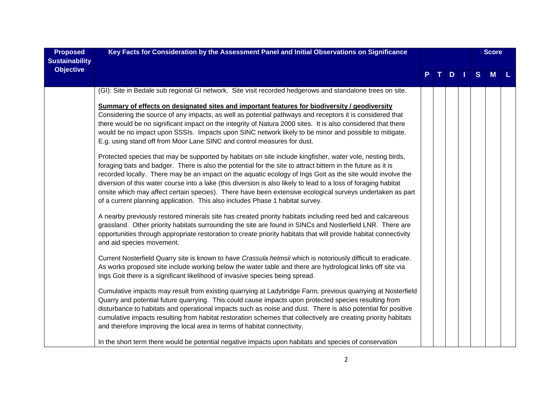| <b>Proposed</b>       | Key Facts for Consideration by the Assessment Panel and Initial Observations on Significance                                                                                                                                                                                                                                                                                                                                                                                                                                                                                                                                                              |  |  |     | <b>Score</b> |   |   |  |
|-----------------------|-----------------------------------------------------------------------------------------------------------------------------------------------------------------------------------------------------------------------------------------------------------------------------------------------------------------------------------------------------------------------------------------------------------------------------------------------------------------------------------------------------------------------------------------------------------------------------------------------------------------------------------------------------------|--|--|-----|--------------|---|---|--|
| <b>Sustainability</b> |                                                                                                                                                                                                                                                                                                                                                                                                                                                                                                                                                                                                                                                           |  |  |     |              |   |   |  |
| <b>Objective</b>      |                                                                                                                                                                                                                                                                                                                                                                                                                                                                                                                                                                                                                                                           |  |  | $D$ |              | S | M |  |
|                       | (GI): Site in Bedale sub regional GI network. Site visit recorded hedgerows and standalone trees on site.                                                                                                                                                                                                                                                                                                                                                                                                                                                                                                                                                 |  |  |     |              |   |   |  |
|                       | Summary of effects on designated sites and important features for biodiversity / geodiversity<br>Considering the source of any impacts, as well as potential pathways and receptors it is considered that<br>there would be no significant impact on the integrity of Natura 2000 sites. It is also considered that there<br>would be no impact upon SSSIs. Impacts upon SINC network likely to be minor and possible to mitigate.<br>E.g. using stand off from Moor Lane SINC and control measures for dust.                                                                                                                                             |  |  |     |              |   |   |  |
|                       | Protected species that may be supported by habitats on site include kingfisher, water vole, nesting birds,<br>foraging bats and badger. There is also the potential for the site to attract bittern in the future as it is<br>recorded locally. There may be an impact on the aquatic ecology of Ings Goit as the site would involve the<br>diversion of this water course into a lake (this diversion is also likely to lead to a loss of foraging habitat<br>onsite which may affect certain species). There have been extensive ecological surveys undertaken as part<br>of a current planning application. This also includes Phase 1 habitat survey. |  |  |     |              |   |   |  |
|                       | A nearby previously restored minerals site has created priority habitats including reed bed and calcareous<br>grassland. Other priority habitats surrounding the site are found in SINCs and Nosterfield LNR. There are<br>opportunities through appropriate restoration to create priority habitats that will provide habitat connectivity<br>and aid species movement.                                                                                                                                                                                                                                                                                  |  |  |     |              |   |   |  |
|                       | Current Nosterfield Quarry site is known to have Crassula helmsii which is notoriously difficult to eradicate.<br>As works proposed site include working below the water table and there are hydrological links off site via<br>Ings Goit there is a significant likelihood of invasive species being spread.                                                                                                                                                                                                                                                                                                                                             |  |  |     |              |   |   |  |
|                       | Cumulative impacts may result from existing quarrying at Ladybridge Farm, previous quarrying at Nosterfield<br>Quarry and potential future quarrying. This could cause impacts upon protected species resulting from<br>disturbance to habitats and operational impacts such as noise and dust. There is also potential for positive<br>cumulative impacts resulting from habitat restoration schemes that collectively are creating priority habitats<br>and therefore improving the local area in terms of habitat connectivity.                                                                                                                        |  |  |     |              |   |   |  |
|                       | In the short term there would be potential negative impacts upon habitats and species of conservation                                                                                                                                                                                                                                                                                                                                                                                                                                                                                                                                                     |  |  |     |              |   |   |  |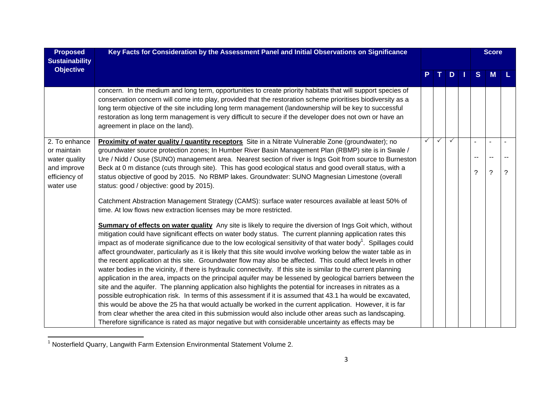| <b>Proposed</b>            | Key Facts for Consideration by the Assessment Panel and Initial Observations on Significance                                                                                                                                                                                                                                            |   |              |              | <b>Score</b> |    |          |   |
|----------------------------|-----------------------------------------------------------------------------------------------------------------------------------------------------------------------------------------------------------------------------------------------------------------------------------------------------------------------------------------|---|--------------|--------------|--------------|----|----------|---|
| <b>Sustainability</b>      |                                                                                                                                                                                                                                                                                                                                         |   |              |              |              |    |          |   |
| <b>Objective</b>           |                                                                                                                                                                                                                                                                                                                                         |   |              | D.           |              | S  | <b>M</b> |   |
|                            |                                                                                                                                                                                                                                                                                                                                         |   |              |              |              |    |          |   |
|                            | concern. In the medium and long term, opportunities to create priority habitats that will support species of<br>conservation concern will come into play, provided that the restoration scheme prioritises biodiversity as a<br>long term objective of the site including long term management (landownership will be key to successful |   |              |              |              |    |          |   |
|                            | restoration as long term management is very difficult to secure if the developer does not own or have an<br>agreement in place on the land).                                                                                                                                                                                            |   |              |              |              |    |          |   |
| 2. To enhance              | Proximity of water quality / quantity receptors Site in a Nitrate Vulnerable Zone (groundwater); no                                                                                                                                                                                                                                     | ✓ | $\checkmark$ | $\checkmark$ |              |    | $\sim$   |   |
| or maintain                | groundwater source protection zones; In Humber River Basin Management Plan (RBMP) site is in Swale /                                                                                                                                                                                                                                    |   |              |              |              |    |          |   |
| water quality              | Ure / Nidd / Ouse (SUNO) management area. Nearest section of river is Ings Goit from source to Burneston                                                                                                                                                                                                                                |   |              |              |              | -- | $\sim$   |   |
| and improve                | Beck at 0 m distance (cuts through site). This has good ecological status and good overall status, with a                                                                                                                                                                                                                               |   |              |              |              | ?  | ?        | ? |
| efficiency of<br>water use | status objective of good by 2015. No RBMP lakes. Groundwater: SUNO Magnesian Limestone (overall<br>status: good / objective: good by 2015).                                                                                                                                                                                             |   |              |              |              |    |          |   |
|                            | Catchment Abstraction Management Strategy (CAMS): surface water resources available at least 50% of                                                                                                                                                                                                                                     |   |              |              |              |    |          |   |
|                            | time. At low flows new extraction licenses may be more restricted.                                                                                                                                                                                                                                                                      |   |              |              |              |    |          |   |
|                            | <b>Summary of effects on water quality</b> Any site is likely to require the diversion of Ings Goit which, without                                                                                                                                                                                                                      |   |              |              |              |    |          |   |
|                            | mitigation could have significant effects on water body status. The current planning application rates this                                                                                                                                                                                                                             |   |              |              |              |    |          |   |
|                            | impact as of moderate significance due to the low ecological sensitivity of that water body <sup>1</sup> . Spillages could                                                                                                                                                                                                              |   |              |              |              |    |          |   |
|                            | affect groundwater, particularly as it is likely that this site would involve working below the water table as in                                                                                                                                                                                                                       |   |              |              |              |    |          |   |
|                            | the recent application at this site. Groundwater flow may also be affected. This could affect levels in other<br>water bodies in the vicinity, if there is hydraulic connectivity. If this site is similar to the current planning                                                                                                      |   |              |              |              |    |          |   |
|                            | application in the area, impacts on the principal aquifer may be lessened by geological barriers between the                                                                                                                                                                                                                            |   |              |              |              |    |          |   |
|                            | site and the aquifer. The planning application also highlights the potential for increases in nitrates as a                                                                                                                                                                                                                             |   |              |              |              |    |          |   |
|                            | possible eutrophication risk. In terms of this assessment if it is assumed that 43.1 ha would be excavated,                                                                                                                                                                                                                             |   |              |              |              |    |          |   |
|                            | this would be above the 25 ha that would actually be worked in the current application. However, it is far                                                                                                                                                                                                                              |   |              |              |              |    |          |   |
|                            | from clear whether the area cited in this submission would also include other areas such as landscaping.                                                                                                                                                                                                                                |   |              |              |              |    |          |   |
|                            | Therefore significance is rated as major negative but with considerable uncertainty as effects may be                                                                                                                                                                                                                                   |   |              |              |              |    |          |   |

<sup>1&</sup>lt;br><sup>1</sup> Nosterfield Quarry, Langwith Farm Extension Environmental Statement Volume 2.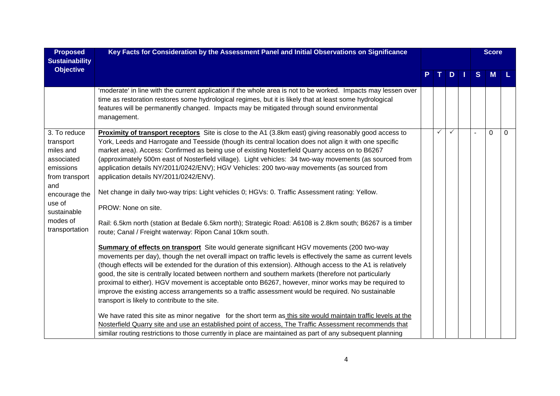| <b>Proposed</b><br><b>Sustainability</b>                                                                                                                           | Key Facts for Consideration by the Assessment Panel and Initial Observations on Significance                                                                                                                                                                                                                                                                                                                                                                                                                                                                                                                                                                                                                                                                                                                                                                                                                                                                                                                                                                                                                                                                                                                                                                                                                                                                                                                                                                                                                                                                                                                                                                                                                         |  |              |               | <b>Score</b> |          |      |
|--------------------------------------------------------------------------------------------------------------------------------------------------------------------|----------------------------------------------------------------------------------------------------------------------------------------------------------------------------------------------------------------------------------------------------------------------------------------------------------------------------------------------------------------------------------------------------------------------------------------------------------------------------------------------------------------------------------------------------------------------------------------------------------------------------------------------------------------------------------------------------------------------------------------------------------------------------------------------------------------------------------------------------------------------------------------------------------------------------------------------------------------------------------------------------------------------------------------------------------------------------------------------------------------------------------------------------------------------------------------------------------------------------------------------------------------------------------------------------------------------------------------------------------------------------------------------------------------------------------------------------------------------------------------------------------------------------------------------------------------------------------------------------------------------------------------------------------------------------------------------------------------------|--|--------------|---------------|--------------|----------|------|
| <b>Objective</b>                                                                                                                                                   |                                                                                                                                                                                                                                                                                                                                                                                                                                                                                                                                                                                                                                                                                                                                                                                                                                                                                                                                                                                                                                                                                                                                                                                                                                                                                                                                                                                                                                                                                                                                                                                                                                                                                                                      |  |              | $D$   $\vert$ | S            | <b>M</b> | - L. |
|                                                                                                                                                                    | 'moderate' in line with the current application if the whole area is not to be worked. Impacts may lessen over<br>time as restoration restores some hydrological regimes, but it is likely that at least some hydrological<br>features will be permanently changed. Impacts may be mitigated through sound environmental<br>management.                                                                                                                                                                                                                                                                                                                                                                                                                                                                                                                                                                                                                                                                                                                                                                                                                                                                                                                                                                                                                                                                                                                                                                                                                                                                                                                                                                              |  |              |               |              |          |      |
| 3. To reduce<br>transport<br>miles and<br>associated<br>emissions<br>from transport<br>and<br>encourage the<br>use of<br>sustainable<br>modes of<br>transportation | <b>Proximity of transport receptors</b> Site is close to the A1 (3.8km east) giving reasonably good access to<br>York, Leeds and Harrogate and Teesside (though its central location does not align it with one specific<br>market area). Access: Confirmed as being use of existing Nosterfield Quarry access on to B6267<br>(approximately 500m east of Nosterfield village). Light vehicles: 34 two-way movements (as sourced from<br>application details NY/2011/0242/ENV); HGV Vehicles: 200 two-way movements (as sourced from<br>application details NY/2011/0242/ENV).<br>Net change in daily two-way trips: Light vehicles 0; HGVs: 0. Traffic Assessment rating: Yellow.<br>PROW: None on site.<br>Rail: 6.5km north (station at Bedale 6.5km north); Strategic Road: A6108 is 2.8km south; B6267 is a timber<br>route; Canal / Freight waterway: Ripon Canal 10km south.<br><b>Summary of effects on transport</b> Site would generate significant HGV movements (200 two-way<br>movements per day), though the net overall impact on traffic levels is effectively the same as current levels<br>(though effects will be extended for the duration of this extension). Although access to the A1 is relatively<br>good, the site is centrally located between northern and southern markets (therefore not particularly<br>proximal to either). HGV movement is acceptable onto B6267, however, minor works may be required to<br>improve the existing access arrangements so a traffic assessment would be required. No sustainable<br>transport is likely to contribute to the site.<br>We have rated this site as minor negative for the short term as this site would maintain traffic levels at the |  | $\checkmark$ | $\checkmark$  |              | $\Omega$ | 0    |
|                                                                                                                                                                    | Nosterfield Quarry site and use an established point of access, The Traffic Assessment recommends that<br>similar routing restrictions to those currently in place are maintained as part of any subsequent planning                                                                                                                                                                                                                                                                                                                                                                                                                                                                                                                                                                                                                                                                                                                                                                                                                                                                                                                                                                                                                                                                                                                                                                                                                                                                                                                                                                                                                                                                                                 |  |              |               |              |          |      |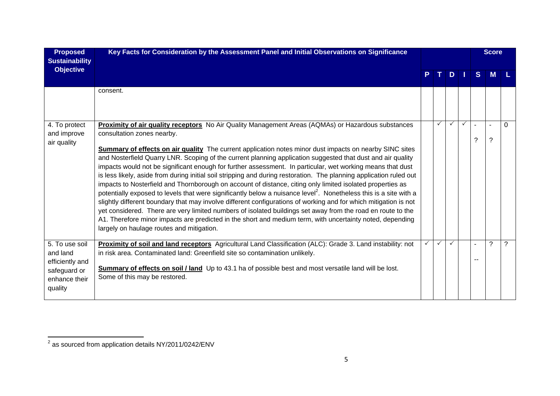| <b>Proposed</b><br><b>Sustainability</b>                                                  | Key Facts for Consideration by the Assessment Panel and Initial Observations on Significance                                                                                                                                                                                                                                                                                                                                                                                                                                                                                                                                                                                                                                                                                                                                                                                                                                                                                                                                                                                                                                                                                                                                                |  |              |              |              |    | <b>Score</b> |   |
|-------------------------------------------------------------------------------------------|---------------------------------------------------------------------------------------------------------------------------------------------------------------------------------------------------------------------------------------------------------------------------------------------------------------------------------------------------------------------------------------------------------------------------------------------------------------------------------------------------------------------------------------------------------------------------------------------------------------------------------------------------------------------------------------------------------------------------------------------------------------------------------------------------------------------------------------------------------------------------------------------------------------------------------------------------------------------------------------------------------------------------------------------------------------------------------------------------------------------------------------------------------------------------------------------------------------------------------------------|--|--------------|--------------|--------------|----|--------------|---|
| <b>Objective</b>                                                                          |                                                                                                                                                                                                                                                                                                                                                                                                                                                                                                                                                                                                                                                                                                                                                                                                                                                                                                                                                                                                                                                                                                                                                                                                                                             |  |              | D            |              | S. | M            |   |
|                                                                                           | consent.                                                                                                                                                                                                                                                                                                                                                                                                                                                                                                                                                                                                                                                                                                                                                                                                                                                                                                                                                                                                                                                                                                                                                                                                                                    |  |              |              |              |    |              |   |
| 4. To protect<br>and improve<br>air quality                                               | Proximity of air quality receptors No Air Quality Management Areas (AQMAs) or Hazardous substances<br>consultation zones nearby.<br>Summary of effects on air quality The current application notes minor dust impacts on nearby SINC sites<br>and Nosterfield Quarry LNR. Scoping of the current planning application suggested that dust and air quality<br>impacts would not be significant enough for further assessment. In particular, wet working means that dust<br>is less likely, aside from during initial soil stripping and during restoration. The planning application ruled out<br>impacts to Nosterfield and Thornborough on account of distance, citing only limited isolated properties as<br>potentially exposed to levels that were significantly below a nuisance level <sup>2</sup> . Nonetheless this is a site with a<br>slightly different boundary that may involve different configurations of working and for which mitigation is not<br>yet considered. There are very limited numbers of isolated buildings set away from the road en route to the<br>A1. Therefore minor impacts are predicted in the short and medium term, with uncertainty noted, depending<br>largely on haulage routes and mitigation. |  | $\checkmark$ | $\checkmark$ | $\checkmark$ | ?  | $\sim$<br>?  | 0 |
| 5. To use soil<br>and land<br>efficiently and<br>safeguard or<br>enhance their<br>quality | Proximity of soil and land receptors Agricultural Land Classification (ALC): Grade 3. Land instability: not<br>in risk area. Contaminated land: Greenfield site so contamination unlikely.<br>Summary of effects on soil / land Up to 43.1 ha of possible best and most versatile land will be lost.<br>Some of this may be restored.                                                                                                                                                                                                                                                                                                                                                                                                                                                                                                                                                                                                                                                                                                                                                                                                                                                                                                       |  | $\checkmark$ | $\checkmark$ |              |    | ?            | ? |

 $\overline{a}$  as sourced from application details NY/2011/0242/ENV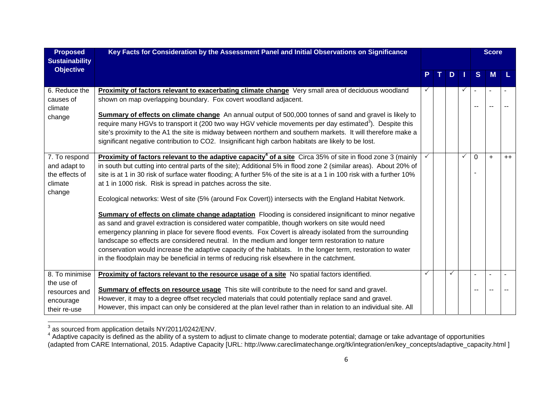| <b>Proposed</b><br><b>Sustainability</b>                                   | Key Facts for Consideration by the Assessment Panel and Initial Observations on Significance                                                                                                                                                                                                                                                                                                                                                                                                                                                                                                                                                                                                                                                                                                                                                                                                                                                                                                                                                                                                                                                                                              |  |   |   | <b>Score</b> |     |      |
|----------------------------------------------------------------------------|-------------------------------------------------------------------------------------------------------------------------------------------------------------------------------------------------------------------------------------------------------------------------------------------------------------------------------------------------------------------------------------------------------------------------------------------------------------------------------------------------------------------------------------------------------------------------------------------------------------------------------------------------------------------------------------------------------------------------------------------------------------------------------------------------------------------------------------------------------------------------------------------------------------------------------------------------------------------------------------------------------------------------------------------------------------------------------------------------------------------------------------------------------------------------------------------|--|---|---|--------------|-----|------|
| <b>Objective</b>                                                           |                                                                                                                                                                                                                                                                                                                                                                                                                                                                                                                                                                                                                                                                                                                                                                                                                                                                                                                                                                                                                                                                                                                                                                                           |  | D |   | S            | M   |      |
| 6. Reduce the<br>causes of<br>climate<br>change                            | Proximity of factors relevant to exacerbating climate change Very small area of deciduous woodland<br>shown on map overlapping boundary. Fox covert woodland adjacent.<br>Summary of effects on climate change An annual output of 500,000 tonnes of sand and gravel is likely to<br>require many HGVs to transport it (200 two way HGV vehicle movements per day estimated <sup>3</sup> ). Despite this<br>site's proximity to the A1 the site is midway between northern and southern markets. It will therefore make a<br>significant negative contribution to CO2. Insignificant high carbon habitats are likely to be lost.                                                                                                                                                                                                                                                                                                                                                                                                                                                                                                                                                          |  |   |   |              |     |      |
| 7. To respond<br>and adapt to<br>the effects of<br>climate<br>change       | Proximity of factors relevant to the adaptive capacity <sup>4</sup> of a site Circa 35% of site in flood zone 3 (mainly<br>in south but cutting into central parts of the site); Additional 5% in flood zone 2 (similar areas). About 20% of<br>site is at 1 in 30 risk of surface water flooding; A further 5% of the site is at a 1 in 100 risk with a further 10%<br>at 1 in 1000 risk. Risk is spread in patches across the site.<br>Ecological networks: West of site (5% (around Fox Covert)) intersects with the England Habitat Network.<br>Summary of effects on climate change adaptation Flooding is considered insignificant to minor negative<br>as sand and gravel extraction is considered water compatible, though workers on site would need<br>emergency planning in place for severe flood events. Fox Covert is already isolated from the surrounding<br>landscape so effects are considered neutral. In the medium and longer term restoration to nature<br>conservation would increase the adaptive capacity of the habitats. In the longer term, restoration to water<br>in the floodplain may be beneficial in terms of reducing risk elsewhere in the catchment. |  |   | ✓ | $\Omega$     | $+$ | $++$ |
| 8. To minimise<br>the use of<br>resources and<br>encourage<br>their re-use | Proximity of factors relevant to the resource usage of a site No spatial factors identified.<br>Summary of effects on resource usage This site will contribute to the need for sand and gravel.<br>However, it may to a degree offset recycled materials that could potentially replace sand and gravel.<br>However, this impact can only be considered at the plan level rather than in relation to an individual site. All                                                                                                                                                                                                                                                                                                                                                                                                                                                                                                                                                                                                                                                                                                                                                              |  |   |   |              |     |      |

 $^{\rm 3}$  as sourced from application details NY/2011/0242/ENV.<br><sup>4</sup> Adaptive capacity is defined as the ability of a system to adjust to climate change to moderate potential; damage or take advantage of opportunities (adapted from CARE International, 2015. Adaptive Capacity [URL: http://www.careclimatechange.org/tk/integration/en/key\_concepts/adaptive\_capacity.html ]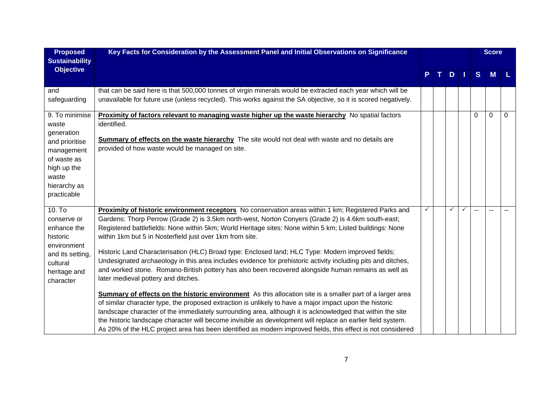| <b>Proposed</b><br><b>Sustainability</b>                                                                                                    | Key Facts for Consideration by the Assessment Panel and Initial Observations on Significance                                                                                                                                                                                                                                                                                                                                                                                                                                                                                                                                                                                                                                                                                                                                                                                                                                                                                                                                                                                                                                                                                                                                                                                                                                   |   |   |   | <b>Score</b> |   |
|---------------------------------------------------------------------------------------------------------------------------------------------|--------------------------------------------------------------------------------------------------------------------------------------------------------------------------------------------------------------------------------------------------------------------------------------------------------------------------------------------------------------------------------------------------------------------------------------------------------------------------------------------------------------------------------------------------------------------------------------------------------------------------------------------------------------------------------------------------------------------------------------------------------------------------------------------------------------------------------------------------------------------------------------------------------------------------------------------------------------------------------------------------------------------------------------------------------------------------------------------------------------------------------------------------------------------------------------------------------------------------------------------------------------------------------------------------------------------------------|---|---|---|--------------|---|
| <b>Objective</b>                                                                                                                            |                                                                                                                                                                                                                                                                                                                                                                                                                                                                                                                                                                                                                                                                                                                                                                                                                                                                                                                                                                                                                                                                                                                                                                                                                                                                                                                                |   | D | S | M            |   |
| and<br>safeguarding                                                                                                                         | that can be said here is that 500,000 tonnes of virgin minerals would be extracted each year which will be<br>unavailable for future use (unless recycled). This works against the SA objective, so it is scored negatively.                                                                                                                                                                                                                                                                                                                                                                                                                                                                                                                                                                                                                                                                                                                                                                                                                                                                                                                                                                                                                                                                                                   |   |   |   |              |   |
| 9. To minimise<br>waste<br>generation<br>and prioritise<br>management<br>of waste as<br>high up the<br>waste<br>hierarchy as<br>practicable | <b>Proximity of factors relevant to managing waste higher up the waste hierarchy</b> No spatial factors<br>identified.<br>Summary of effects on the waste hierarchy The site would not deal with waste and no details are<br>provided of how waste would be managed on site.                                                                                                                                                                                                                                                                                                                                                                                                                                                                                                                                                                                                                                                                                                                                                                                                                                                                                                                                                                                                                                                   |   |   | 0 | 0            | 0 |
| $10.$ To<br>conserve or<br>enhance the<br>historic<br>environment<br>and its setting,<br>cultural<br>heritage and<br>character              | Proximity of historic environment receptors No conservation areas within 1 km; Registered Parks and<br>Gardens: Thorp Perrow (Grade 2) is 3.5km north-west, Norton Conyers (Grade 2) is 4.6km south-east;<br>Registered battlefields: None within 5km; World Heritage sites: None within 5 km; Listed buildings: None<br>within 1km but 5 in Nosterfield just over 1km from site.<br>Historic Land Characterisation (HLC) Broad type: Enclosed land; HLC Type: Modern improved fields;<br>Undesignated archaeology in this area includes evidence for prehistoric activity including pits and ditches,<br>and worked stone. Romano-British pottery has also been recovered alongside human remains as well as<br>later medieval pottery and ditches.<br><b>Summary of effects on the historic environment</b> As this allocation site is a smaller part of a larger area<br>of similar character type, the proposed extraction is unlikely to have a major impact upon the historic<br>landscape character of the immediately surrounding area, although it is acknowledged that within the site<br>the historic landscape character will become invisible as development will replace an earlier field system.<br>As 20% of the HLC project area has been identified as modern improved fields, this effect is not considered | ✓ |   |   |              |   |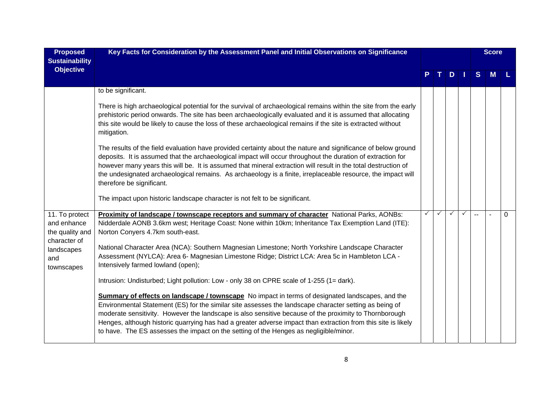| <b>Proposed</b><br><b>Sustainability</b>        | Key Facts for Consideration by the Assessment Panel and Initial Observations on Significance                                                                                                                                                                                                                                                                                                                                                                                                                                          |              |   |   |  |    |   |          |  |  |  | <b>Score</b> |  |
|-------------------------------------------------|---------------------------------------------------------------------------------------------------------------------------------------------------------------------------------------------------------------------------------------------------------------------------------------------------------------------------------------------------------------------------------------------------------------------------------------------------------------------------------------------------------------------------------------|--------------|---|---|--|----|---|----------|--|--|--|--------------|--|
| <b>Objective</b>                                |                                                                                                                                                                                                                                                                                                                                                                                                                                                                                                                                       |              |   | D |  | S. | M |          |  |  |  |              |  |
|                                                 | to be significant.                                                                                                                                                                                                                                                                                                                                                                                                                                                                                                                    |              |   |   |  |    |   |          |  |  |  |              |  |
|                                                 | There is high archaeological potential for the survival of archaeological remains within the site from the early<br>prehistoric period onwards. The site has been archaeologically evaluated and it is assumed that allocating<br>this site would be likely to cause the loss of these archaeological remains if the site is extracted without<br>mitigation.                                                                                                                                                                         |              |   |   |  |    |   |          |  |  |  |              |  |
|                                                 | The results of the field evaluation have provided certainty about the nature and significance of below ground<br>deposits. It is assumed that the archaeological impact will occur throughout the duration of extraction for<br>however many years this will be. It is assumed that mineral extraction will result in the total destruction of<br>the undesignated archaeological remains. As archaeology is a finite, irreplaceable resource, the impact will<br>therefore be significant.                                           |              |   |   |  |    |   |          |  |  |  |              |  |
|                                                 | The impact upon historic landscape character is not felt to be significant.                                                                                                                                                                                                                                                                                                                                                                                                                                                           |              |   |   |  |    |   |          |  |  |  |              |  |
| 11. To protect                                  | Proximity of landscape / townscape receptors and summary of character National Parks, AONBs:                                                                                                                                                                                                                                                                                                                                                                                                                                          | $\checkmark$ | ✓ |   |  |    |   | $\Omega$ |  |  |  |              |  |
| and enhance                                     | Nidderdale AONB 3.6km west; Heritage Coast: None within 10km; Inheritance Tax Exemption Land (ITE):                                                                                                                                                                                                                                                                                                                                                                                                                                   |              |   |   |  |    |   |          |  |  |  |              |  |
| the quality and                                 | Norton Conyers 4.7km south-east.                                                                                                                                                                                                                                                                                                                                                                                                                                                                                                      |              |   |   |  |    |   |          |  |  |  |              |  |
| character of<br>landscapes<br>and<br>townscapes | National Character Area (NCA): Southern Magnesian Limestone; North Yorkshire Landscape Character<br>Assessment (NYLCA): Area 6- Magnesian Limestone Ridge; District LCA: Area 5c in Hambleton LCA -<br>Intensively farmed lowland (open);                                                                                                                                                                                                                                                                                             |              |   |   |  |    |   |          |  |  |  |              |  |
|                                                 | Intrusion: Undisturbed; Light pollution: Low - only 38 on CPRE scale of 1-255 (1= dark).                                                                                                                                                                                                                                                                                                                                                                                                                                              |              |   |   |  |    |   |          |  |  |  |              |  |
|                                                 | <b>Summary of effects on landscape / townscape</b> No impact in terms of designated landscapes, and the<br>Environmental Statement (ES) for the similar site assesses the landscape character setting as being of<br>moderate sensitivity. However the landscape is also sensitive because of the proximity to Thornborough<br>Henges, although historic quarrying has had a greater adverse impact than extraction from this site is likely<br>to have. The ES assesses the impact on the setting of the Henges as negligible/minor. |              |   |   |  |    |   |          |  |  |  |              |  |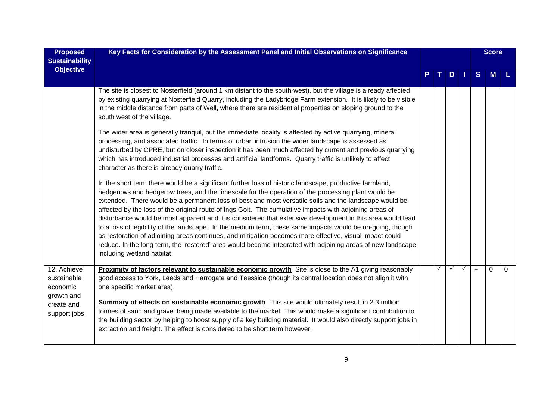| <b>Proposed</b><br><b>Sustainability</b>                                           | Key Facts for Consideration by the Assessment Panel and Initial Observations on Significance                                                                                                                                                                                                                                                                                                                                                                                                                                                                                                                                                                                                                                                                                                                                                                                                                          |  | $D \mid \mid$ |              |              |     |          |   | <b>Score</b> |  |
|------------------------------------------------------------------------------------|-----------------------------------------------------------------------------------------------------------------------------------------------------------------------------------------------------------------------------------------------------------------------------------------------------------------------------------------------------------------------------------------------------------------------------------------------------------------------------------------------------------------------------------------------------------------------------------------------------------------------------------------------------------------------------------------------------------------------------------------------------------------------------------------------------------------------------------------------------------------------------------------------------------------------|--|---------------|--------------|--------------|-----|----------|---|--------------|--|
| <b>Objective</b>                                                                   |                                                                                                                                                                                                                                                                                                                                                                                                                                                                                                                                                                                                                                                                                                                                                                                                                                                                                                                       |  |               |              |              | S   | <b>M</b> |   |              |  |
|                                                                                    | The site is closest to Nosterfield (around 1 km distant to the south-west), but the village is already affected<br>by existing quarrying at Nosterfield Quarry, including the Ladybridge Farm extension. It is likely to be visible<br>in the middle distance from parts of Well, where there are residential properties on sloping ground to the<br>south west of the village.                                                                                                                                                                                                                                                                                                                                                                                                                                                                                                                                       |  |               |              |              |     |          |   |              |  |
|                                                                                    | The wider area is generally tranquil, but the immediate locality is affected by active quarrying, mineral<br>processing, and associated traffic. In terms of urban intrusion the wider landscape is assessed as<br>undisturbed by CPRE, but on closer inspection it has been much affected by current and previous quarrying<br>which has introduced industrial processes and artificial landforms. Quarry traffic is unlikely to affect<br>character as there is already quarry traffic.                                                                                                                                                                                                                                                                                                                                                                                                                             |  |               |              |              |     |          |   |              |  |
|                                                                                    | In the short term there would be a significant further loss of historic landscape, productive farmland,<br>hedgerows and hedgerow trees, and the timescale for the operation of the processing plant would be<br>extended. There would be a permanent loss of best and most versatile soils and the landscape would be<br>affected by the loss of the original route of lngs Goit. The cumulative impacts with adjoining areas of<br>disturbance would be most apparent and it is considered that extensive development in this area would lead<br>to a loss of legibility of the landscape. In the medium term, these same impacts would be on-going, though<br>as restoration of adjoining areas continues, and mitigation becomes more effective, visual impact could<br>reduce. In the long term, the 'restored' area would become integrated with adjoining areas of new landscape<br>including wetland habitat. |  |               |              |              |     |          |   |              |  |
| 12. Achieve<br>sustainable<br>economic<br>growth and<br>create and<br>support jobs | <b>Proximity of factors relevant to sustainable economic growth</b> Site is close to the A1 giving reasonably<br>good access to York, Leeds and Harrogate and Teesside (though its central location does not align it with<br>one specific market area).<br>Summary of effects on sustainable economic growth This site would ultimately result in 2.3 million<br>tonnes of sand and gravel being made available to the market. This would make a significant contribution to<br>the building sector by helping to boost supply of a key building material. It would also directly support jobs in<br>extraction and freight. The effect is considered to be short term however.                                                                                                                                                                                                                                      |  | $\checkmark$  | $\checkmark$ | $\checkmark$ | $+$ | $\Omega$ | 0 |              |  |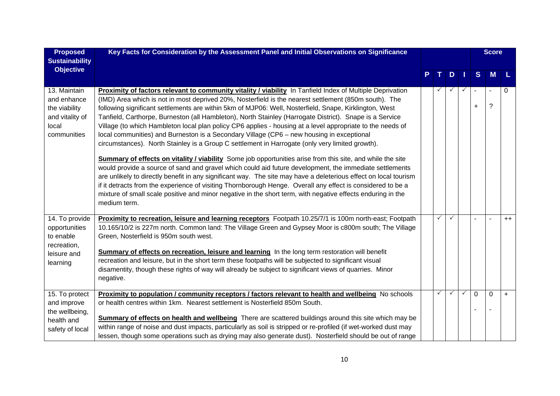| <b>Proposed</b><br><b>Sustainability</b>                                                | Key Facts for Consideration by the Assessment Panel and Initial Observations on Significance                                                                                                                                                                                                                                                                                                                                                                                                                                                                                                                                                                                                                                                                                                                                                                                                                                                                                                                                                                                                                                                                                                                                                                                                                                                     |   |              |              |                             | <b>Score</b> |      |
|-----------------------------------------------------------------------------------------|--------------------------------------------------------------------------------------------------------------------------------------------------------------------------------------------------------------------------------------------------------------------------------------------------------------------------------------------------------------------------------------------------------------------------------------------------------------------------------------------------------------------------------------------------------------------------------------------------------------------------------------------------------------------------------------------------------------------------------------------------------------------------------------------------------------------------------------------------------------------------------------------------------------------------------------------------------------------------------------------------------------------------------------------------------------------------------------------------------------------------------------------------------------------------------------------------------------------------------------------------------------------------------------------------------------------------------------------------|---|--------------|--------------|-----------------------------|--------------|------|
| <b>Objective</b>                                                                        |                                                                                                                                                                                                                                                                                                                                                                                                                                                                                                                                                                                                                                                                                                                                                                                                                                                                                                                                                                                                                                                                                                                                                                                                                                                                                                                                                  |   | D            | - 1          | S                           | M            |      |
| 13. Maintain<br>and enhance<br>the viability<br>and vitality of<br>local<br>communities | Proximity of factors relevant to community vitality / viability In Tanfield Index of Multiple Deprivation<br>(IMD) Area which is not in most deprived 20%, Nosterfield is the nearest settlement (850m south). The<br>following significant settlements are within 5km of MJP06: Well, Nosterfield, Snape, Kirklington, West<br>Tanfield, Carthorpe, Burneston (all Hambleton), North Stainley (Harrogate District). Snape is a Service<br>Village (to which Hambleton local plan policy CP6 applies - housing at a level appropriate to the needs of<br>local communities) and Burneston is a Secondary Village (CP6 - new housing in exceptional<br>circumstances). North Stainley is a Group C settlement in Harrogate (only very limited growth).<br>Summary of effects on vitality / viability Some job opportunities arise from this site, and while the site<br>would provide a source of sand and gravel which could aid future development, the immediate settlements<br>are unlikely to directly benefit in any significant way. The site may have a deleterious effect on local tourism<br>if it detracts from the experience of visiting Thornborough Henge. Overall any effect is considered to be a<br>mixture of small scale positive and minor negative in the short term, with negative effects enduring in the<br>medium term. |   |              | ✓            | $\blacksquare$<br>$\ddot{}$ | $\ddot{?}$   | 0    |
| 14. To provide<br>opportunities<br>to enable<br>recreation,<br>leisure and<br>learning  | Proximity to recreation, leisure and learning receptors Footpath 10.25/7/1 is 100m north-east; Footpath<br>10.165/10/2 is 227m north. Common land: The Village Green and Gypsey Moor is c800m south; The Village<br>Green, Nosterfield is 950m south west.<br>Summary of effects on recreation, leisure and learning In the long term restoration will benefit<br>recreation and leisure, but in the short term these footpaths will be subjected to significant visual<br>disamentity, though these rights of way will already be subject to significant views of quarries. Minor<br>negative.                                                                                                                                                                                                                                                                                                                                                                                                                                                                                                                                                                                                                                                                                                                                                  | ✓ |              |              |                             |              | $++$ |
| 15. To protect<br>and improve<br>the wellbeing,<br>health and<br>safety of local        | Proximity to population / community receptors / factors relevant to health and wellbeing No schools<br>or health centres within 1km. Nearest settlement is Nosterfield 850m South.<br>Summary of effects on health and wellbeing There are scattered buildings around this site which may be<br>within range of noise and dust impacts, particularly as soil is stripped or re-profiled (if wet-worked dust may<br>lessen, though some operations such as drying may also generate dust). Nosterfield should be out of range                                                                                                                                                                                                                                                                                                                                                                                                                                                                                                                                                                                                                                                                                                                                                                                                                     | ✓ | $\checkmark$ | $\checkmark$ | $\overline{0}$              | $\mathbf 0$  | $+$  |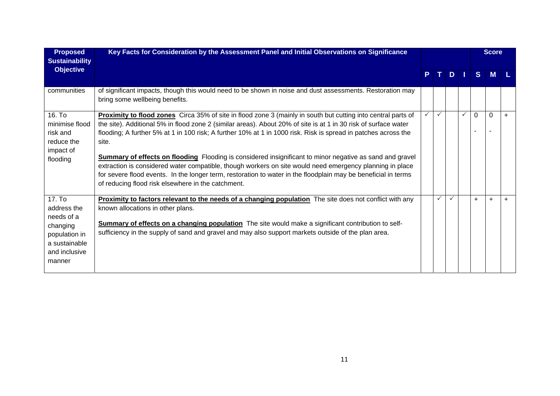| <b>Proposed</b><br><b>Sustainability</b>                                                                     | Key Facts for Consideration by the Assessment Panel and Initial Observations on Significance                                                                                                                                                                                                                                                                                                                                                                                                                                                                                                                                                                                                                                                                       |    |              |              |               |          | <b>Score</b> |           |
|--------------------------------------------------------------------------------------------------------------|--------------------------------------------------------------------------------------------------------------------------------------------------------------------------------------------------------------------------------------------------------------------------------------------------------------------------------------------------------------------------------------------------------------------------------------------------------------------------------------------------------------------------------------------------------------------------------------------------------------------------------------------------------------------------------------------------------------------------------------------------------------------|----|--------------|--------------|---------------|----------|--------------|-----------|
| <b>Objective</b>                                                                                             |                                                                                                                                                                                                                                                                                                                                                                                                                                                                                                                                                                                                                                                                                                                                                                    | P. | T I          |              | $D \mid \mid$ | S        | M            |           |
| communities                                                                                                  | of significant impacts, though this would need to be shown in noise and dust assessments. Restoration may<br>bring some wellbeing benefits.                                                                                                                                                                                                                                                                                                                                                                                                                                                                                                                                                                                                                        |    |              |              |               |          |              |           |
| 16. To<br>minimise flood<br>risk and<br>reduce the<br>impact of<br>flooding                                  | Proximity to flood zones Circa 35% of site in flood zone 3 (mainly in south but cutting into central parts of<br>the site). Additional 5% in flood zone 2 (similar areas). About 20% of site is at 1 in 30 risk of surface water<br>flooding; A further 5% at 1 in 100 risk; A further 10% at 1 in 1000 risk. Risk is spread in patches across the<br>site.<br><b>Summary of effects on flooding</b> Flooding is considered insignificant to minor negative as sand and gravel<br>extraction is considered water compatible, though workers on site would need emergency planning in place<br>for severe flood events. In the longer term, restoration to water in the floodplain may be beneficial in terms<br>of reducing flood risk elsewhere in the catchment. |    | $\checkmark$ |              | ✓             | $\Omega$ | 0            | $\ddot{}$ |
| 17. To<br>address the<br>needs of a<br>changing<br>population in<br>a sustainable<br>and inclusive<br>manner | <b>Proximity to factors relevant to the needs of a changing population</b> The site does not conflict with any<br>known allocations in other plans.<br><b>Summary of effects on a changing population</b> The site would make a significant contribution to self-<br>sufficiency in the supply of sand and gravel and may also support markets outside of the plan area.                                                                                                                                                                                                                                                                                                                                                                                           |    | $\checkmark$ | $\checkmark$ |               | $+$      | $\ddot{}$    |           |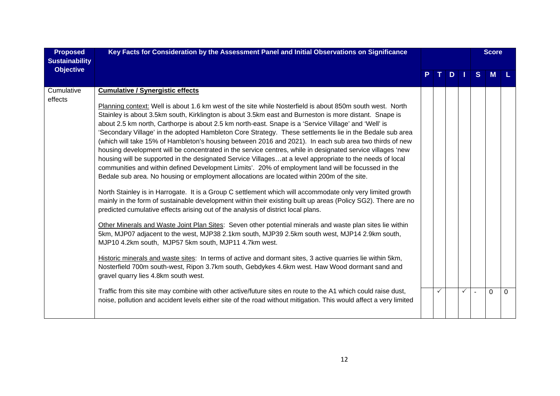| <b>Proposed</b><br><b>Sustainability</b> | Key Facts for Consideration by the Assessment Panel and Initial Observations on Significance                                                                                                                                                                                                                                                                                                                                                                                                                                                                                                                                                                                                                                                                                                                                                                                                                                                                                                                                                                                                                                                                                                                                                                                                                                                                                                                                                                                                                                                                                                                                                                                                                                                                                                                                                                                                                                                                                                                                                                                                                        |              |    |              |                | <b>Score</b> |          |
|------------------------------------------|---------------------------------------------------------------------------------------------------------------------------------------------------------------------------------------------------------------------------------------------------------------------------------------------------------------------------------------------------------------------------------------------------------------------------------------------------------------------------------------------------------------------------------------------------------------------------------------------------------------------------------------------------------------------------------------------------------------------------------------------------------------------------------------------------------------------------------------------------------------------------------------------------------------------------------------------------------------------------------------------------------------------------------------------------------------------------------------------------------------------------------------------------------------------------------------------------------------------------------------------------------------------------------------------------------------------------------------------------------------------------------------------------------------------------------------------------------------------------------------------------------------------------------------------------------------------------------------------------------------------------------------------------------------------------------------------------------------------------------------------------------------------------------------------------------------------------------------------------------------------------------------------------------------------------------------------------------------------------------------------------------------------------------------------------------------------------------------------------------------------|--------------|----|--------------|----------------|--------------|----------|
| <b>Objective</b>                         |                                                                                                                                                                                                                                                                                                                                                                                                                                                                                                                                                                                                                                                                                                                                                                                                                                                                                                                                                                                                                                                                                                                                                                                                                                                                                                                                                                                                                                                                                                                                                                                                                                                                                                                                                                                                                                                                                                                                                                                                                                                                                                                     | т.           | D. |              | <sub>S</sub>   | M            |          |
| Cumulative<br>effects                    | <b>Cumulative / Synergistic effects</b><br>Planning context: Well is about 1.6 km west of the site while Nosterfield is about 850m south west. North<br>Stainley is about 3.5km south, Kirklington is about 3.5km east and Burneston is more distant. Snape is<br>about 2.5 km north, Carthorpe is about 2.5 km north-east. Snape is a 'Service Village' and 'Well' is<br>'Secondary Village' in the adopted Hambleton Core Strategy. These settlements lie in the Bedale sub area<br>(which will take 15% of Hambleton's housing between 2016 and 2021). In each sub area two thirds of new<br>housing development will be concentrated in the service centres, while in designated service villages 'new<br>housing will be supported in the designated Service Villagesat a level appropriate to the needs of local<br>communities and within defined Development Limits'. 20% of employment land will be focussed in the<br>Bedale sub area. No housing or employment allocations are located within 200m of the site.<br>North Stainley is in Harrogate. It is a Group C settlement which will accommodate only very limited growth<br>mainly in the form of sustainable development within their existing built up areas (Policy SG2). There are no<br>predicted cumulative effects arising out of the analysis of district local plans.<br>Other Minerals and Waste Joint Plan Sites: Seven other potential minerals and waste plan sites lie within<br>5km, MJP07 adjacent to the west, MJP38 2.1km south, MJP39 2.5km south west, MJP14 2.9km south,<br>MJP10 4.2km south, MJP57 5km south, MJP11 4.7km west.<br>Historic minerals and waste sites: In terms of active and dormant sites, 3 active quarries lie within 5km,<br>Nosterfield 700m south-west, Ripon 3.7km south, Gebdykes 4.6km west. Haw Wood dormant sand and<br>gravel quarry lies 4.8km south west.<br>Traffic from this site may combine with other active/future sites en route to the A1 which could raise dust,<br>noise, pollution and accident levels either site of the road without mitigation. This would affect a very limited | $\checkmark$ |    | $\checkmark$ | $\blacksquare$ | $\Omega$     | $\Omega$ |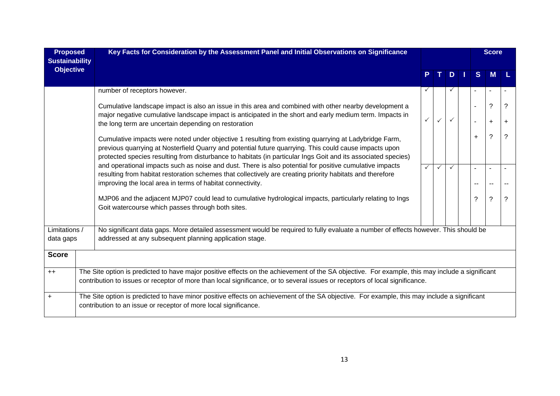| <b>Proposed</b><br><b>Sustainability</b> | Key Facts for Consideration by the Assessment Panel and Initial Observations on Significance                                                                                                                                                                                                                                     |              |              |                     | <b>Score</b>             |                |
|------------------------------------------|----------------------------------------------------------------------------------------------------------------------------------------------------------------------------------------------------------------------------------------------------------------------------------------------------------------------------------|--------------|--------------|---------------------|--------------------------|----------------|
| <b>Objective</b>                         |                                                                                                                                                                                                                                                                                                                                  |              | D            | S                   | M                        |                |
|                                          | number of receptors however.                                                                                                                                                                                                                                                                                                     | $\checkmark$ |              |                     |                          |                |
|                                          | Cumulative landscape impact is also an issue in this area and combined with other nearby development a<br>major negative cumulative landscape impact is anticipated in the short and early medium term. Impacts in                                                                                                               |              |              | $\blacksquare$<br>٠ | $\ddot{?}$<br>$\ddot{}$  | ?<br>$\ddot{}$ |
|                                          | the long term are uncertain depending on restoration                                                                                                                                                                                                                                                                             |              |              |                     |                          |                |
|                                          | Cumulative impacts were noted under objective 1 resulting from existing quarrying at Ladybridge Farm,<br>previous quarrying at Nosterfield Quarry and potential future quarrying. This could cause impacts upon<br>protected species resulting from disturbance to habitats (in particular Ings Goit and its associated species) |              |              | +                   | $\tilde{?}$              | ?              |
|                                          | and operational impacts such as noise and dust. There is also potential for positive cumulative impacts<br>resulting from habitat restoration schemes that collectively are creating priority habitats and therefore<br>improving the local area in terms of habitat connectivity.                                               | $\checkmark$ | $\checkmark$ | --                  | $\overline{\phantom{a}}$ |                |
|                                          | MJP06 and the adjacent MJP07 could lead to cumulative hydrological impacts, particularly relating to Ings<br>Goit watercourse which passes through both sites.                                                                                                                                                                   |              |              | ?                   | $\tilde{?}$              | ?              |
| Limitations /                            | No significant data gaps. More detailed assessment would be required to fully evaluate a number of effects however. This should be                                                                                                                                                                                               |              |              |                     |                          |                |
| data gaps                                | addressed at any subsequent planning application stage.                                                                                                                                                                                                                                                                          |              |              |                     |                          |                |
| <b>Score</b>                             |                                                                                                                                                                                                                                                                                                                                  |              |              |                     |                          |                |
| $++$                                     | The Site option is predicted to have major positive effects on the achievement of the SA objective. For example, this may include a significant<br>contribution to issues or receptor of more than local significance, or to several issues or receptors of local significance.                                                  |              |              |                     |                          |                |
| $\ddot{}$                                | The Site option is predicted to have minor positive effects on achievement of the SA objective. For example, this may include a significant<br>contribution to an issue or receptor of more local significance.                                                                                                                  |              |              |                     |                          |                |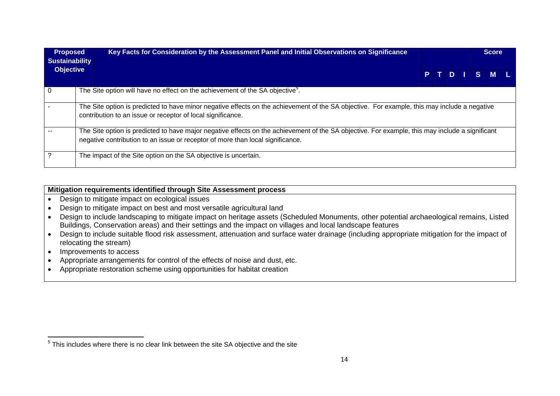| <b>Proposed</b><br><b>Sustainability</b> | Key Facts for Consideration by the Assessment Panel and Initial Observations on Significance                                                                                                                                      |  |  | <b>Score</b> |  |
|------------------------------------------|-----------------------------------------------------------------------------------------------------------------------------------------------------------------------------------------------------------------------------------|--|--|--------------|--|
| <b>Objective</b>                         |                                                                                                                                                                                                                                   |  |  | PTDISML      |  |
|                                          | The Site option will have no effect on the achievement of the SA objective <sup>5</sup> .                                                                                                                                         |  |  |              |  |
|                                          | The Site option is predicted to have minor negative effects on the achievement of the SA objective. For example, this may include a negative<br>contribution to an issue or receptor of local significance.                       |  |  |              |  |
|                                          | The Site option is predicted to have major negative effects on the achievement of the SA objective. For example, this may include a significant<br>negative contribution to an issue or receptor of more than local significance. |  |  |              |  |
|                                          | The impact of the Site option on the SA objective is uncertain.                                                                                                                                                                   |  |  |              |  |

#### **Mitigation requirements identified through Site Assessment process**

- Design to mitigate impact on ecological issues
- Design to mitigate impact on best and most versatile agricultural land
- Design to include landscaping to mitigate impact on heritage assets (Scheduled Monuments, other potential archaeological remains, Listed Buildings, Conservation areas) and their settings and the impact on villages and local landscape features
- Design to include suitable flood risk assessment, attenuation and surface water drainage (including appropriate mitigation for the impact of relocating the stream)
- Improvements to access
- Appropriate arrangements for control of the effects of noise and dust, etc.
- Appropriate restoration scheme using opportunities for habitat creation

 $5$  This includes where there is no clear link between the site SA objective and the site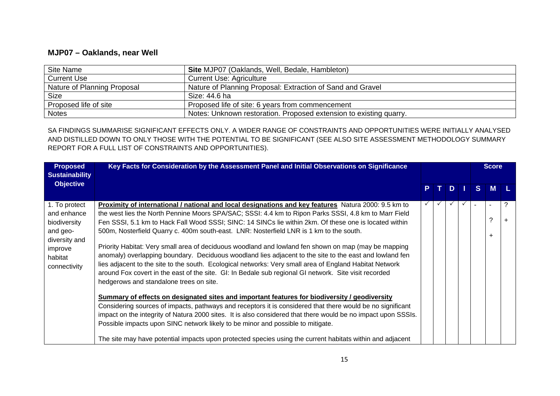#### **MJP07 – Oaklands, near Well**

| Site Name                   | Site MJP07 (Oaklands, Well, Bedale, Hambleton)                     |
|-----------------------------|--------------------------------------------------------------------|
| <b>Current Use</b>          | <b>Current Use: Agriculture</b>                                    |
| Nature of Planning Proposal | Nature of Planning Proposal: Extraction of Sand and Gravel         |
| <b>Size</b>                 | Size: 44.6 ha                                                      |
| Proposed life of site       | Proposed life of site: 6 years from commencement                   |
| <b>Notes</b>                | Notes: Unknown restoration. Proposed extension to existing quarry. |

SA FINDINGS SUMMARISE SIGNIFICANT EFFECTS ONLY. A WIDER RANGE OF CONSTRAINTS AND OPPORTUNITIES WERE INITIALLY ANALYSED AND DISTILLED DOWN TO ONLY THOSE WITH THE POTENTIAL TO BE SIGNIFICANT (SEE ALSO SITE ASSESSMENT METHODOLOGY SUMMARY REPORT FOR A FULL LIST OF CONSTRAINTS AND OPPORTUNITIES).

| <b>Proposed</b><br><b>Sustainability</b>                                                                        | Key Facts for Consideration by the Assessment Panel and Initial Observations on Significance                                                                                                                                                                                                                                                                                                                                                                                                                                                                                                                                                                                                                                                                                                                                                                                                                                                                                                                                                                                                                                                                                                                                                                                                                                                                                                                                         |  |     |   | <b>Score</b> |  |
|-----------------------------------------------------------------------------------------------------------------|--------------------------------------------------------------------------------------------------------------------------------------------------------------------------------------------------------------------------------------------------------------------------------------------------------------------------------------------------------------------------------------------------------------------------------------------------------------------------------------------------------------------------------------------------------------------------------------------------------------------------------------------------------------------------------------------------------------------------------------------------------------------------------------------------------------------------------------------------------------------------------------------------------------------------------------------------------------------------------------------------------------------------------------------------------------------------------------------------------------------------------------------------------------------------------------------------------------------------------------------------------------------------------------------------------------------------------------------------------------------------------------------------------------------------------------|--|-----|---|--------------|--|
| <b>Objective</b>                                                                                                |                                                                                                                                                                                                                                                                                                                                                                                                                                                                                                                                                                                                                                                                                                                                                                                                                                                                                                                                                                                                                                                                                                                                                                                                                                                                                                                                                                                                                                      |  | PTD | S | <b>M</b>     |  |
| 1. To protect<br>and enhance<br>biodiversity<br>and geo-<br>diversity and<br>improve<br>habitat<br>connectivity | Proximity of international / national and local designations and key features Natura 2000: 9.5 km to<br>the west lies the North Pennine Moors SPA/SAC; SSSI: 4.4 km to Ripon Parks SSSI, 4.8 km to Marr Field<br>Fen SSSI, 5.1 km to Hack Fall Wood SSSI; SINC: 14 SINCs lie within 2km. Of these one is located within<br>500m, Nosterfield Quarry c. 400m south-east. LNR: Nosterfield LNR is 1 km to the south.<br>Priority Habitat: Very small area of deciduous woodland and lowland fen shown on map (may be mapping<br>anomaly) overlapping boundary. Deciduous woodland lies adjacent to the site to the east and lowland fen<br>lies adjacent to the site to the south. Ecological networks: Very small area of England Habitat Network<br>around Fox covert in the east of the site. GI: In Bedale sub regional GI network. Site visit recorded<br>hedgerows and standalone trees on site.<br>Summary of effects on designated sites and important features for biodiversity / geodiversity<br>Considering sources of impacts, pathways and receptors it is considered that there would be no significant<br>impact on the integrity of Natura 2000 sites. It is also considered that there would be no impact upon SSSIs.<br>Possible impacts upon SINC network likely to be minor and possible to mitigate.<br>The site may have potential impacts upon protected species using the current habitats within and adjacent |  |     |   | ÷            |  |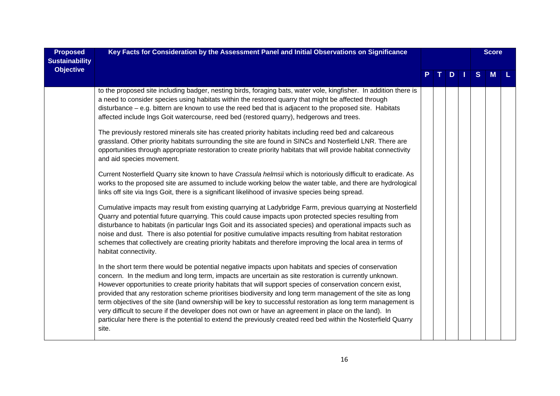| <b>Proposed</b><br><b>Sustainability</b> | Key Facts for Consideration by the Assessment Panel and Initial Observations on Significance                                                                                                                                                                                                                                                                                                                                                                                                                                                                                                                                                                                                                                                                                                   |  |    |    |   | <b>Score</b> |  |
|------------------------------------------|------------------------------------------------------------------------------------------------------------------------------------------------------------------------------------------------------------------------------------------------------------------------------------------------------------------------------------------------------------------------------------------------------------------------------------------------------------------------------------------------------------------------------------------------------------------------------------------------------------------------------------------------------------------------------------------------------------------------------------------------------------------------------------------------|--|----|----|---|--------------|--|
| <b>Objective</b>                         |                                                                                                                                                                                                                                                                                                                                                                                                                                                                                                                                                                                                                                                                                                                                                                                                |  | D. | H. | S | M            |  |
|                                          | to the proposed site including badger, nesting birds, foraging bats, water vole, kingfisher. In addition there is<br>a need to consider species using habitats within the restored quarry that might be affected through<br>disturbance - e.g. bittern are known to use the reed bed that is adjacent to the proposed site. Habitats<br>affected include Ings Goit watercourse, reed bed (restored quarry), hedgerows and trees.                                                                                                                                                                                                                                                                                                                                                               |  |    |    |   |              |  |
|                                          | The previously restored minerals site has created priority habitats including reed bed and calcareous<br>grassland. Other priority habitats surrounding the site are found in SINCs and Nosterfield LNR. There are<br>opportunities through appropriate restoration to create priority habitats that will provide habitat connectivity<br>and aid species movement.                                                                                                                                                                                                                                                                                                                                                                                                                            |  |    |    |   |              |  |
|                                          | Current Nosterfield Quarry site known to have Crassula helmsii which is notoriously difficult to eradicate. As<br>works to the proposed site are assumed to include working below the water table, and there are hydrological<br>links off site via Ings Goit, there is a significant likelihood of invasive species being spread.                                                                                                                                                                                                                                                                                                                                                                                                                                                             |  |    |    |   |              |  |
|                                          | Cumulative impacts may result from existing quarrying at Ladybridge Farm, previous quarrying at Nosterfield<br>Quarry and potential future quarrying. This could cause impacts upon protected species resulting from<br>disturbance to habitats (in particular Ings Goit and its associated species) and operational impacts such as<br>noise and dust. There is also potential for positive cumulative impacts resulting from habitat restoration<br>schemes that collectively are creating priority habitats and therefore improving the local area in terms of<br>habitat connectivity.                                                                                                                                                                                                     |  |    |    |   |              |  |
|                                          | In the short term there would be potential negative impacts upon habitats and species of conservation<br>concern. In the medium and long term, impacts are uncertain as site restoration is currently unknown.<br>However opportunities to create priority habitats that will support species of conservation concern exist,<br>provided that any restoration scheme prioritises biodiversity and long term management of the site as long<br>term objectives of the site (land ownership will be key to successful restoration as long term management is<br>very difficult to secure if the developer does not own or have an agreement in place on the land). In<br>particular here there is the potential to extend the previously created reed bed within the Nosterfield Quarry<br>site. |  |    |    |   |              |  |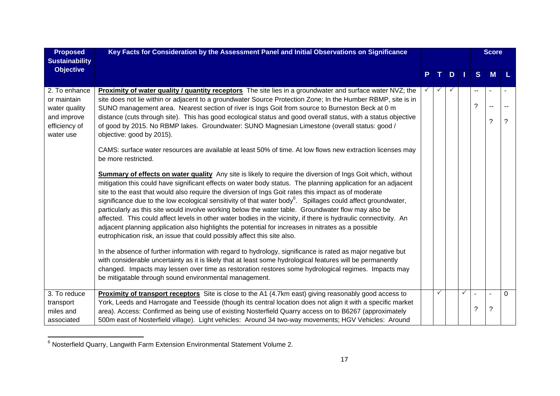| <b>Proposed</b><br><b>Sustainability</b>                                                   | Key Facts for Consideration by the Assessment Panel and Initial Observations on Significance                                                                                                                                                                                                                                                                                                                                                                                                                                                                                                                                                                                                                                                                                                                                                                                                                                                                                                                                                                                                                                                                                                                                                                                                                                                                                                                                                                                                                                                                                                                                                                                                                                                                                                                                                                                                                                                     |              |   |              |   | <b>Score</b>                  |          |
|--------------------------------------------------------------------------------------------|--------------------------------------------------------------------------------------------------------------------------------------------------------------------------------------------------------------------------------------------------------------------------------------------------------------------------------------------------------------------------------------------------------------------------------------------------------------------------------------------------------------------------------------------------------------------------------------------------------------------------------------------------------------------------------------------------------------------------------------------------------------------------------------------------------------------------------------------------------------------------------------------------------------------------------------------------------------------------------------------------------------------------------------------------------------------------------------------------------------------------------------------------------------------------------------------------------------------------------------------------------------------------------------------------------------------------------------------------------------------------------------------------------------------------------------------------------------------------------------------------------------------------------------------------------------------------------------------------------------------------------------------------------------------------------------------------------------------------------------------------------------------------------------------------------------------------------------------------------------------------------------------------------------------------------------------------|--------------|---|--------------|---|-------------------------------|----------|
| <b>Objective</b>                                                                           |                                                                                                                                                                                                                                                                                                                                                                                                                                                                                                                                                                                                                                                                                                                                                                                                                                                                                                                                                                                                                                                                                                                                                                                                                                                                                                                                                                                                                                                                                                                                                                                                                                                                                                                                                                                                                                                                                                                                                  | T.           | D |              | S | M                             |          |
| 2. To enhance<br>or maintain<br>water quality<br>and improve<br>efficiency of<br>water use | <b>Proximity of water quality / quantity receptors</b> The site lies in a groundwater and surface water NVZ; the<br>site does not lie within or adjacent to a groundwater Source Protection Zone; In the Humber RBMP, site is in<br>SUNO management area. Nearest section of river is Ings Goit from source to Burneston Beck at 0 m<br>distance (cuts through site). This has good ecological status and good overall status, with a status objective<br>of good by 2015. No RBMP lakes. Groundwater: SUNO Magnesian Limestone (overall status: good /<br>objective: good by 2015).<br>CAMS: surface water resources are available at least 50% of time. At low flows new extraction licenses may<br>be more restricted.<br>Summary of effects on water quality Any site is likely to require the diversion of Ings Goit which, without<br>mitigation this could have significant effects on water body status. The planning application for an adjacent<br>site to the east that would also require the diversion of Ings Goit rates this impact as of moderate<br>significance due to the low ecological sensitivity of that water body <sup>6</sup> . Spillages could affect groundwater,<br>particularly as this site would involve working below the water table. Groundwater flow may also be<br>affected. This could affect levels in other water bodies in the vicinity, if there is hydraulic connectivity. An<br>adjacent planning application also highlights the potential for increases in nitrates as a possible<br>eutrophication risk, an issue that could possibly affect this site also.<br>In the absence of further information with regard to hydrology, significance is rated as major negative but<br>with considerable uncertainty as it is likely that at least some hydrological features will be permanently<br>changed. Impacts may lessen over time as restoration restores some hydrological regimes. Impacts may |              |   |              | ? | ?                             | ?        |
| 3. To reduce<br>transport<br>miles and<br>associated                                       | be mitigatable through sound environmental management.<br>Proximity of transport receptors Site is close to the A1 (4.7km east) giving reasonably good access to<br>York, Leeds and Harrogate and Teesside (though its central location does not align it with a specific market<br>area). Access: Confirmed as being use of existing Nosterfield Quarry access on to B6267 (approximately<br>500m east of Nosterfield village). Light vehicles: Around 34 two-way movements; HGV Vehicles: Around                                                                                                                                                                                                                                                                                                                                                                                                                                                                                                                                                                                                                                                                                                                                                                                                                                                                                                                                                                                                                                                                                                                                                                                                                                                                                                                                                                                                                                               | $\checkmark$ |   | $\checkmark$ | ? | $\overline{\phantom{a}}$<br>? | $\Omega$ |

<sup>&</sup>lt;sup>6</sup> Nosterfield Quarry, Langwith Farm Extension Environmental Statement Volume 2.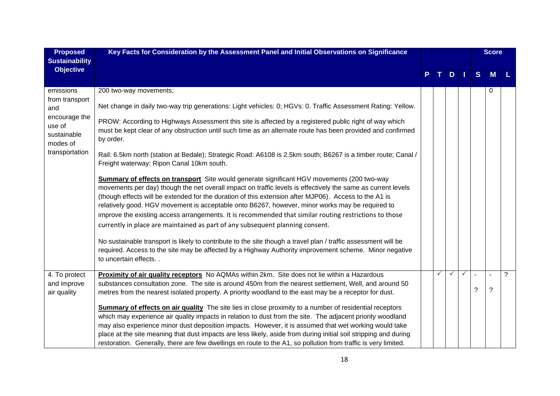| <b>Proposed</b><br><b>Sustainability</b>                                                                   | Key Facts for Consideration by the Assessment Panel and Initial Observations on Significance                                                                                                                                                                                                                                                                                                                                                                                                                                                                                                                                                                                                                                                                                                                                                                                                                                                                                                                                                                                                                                                                                                                                                                                                                                                                                                                               |   |               |              |   | <b>Score</b> |                |
|------------------------------------------------------------------------------------------------------------|----------------------------------------------------------------------------------------------------------------------------------------------------------------------------------------------------------------------------------------------------------------------------------------------------------------------------------------------------------------------------------------------------------------------------------------------------------------------------------------------------------------------------------------------------------------------------------------------------------------------------------------------------------------------------------------------------------------------------------------------------------------------------------------------------------------------------------------------------------------------------------------------------------------------------------------------------------------------------------------------------------------------------------------------------------------------------------------------------------------------------------------------------------------------------------------------------------------------------------------------------------------------------------------------------------------------------------------------------------------------------------------------------------------------------|---|---------------|--------------|---|--------------|----------------|
| <b>Objective</b>                                                                                           |                                                                                                                                                                                                                                                                                                                                                                                                                                                                                                                                                                                                                                                                                                                                                                                                                                                                                                                                                                                                                                                                                                                                                                                                                                                                                                                                                                                                                            |   | $D$   $\vert$ |              | S | M            |                |
| emissions<br>from transport<br>and<br>encourage the<br>use of<br>sustainable<br>modes of<br>transportation | 200 two-way movements;<br>Net change in daily two-way trip generations: Light vehicles: 0; HGVs: 0. Traffic Assessment Rating: Yellow.<br>PROW: According to Highways Assessment this site is affected by a registered public right of way which<br>must be kept clear of any obstruction until such time as an alternate route has been provided and confirmed<br>by order.<br>Rail: 6.5km north (station at Bedale); Strategic Road: A6108 is 2.5km south; B6267 is a timber route; Canal /<br>Freight waterway: Ripon Canal 10km south.<br><b>Summary of effects on transport</b> Site would generate significant HGV movements (200 two-way<br>movements per day) though the net overall impact on traffic levels is effectively the same as current levels<br>(though effects will be extended for the duration of this extension after MJP06). Access to the A1 is<br>relatively good. HGV movement is acceptable onto B6267, however, minor works may be required to<br>improve the existing access arrangements. It is recommended that similar routing restrictions to those<br>currently in place are maintained as part of any subsequent planning consent.<br>No sustainable transport is likely to contribute to the site though a travel plan / traffic assessment will be<br>required. Access to the site may be affected by a Highway Authority improvement scheme. Minor negative<br>to uncertain effects |   |               |              |   | $\Omega$     |                |
| 4. To protect<br>and improve<br>air quality                                                                | Proximity of air quality receptors No AQMAs within 2km. Site does not lie within a Hazardous<br>substances consultation zone. The site is around 450m from the nearest settlement, Well, and around 50<br>metres from the nearest isolated property. A priority woodland to the east may be a receptor for dust.<br><b>Summary of effects on air quality</b> The site lies in close proximity to a number of residential receptors<br>which may experience air quality impacts in relation to dust from the site. The adjacent priority woodland<br>may also experience minor dust deposition impacts. However, it is assumed that wet working would take<br>place at the site meaning that dust impacts are less likely, aside from during initial soil stripping and during<br>restoration. Generally, there are few dwellings en route to the A1, so pollution from traffic is very limited.                                                                                                                                                                                                                                                                                                                                                                                                                                                                                                                            | ✓ |               | $\checkmark$ | ? | $\ddot{?}$   | $\overline{?}$ |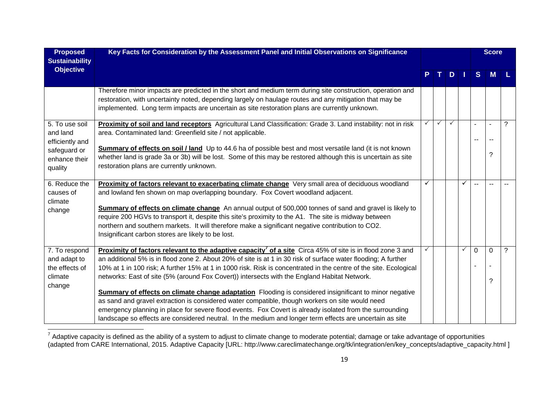| <b>Proposed</b><br><b>Sustainability</b>                             | Key Facts for Consideration by the Assessment Panel and Initial Observations on Significance                                                                                                                                                                                                                                                                                                                                                                                                                                                                                                                                                                                                                                                                                                                                                                                                                    |   |              |     |              |             | <b>Score</b>     |                |
|----------------------------------------------------------------------|-----------------------------------------------------------------------------------------------------------------------------------------------------------------------------------------------------------------------------------------------------------------------------------------------------------------------------------------------------------------------------------------------------------------------------------------------------------------------------------------------------------------------------------------------------------------------------------------------------------------------------------------------------------------------------------------------------------------------------------------------------------------------------------------------------------------------------------------------------------------------------------------------------------------|---|--------------|-----|--------------|-------------|------------------|----------------|
| <b>Objective</b>                                                     |                                                                                                                                                                                                                                                                                                                                                                                                                                                                                                                                                                                                                                                                                                                                                                                                                                                                                                                 |   |              | TDI |              | S           | <b>M</b>         |                |
|                                                                      | Therefore minor impacts are predicted in the short and medium term during site construction, operation and<br>restoration, with uncertainty noted, depending largely on haulage routes and any mitigation that may be<br>implemented. Long term impacts are uncertain as site restoration plans are currently unknown.                                                                                                                                                                                                                                                                                                                                                                                                                                                                                                                                                                                          |   |              |     |              |             |                  |                |
| 5. To use soil<br>and land<br>efficiently and                        | Proximity of soil and land receptors Agricultural Land Classification: Grade 3. Land instability: not in risk<br>area. Contaminated land: Greenfield site / not applicable.                                                                                                                                                                                                                                                                                                                                                                                                                                                                                                                                                                                                                                                                                                                                     |   | $\checkmark$ | ✓   |              | --          |                  | $\overline{?}$ |
| safeguard or<br>enhance their<br>quality                             | <b>Summary of effects on soil / land</b> Up to 44.6 ha of possible best and most versatile land (it is not known<br>whether land is grade 3a or 3b) will be lost. Some of this may be restored although this is uncertain as site<br>restoration plans are currently unknown.                                                                                                                                                                                                                                                                                                                                                                                                                                                                                                                                                                                                                                   |   |              |     |              |             | 2                |                |
| 6. Reduce the<br>causes of<br>climate<br>change                      | Proximity of factors relevant to exacerbating climate change Very small area of deciduous woodland<br>and lowland fen shown on map overlapping boundary. Fox Covert woodland adjacent.<br>Summary of effects on climate change An annual output of 500,000 tonnes of sand and gravel is likely to<br>require 200 HGVs to transport it, despite this site's proximity to the A1. The site is midway between<br>northern and southern markets. It will therefore make a significant negative contribution to CO2.<br>Insignificant carbon stores are likely to be lost.                                                                                                                                                                                                                                                                                                                                           | ✓ |              |     | ✓            | $\sim$      |                  |                |
| 7. To respond<br>and adapt to<br>the effects of<br>climate<br>change | <b>Proximity of factors relevant to the adaptive capacity<sup>7</sup> of a site</b> Circa 45% of site is in flood zone 3 and<br>an additional 5% is in flood zone 2. About 20% of site is at 1 in 30 risk of surface water flooding; A further<br>10% at 1 in 100 risk; A further 15% at 1 in 1000 risk. Risk is concentrated in the centre of the site. Ecological<br>networks: East of site (5% (around Fox Covert)) intersects with the England Habitat Network.<br><b>Summary of effects on climate change adaptation</b> Flooding is considered insignificant to minor negative<br>as sand and gravel extraction is considered water compatible, though workers on site would need<br>emergency planning in place for severe flood events. Fox Covert is already isolated from the surrounding<br>landscape so effects are considered neutral. In the medium and longer term effects are uncertain as site |   |              |     | $\checkmark$ | $\mathbf 0$ | $\mathbf 0$<br>7 | $\overline{?}$ |

 $^7$  Adaptive capacity is defined as the ability of a system to adjust to climate change to moderate potential; damage or take advantage of opportunities (adapted from CARE International, 2015. Adaptive Capacity [URL: http://www.careclimatechange.org/tk/integration/en/key\_concepts/adaptive\_capacity.html ]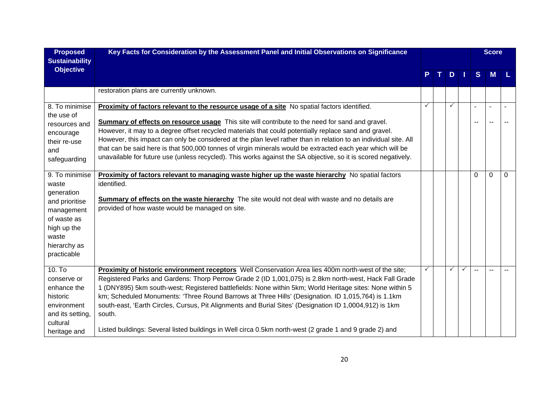| <b>Proposed</b><br><b>Sustainability</b> | Key Facts for Consideration by the Assessment Panel and Initial Observations on Significance                                                              |   |   |              |    | <b>Score</b> |          |
|------------------------------------------|-----------------------------------------------------------------------------------------------------------------------------------------------------------|---|---|--------------|----|--------------|----------|
| <b>Objective</b>                         |                                                                                                                                                           |   | D |              | S  | M            |          |
|                                          | restoration plans are currently unknown.                                                                                                                  |   |   |              |    |              |          |
| 8. To minimise<br>the use of             | Proximity of factors relevant to the resource usage of a site No spatial factors identified.                                                              | ✓ | ✓ |              |    | $\sim$       |          |
| resources and                            | Summary of effects on resource usage This site will contribute to the need for sand and gravel.                                                           |   |   |              | -- | $\sim$       |          |
| encourage                                | However, it may to a degree offset recycled materials that could potentially replace sand and gravel.                                                     |   |   |              |    |              |          |
| their re-use                             | However, this impact can only be considered at the plan level rather than in relation to an individual site. All                                          |   |   |              |    |              |          |
| and                                      | that can be said here is that 500,000 tonnes of virgin minerals would be extracted each year which will be                                                |   |   |              |    |              |          |
| safeguarding                             | unavailable for future use (unless recycled). This works against the SA objective, so it is scored negatively.                                            |   |   |              |    |              |          |
| 9. To minimise                           | <b>Proximity of factors relevant to managing waste higher up the waste hierarchy</b> No spatial factors                                                   |   |   |              | 0  | $\Omega$     | $\Omega$ |
| waste                                    | identified.                                                                                                                                               |   |   |              |    |              |          |
| generation                               |                                                                                                                                                           |   |   |              |    |              |          |
| and prioritise                           | <b>Summary of effects on the waste hierarchy</b> The site would not deal with waste and no details are<br>provided of how waste would be managed on site. |   |   |              |    |              |          |
| management                               |                                                                                                                                                           |   |   |              |    |              |          |
| of waste as                              |                                                                                                                                                           |   |   |              |    |              |          |
| high up the                              |                                                                                                                                                           |   |   |              |    |              |          |
| waste                                    |                                                                                                                                                           |   |   |              |    |              |          |
| hierarchy as<br>practicable              |                                                                                                                                                           |   |   |              |    |              |          |
|                                          |                                                                                                                                                           |   |   |              |    |              |          |
| $10.$ To                                 | Proximity of historic environment receptors Well Conservation Area lies 400m north-west of the site;                                                      |   | ✓ | $\checkmark$ |    |              |          |
| conserve or                              | Registered Parks and Gardens: Thorp Perrow Grade 2 (ID 1,001,075) is 2.8km north-west, Hack Fall Grade                                                    |   |   |              |    |              |          |
| enhance the                              | 1 (DNY895) 5km south-west; Registered battlefields: None within 5km; World Heritage sites: None within 5                                                  |   |   |              |    |              |          |
| historic                                 | km; Scheduled Monuments: 'Three Round Barrows at Three Hills' (Designation. ID 1,015,764) is 1.1km                                                        |   |   |              |    |              |          |
| environment                              | south-east, 'Earth Circles, Cursus, Pit Alignments and Burial Sites' (Designation ID 1,0004,912) is 1km                                                   |   |   |              |    |              |          |
| and its setting,                         | south.                                                                                                                                                    |   |   |              |    |              |          |
| cultural                                 |                                                                                                                                                           |   |   |              |    |              |          |
| heritage and                             | Listed buildings: Several listed buildings in Well circa 0.5km north-west (2 grade 1 and 9 grade 2) and                                                   |   |   |              |    |              |          |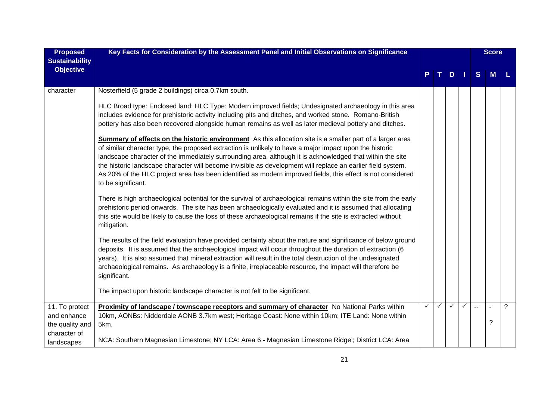| <b>Proposed</b><br><b>Sustainability</b> | Key Facts for Consideration by the Assessment Panel and Initial Observations on Significance                                                                                                                                                                                                                                                                                                                                                                                                                                                                                                 |              |              |              |              |                | <b>Score</b> |             |
|------------------------------------------|----------------------------------------------------------------------------------------------------------------------------------------------------------------------------------------------------------------------------------------------------------------------------------------------------------------------------------------------------------------------------------------------------------------------------------------------------------------------------------------------------------------------------------------------------------------------------------------------|--------------|--------------|--------------|--------------|----------------|--------------|-------------|
| <b>Objective</b>                         |                                                                                                                                                                                                                                                                                                                                                                                                                                                                                                                                                                                              |              |              | D            |              | S              | M            |             |
| character                                | Nosterfield (5 grade 2 buildings) circa 0.7km south.                                                                                                                                                                                                                                                                                                                                                                                                                                                                                                                                         |              |              |              |              |                |              |             |
|                                          | HLC Broad type: Enclosed land; HLC Type: Modern improved fields; Undesignated archaeology in this area<br>includes evidence for prehistoric activity including pits and ditches, and worked stone. Romano-British<br>pottery has also been recovered alongside human remains as well as later medieval pottery and ditches.                                                                                                                                                                                                                                                                  |              |              |              |              |                |              |             |
|                                          | <b>Summary of effects on the historic environment</b> As this allocation site is a smaller part of a larger area<br>of similar character type, the proposed extraction is unlikely to have a major impact upon the historic<br>landscape character of the immediately surrounding area, although it is acknowledged that within the site<br>the historic landscape character will become invisible as development will replace an earlier field system.<br>As 20% of the HLC project area has been identified as modern improved fields, this effect is not considered<br>to be significant. |              |              |              |              |                |              |             |
|                                          | There is high archaeological potential for the survival of archaeological remains within the site from the early<br>prehistoric period onwards. The site has been archaeologically evaluated and it is assumed that allocating<br>this site would be likely to cause the loss of these archaeological remains if the site is extracted without<br>mitigation.                                                                                                                                                                                                                                |              |              |              |              |                |              |             |
|                                          | The results of the field evaluation have provided certainty about the nature and significance of below ground<br>deposits. It is assumed that the archaeological impact will occur throughout the duration of extraction (6<br>years). It is also assumed that mineral extraction will result in the total destruction of the undesignated<br>archaeological remains. As archaeology is a finite, irreplaceable resource, the impact will therefore be<br>significant.                                                                                                                       |              |              |              |              |                |              |             |
|                                          | The impact upon historic landscape character is not felt to be significant.                                                                                                                                                                                                                                                                                                                                                                                                                                                                                                                  |              |              |              |              |                |              |             |
| 11. To protect<br>and enhance            | Proximity of landscape / townscape receptors and summary of character No National Parks within<br>10km, AONBs: Nidderdale AONB 3.7km west; Heritage Coast: None within 10km; ITE Land: None within                                                                                                                                                                                                                                                                                                                                                                                           | $\checkmark$ | $\checkmark$ | $\checkmark$ | $\checkmark$ | $\overline{a}$ | ä,           | $\tilde{?}$ |
| the quality and<br>character of          | 5km.                                                                                                                                                                                                                                                                                                                                                                                                                                                                                                                                                                                         |              |              |              |              |                | ?            |             |
| landscapes                               | NCA: Southern Magnesian Limestone; NY LCA: Area 6 - Magnesian Limestone Ridge'; District LCA: Area                                                                                                                                                                                                                                                                                                                                                                                                                                                                                           |              |              |              |              |                |              |             |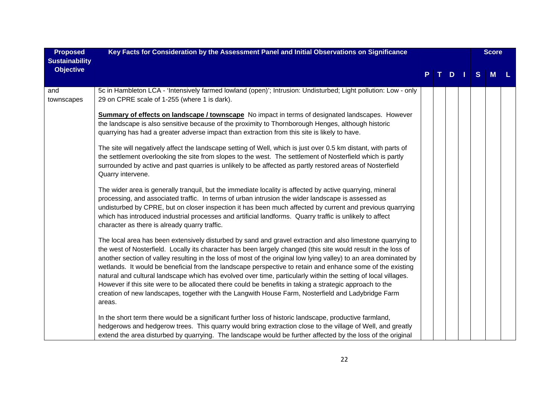| <b>Proposed</b>                           | Key Facts for Consideration by the Assessment Panel and Initial Observations on Significance                                                                                                                                                                                                                                                                                                                                                                                                                                                                                                                                                                                                                                                                                                                  |  |   |      |   | <b>Score</b> |  |
|-------------------------------------------|---------------------------------------------------------------------------------------------------------------------------------------------------------------------------------------------------------------------------------------------------------------------------------------------------------------------------------------------------------------------------------------------------------------------------------------------------------------------------------------------------------------------------------------------------------------------------------------------------------------------------------------------------------------------------------------------------------------------------------------------------------------------------------------------------------------|--|---|------|---|--------------|--|
| <b>Sustainability</b><br><b>Objective</b> |                                                                                                                                                                                                                                                                                                                                                                                                                                                                                                                                                                                                                                                                                                                                                                                                               |  | D | - 11 | S | M            |  |
| and<br>townscapes                         | 5c in Hambleton LCA - 'Intensively farmed lowland (open)'; Intrusion: Undisturbed; Light pollution: Low - only<br>29 on CPRE scale of 1-255 (where 1 is dark).                                                                                                                                                                                                                                                                                                                                                                                                                                                                                                                                                                                                                                                |  |   |      |   |              |  |
|                                           | <b>Summary of effects on landscape / townscape</b> No impact in terms of designated landscapes. However<br>the landscape is also sensitive because of the proximity to Thornborough Henges, although historic<br>quarrying has had a greater adverse impact than extraction from this site is likely to have.                                                                                                                                                                                                                                                                                                                                                                                                                                                                                                 |  |   |      |   |              |  |
|                                           | The site will negatively affect the landscape setting of Well, which is just over 0.5 km distant, with parts of<br>the settlement overlooking the site from slopes to the west. The settlement of Nosterfield which is partly<br>surrounded by active and past quarries is unlikely to be affected as partly restored areas of Nosterfield<br>Quarry intervene.                                                                                                                                                                                                                                                                                                                                                                                                                                               |  |   |      |   |              |  |
|                                           | The wider area is generally tranquil, but the immediate locality is affected by active quarrying, mineral<br>processing, and associated traffic. In terms of urban intrusion the wider landscape is assessed as<br>undisturbed by CPRE, but on closer inspection it has been much affected by current and previous quarrying<br>which has introduced industrial processes and artificial landforms. Quarry traffic is unlikely to affect<br>character as there is already quarry traffic.                                                                                                                                                                                                                                                                                                                     |  |   |      |   |              |  |
|                                           | The local area has been extensively disturbed by sand and gravel extraction and also limestone quarrying to<br>the west of Nosterfield. Locally its character has been largely changed (this site would result in the loss of<br>another section of valley resulting in the loss of most of the original low lying valley) to an area dominated by<br>wetlands. It would be beneficial from the landscape perspective to retain and enhance some of the existing<br>natural and cultural landscape which has evolved over time, particularly within the setting of local villages.<br>However if this site were to be allocated there could be benefits in taking a strategic approach to the<br>creation of new landscapes, together with the Langwith House Farm, Nosterfield and Ladybridge Farm<br>areas. |  |   |      |   |              |  |
|                                           | In the short term there would be a significant further loss of historic landscape, productive farmland,<br>hedgerows and hedgerow trees. This quarry would bring extraction close to the village of Well, and greatly<br>extend the area disturbed by quarrying. The landscape would be further affected by the loss of the original                                                                                                                                                                                                                                                                                                                                                                                                                                                                          |  |   |      |   |              |  |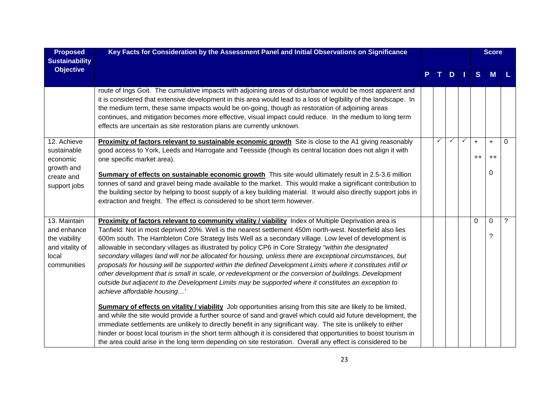| <b>Proposed</b><br><b>Sustainability</b>                                                | Key Facts for Consideration by the Assessment Panel and Initial Observations on Significance                                                                                                                                                                                                                                                                                                                                                                                                                                                                                                                                                                                                                                                                                                                                                                                                                                                                                                                                         |   |              |              |             | <b>Score</b>     |          |
|-----------------------------------------------------------------------------------------|--------------------------------------------------------------------------------------------------------------------------------------------------------------------------------------------------------------------------------------------------------------------------------------------------------------------------------------------------------------------------------------------------------------------------------------------------------------------------------------------------------------------------------------------------------------------------------------------------------------------------------------------------------------------------------------------------------------------------------------------------------------------------------------------------------------------------------------------------------------------------------------------------------------------------------------------------------------------------------------------------------------------------------------|---|--------------|--------------|-------------|------------------|----------|
| <b>Objective</b>                                                                        |                                                                                                                                                                                                                                                                                                                                                                                                                                                                                                                                                                                                                                                                                                                                                                                                                                                                                                                                                                                                                                      |   | D            | - 1          | S           | M                |          |
|                                                                                         | route of Ings Goit. The cumulative impacts with adjoining areas of disturbance would be most apparent and<br>it is considered that extensive development in this area would lead to a loss of legibility of the landscape. In<br>the medium term, these same impacts would be on-going, though as restoration of adjoining areas<br>continues, and mitigation becomes more effective, visual impact could reduce. In the medium to long term<br>effects are uncertain as site restoration plans are currently unknown.                                                                                                                                                                                                                                                                                                                                                                                                                                                                                                               |   |              |              |             |                  |          |
| 12. Achieve<br>sustainable<br>economic<br>growth and                                    | Proximity of factors relevant to sustainable economic growth Site is close to the A1 giving reasonably<br>good access to York, Leeds and Harrogate and Teesside (though its central location does not align it with<br>one specific market area).                                                                                                                                                                                                                                                                                                                                                                                                                                                                                                                                                                                                                                                                                                                                                                                    | ✓ | $\checkmark$ | $\checkmark$ | $+$<br>$++$ | $+$<br>$++$      | $\Omega$ |
| create and<br>support jobs                                                              | Summary of effects on sustainable economic growth This site would ultimately result in 2.5-3.6 million<br>tonnes of sand and gravel being made available to the market. This would make a significant contribution to<br>the building sector by helping to boost supply of a key building material. It would also directly support jobs in<br>extraction and freight. The effect is considered to be short term however.                                                                                                                                                                                                                                                                                                                                                                                                                                                                                                                                                                                                             |   |              |              |             | 0                |          |
| 13. Maintain<br>and enhance<br>the viability<br>and vitality of<br>local<br>communities | Proximity of factors relevant to community vitality / viability Index of Multiple Deprivation area is<br>Tanfield: Not in most deprived 20%. Well is the nearest settlement 450m north-west. Nosterfield also lies<br>600m south. The Hambleton Core Strategy lists Well as a secondary village. Low level of development is<br>allowable in secondary villages as illustrated by policy CP6 in Core Strategy "within the designated<br>secondary villages land will not be allocated for housing, unless there are exceptional circumstances, but<br>proposals for housing will be supported within the defined Development Limits where it constitutes infill or<br>other development that is small in scale, or redevelopment or the conversion of buildings. Development<br>outside but adjacent to the Development Limits may be supported where it constitutes an exception to<br>achieve affordable housing'<br>Summary of effects on vitality / viability Job opportunities arising from this site are likely to be limited, |   |              |              | $\Omega$    | $\mathbf 0$<br>? | ?        |
|                                                                                         | and while the site would provide a further source of sand and gravel which could aid future development, the<br>immediate settlements are unlikely to directly benefit in any significant way. The site is unlikely to either<br>hinder or boost local tourism in the short term although it is considered that opportunities to boost tourism in<br>the area could arise in the long term depending on site restoration. Overall any effect is considered to be                                                                                                                                                                                                                                                                                                                                                                                                                                                                                                                                                                     |   |              |              |             |                  |          |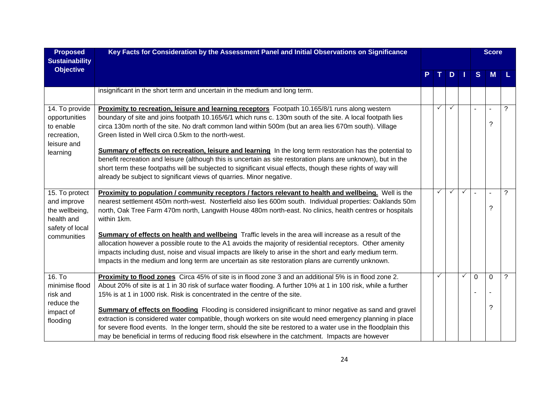| <b>Proposed</b><br><b>Sustainability</b>                                         | Key Facts for Consideration by the Assessment Panel and Initial Observations on Significance                                                                                                                                                                                                                                                                                                                                                       |              |              |              |          | <b>Score</b>        |   |
|----------------------------------------------------------------------------------|----------------------------------------------------------------------------------------------------------------------------------------------------------------------------------------------------------------------------------------------------------------------------------------------------------------------------------------------------------------------------------------------------------------------------------------------------|--------------|--------------|--------------|----------|---------------------|---|
| <b>Objective</b>                                                                 |                                                                                                                                                                                                                                                                                                                                                                                                                                                    |              | $D$          |              | S        | <b>M</b>            |   |
|                                                                                  | insignificant in the short term and uncertain in the medium and long term.                                                                                                                                                                                                                                                                                                                                                                         |              |              |              |          |                     |   |
| 14. To provide<br>opportunities<br>to enable<br>recreation,<br>leisure and       | Proximity to recreation, leisure and learning receptors Footpath 10.165/8/1 runs along western<br>boundary of site and joins footpath 10.165/6/1 which runs c. 130m south of the site. A local footpath lies<br>circa 130m north of the site. No draft common land within 500m (but an area lies 670m south). Village<br>Green listed in Well circa 0.5km to the north-west.                                                                       | ✓            |              |              |          | ?                   | ? |
| learning                                                                         | Summary of effects on recreation, leisure and learning In the long term restoration has the potential to<br>benefit recreation and leisure (although this is uncertain as site restoration plans are unknown), but in the<br>short term these footpaths will be subjected to significant visual effects, though these rights of way will<br>already be subject to significant views of quarries. Minor negative.                                   |              |              |              |          |                     |   |
| 15. To protect<br>and improve<br>the wellbeing,<br>health and<br>safety of local | <b>Proximity to population / community receptors / factors relevant to health and wellbeing.</b> Well is the<br>nearest settlement 450m north-west. Nosterfield also lies 600m south. Individual properties: Oaklands 50m<br>north, Oak Tree Farm 470m north, Langwith House 480m north-east. No clinics, health centres or hospitals<br>within 1km.                                                                                               | $\checkmark$ | $\checkmark$ | $\checkmark$ |          | $\blacksquare$<br>? | ? |
| communities                                                                      | Summary of effects on health and wellbeing Traffic levels in the area will increase as a result of the<br>allocation however a possible route to the A1 avoids the majority of residential receptors. Other amenity<br>impacts including dust, noise and visual impacts are likely to arise in the short and early medium term.<br>Impacts in the medium and long term are uncertain as site restoration plans are currently unknown.              |              |              |              |          |                     |   |
| 16. T <sub>o</sub><br>minimise flood<br>risk and                                 | Proximity to flood zones Circa 45% of site is in flood zone 3 and an additional 5% is in flood zone 2.<br>About 20% of site is at 1 in 30 risk of surface water flooding. A further 10% at 1 in 100 risk, while a further<br>15% is at 1 in 1000 risk. Risk is concentrated in the centre of the site.                                                                                                                                             | ✓            |              | $\checkmark$ | $\Omega$ | $\Omega$            | ? |
| reduce the<br>impact of<br>flooding                                              | <b>Summary of effects on flooding</b> Flooding is considered insignificant to minor negative as sand and gravel<br>extraction is considered water compatible, though workers on site would need emergency planning in place<br>for severe flood events. In the longer term, should the site be restored to a water use in the floodplain this<br>may be beneficial in terms of reducing flood risk elsewhere in the catchment. Impacts are however |              |              |              |          | ?                   |   |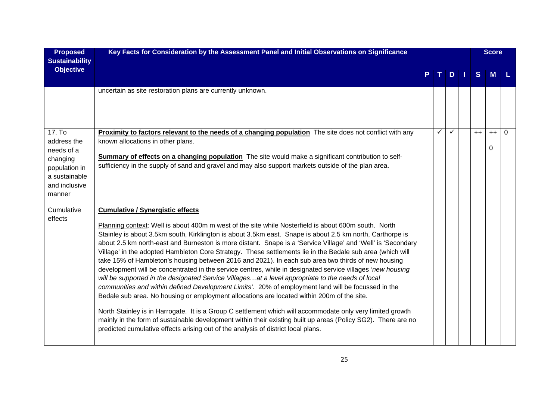| <b>Proposed</b><br><b>Sustainability</b>                                                                     | Key Facts for Consideration by the Assessment Panel and Initial Observations on Significance                                                                                                                                                                                                                                                                                                                                                                                                                                                                                                                                                                                                                                                                                                                                                                                                                                                                                                                                                                                                                                                                                                                                                                                                                                              |              |               |      | <b>Score</b>     |   |
|--------------------------------------------------------------------------------------------------------------|-------------------------------------------------------------------------------------------------------------------------------------------------------------------------------------------------------------------------------------------------------------------------------------------------------------------------------------------------------------------------------------------------------------------------------------------------------------------------------------------------------------------------------------------------------------------------------------------------------------------------------------------------------------------------------------------------------------------------------------------------------------------------------------------------------------------------------------------------------------------------------------------------------------------------------------------------------------------------------------------------------------------------------------------------------------------------------------------------------------------------------------------------------------------------------------------------------------------------------------------------------------------------------------------------------------------------------------------|--------------|---------------|------|------------------|---|
| <b>Objective</b>                                                                                             |                                                                                                                                                                                                                                                                                                                                                                                                                                                                                                                                                                                                                                                                                                                                                                                                                                                                                                                                                                                                                                                                                                                                                                                                                                                                                                                                           |              | $D \mid \mid$ | S    | M                |   |
|                                                                                                              | uncertain as site restoration plans are currently unknown.                                                                                                                                                                                                                                                                                                                                                                                                                                                                                                                                                                                                                                                                                                                                                                                                                                                                                                                                                                                                                                                                                                                                                                                                                                                                                |              |               |      |                  |   |
| 17. To<br>address the<br>needs of a<br>changing<br>population in<br>a sustainable<br>and inclusive<br>manner | Proximity to factors relevant to the needs of a changing population The site does not conflict with any<br>known allocations in other plans.<br>Summary of effects on a changing population The site would make a significant contribution to self-<br>sufficiency in the supply of sand and gravel and may also support markets outside of the plan area.                                                                                                                                                                                                                                                                                                                                                                                                                                                                                                                                                                                                                                                                                                                                                                                                                                                                                                                                                                                | $\checkmark$ |               | $++$ | $++$<br>$\Omega$ | 0 |
| Cumulative<br>effects                                                                                        | <b>Cumulative / Synergistic effects</b><br>Planning context: Well is about 400m m west of the site while Nosterfield is about 600m south. North<br>Stainley is about 3.5km south, Kirklington is about 3.5km east. Snape is about 2.5 km north, Carthorpe is<br>about 2.5 km north-east and Burneston is more distant. Snape is a 'Service Village' and 'Well' is 'Secondary<br>Village' in the adopted Hambleton Core Strategy. These settlements lie in the Bedale sub area (which will<br>take 15% of Hambleton's housing between 2016 and 2021). In each sub area two thirds of new housing<br>development will be concentrated in the service centres, while in designated service villages 'new housing<br>will be supported in the designated Service Villagesat a level appropriate to the needs of local<br>communities and within defined Development Limits'. 20% of employment land will be focussed in the<br>Bedale sub area. No housing or employment allocations are located within 200m of the site.<br>North Stainley is in Harrogate. It is a Group C settlement which will accommodate only very limited growth<br>mainly in the form of sustainable development within their existing built up areas (Policy SG2). There are no<br>predicted cumulative effects arising out of the analysis of district local plans. |              |               |      |                  |   |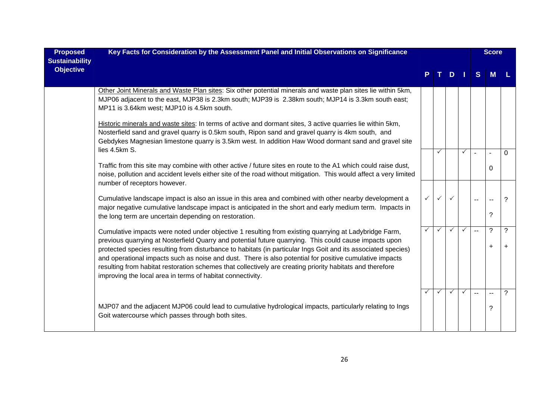| <b>Proposed</b><br><b>Sustainability</b> | Key Facts for Consideration by the Assessment Panel and Initial Observations on Significance                                                                                                                                                                                                                                                                                                                                                                                                                                                                                                                           |              | D            |              |              |                | <b>Score</b>                  |                |
|------------------------------------------|------------------------------------------------------------------------------------------------------------------------------------------------------------------------------------------------------------------------------------------------------------------------------------------------------------------------------------------------------------------------------------------------------------------------------------------------------------------------------------------------------------------------------------------------------------------------------------------------------------------------|--------------|--------------|--------------|--------------|----------------|-------------------------------|----------------|
| <b>Objective</b>                         |                                                                                                                                                                                                                                                                                                                                                                                                                                                                                                                                                                                                                        |              |              |              |              | S              | M                             |                |
|                                          | Other Joint Minerals and Waste Plan sites: Six other potential minerals and waste plan sites lie within 5km,<br>MJP06 adjacent to the east, MJP38 is 2.3km south; MJP39 is 2.38km south; MJP14 is 3.3km south east;<br>MP11 is 3.64km west; MJP10 is 4.5km south.                                                                                                                                                                                                                                                                                                                                                      |              |              |              |              |                |                               |                |
|                                          | Historic minerals and waste sites: In terms of active and dormant sites, 3 active quarries lie within 5km,<br>Nosterfield sand and gravel quarry is 0.5km south, Ripon sand and gravel quarry is 4km south, and<br>Gebdykes Magnesian limestone quarry is 3.5km west. In addition Haw Wood dormant sand and gravel site<br>lies 4.5km S.                                                                                                                                                                                                                                                                               |              |              |              |              |                |                               |                |
|                                          | Traffic from this site may combine with other active / future sites en route to the A1 which could raise dust,<br>noise, pollution and accident levels either site of the road without mitigation. This would affect a very limited<br>number of receptors however.                                                                                                                                                                                                                                                                                                                                                    |              | ✓            |              | ✓            |                | 0                             | $\Omega$       |
|                                          | Cumulative landscape impact is also an issue in this area and combined with other nearby development a<br>major negative cumulative landscape impact is anticipated in the short and early medium term. Impacts in<br>the long term are uncertain depending on restoration.                                                                                                                                                                                                                                                                                                                                            | $\checkmark$ | ✓            | $\checkmark$ |              | $\overline{a}$ | $\mathbf{u}$<br>?             | ?              |
|                                          | Cumulative impacts were noted under objective 1 resulting from existing quarrying at Ladybridge Farm,<br>previous quarrying at Nosterfield Quarry and potential future quarrying. This could cause impacts upon<br>protected species resulting from disturbance to habitats (in particular Ings Goit and its associated species)<br>and operational impacts such as noise and dust. There is also potential for positive cumulative impacts<br>resulting from habitat restoration schemes that collectively are creating priority habitats and therefore<br>improving the local area in terms of habitat connectivity. | $\checkmark$ | ✓            | ✓            | ✓            | $\mathbf{u}$   | ?<br>$\ddot{}$                | ?<br>$\ddot{}$ |
|                                          | MJP07 and the adjacent MJP06 could lead to cumulative hydrological impacts, particularly relating to Ings<br>Goit watercourse which passes through both sites.                                                                                                                                                                                                                                                                                                                                                                                                                                                         | $\checkmark$ | $\checkmark$ | $\checkmark$ | $\checkmark$ | $\overline{a}$ | $\overline{\phantom{a}}$<br>? | ?              |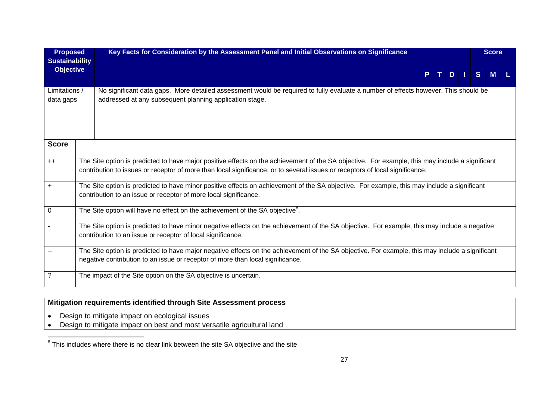| <b>Proposed</b><br><b>Sustainability</b> | Key Facts for Consideration by the Assessment Panel and Initial Observations on Significance                                                                                                                                                                                    |  |  |               |  |              |  |  |  |  |  |  |  |  |  |  |  |  |  | <b>Score</b> |  |
|------------------------------------------|---------------------------------------------------------------------------------------------------------------------------------------------------------------------------------------------------------------------------------------------------------------------------------|--|--|---------------|--|--------------|--|--|--|--|--|--|--|--|--|--|--|--|--|--------------|--|
| <b>Objective</b>                         |                                                                                                                                                                                                                                                                                 |  |  | $D$   $\vert$ |  | <sub>S</sub> |  |  |  |  |  |  |  |  |  |  |  |  |  |              |  |
| Limitations /<br>data gaps               | No significant data gaps. More detailed assessment would be required to fully evaluate a number of effects however. This should be<br>addressed at any subsequent planning application stage.                                                                                   |  |  |               |  |              |  |  |  |  |  |  |  |  |  |  |  |  |  |              |  |
| <b>Score</b>                             |                                                                                                                                                                                                                                                                                 |  |  |               |  |              |  |  |  |  |  |  |  |  |  |  |  |  |  |              |  |
| $++$                                     | The Site option is predicted to have major positive effects on the achievement of the SA objective. For example, this may include a significant<br>contribution to issues or receptor of more than local significance, or to several issues or receptors of local significance. |  |  |               |  |              |  |  |  |  |  |  |  |  |  |  |  |  |  |              |  |
| $+$                                      | The Site option is predicted to have minor positive effects on achievement of the SA objective. For example, this may include a significant<br>contribution to an issue or receptor of more local significance.                                                                 |  |  |               |  |              |  |  |  |  |  |  |  |  |  |  |  |  |  |              |  |
| $\mathbf 0$                              | The Site option will have no effect on the achievement of the SA objective <sup>8</sup> .                                                                                                                                                                                       |  |  |               |  |              |  |  |  |  |  |  |  |  |  |  |  |  |  |              |  |
|                                          | The Site option is predicted to have minor negative effects on the achievement of the SA objective. For example, this may include a negative<br>contribution to an issue or receptor of local significance.                                                                     |  |  |               |  |              |  |  |  |  |  |  |  |  |  |  |  |  |  |              |  |
|                                          | The Site option is predicted to have major negative effects on the achievement of the SA objective. For example, this may include a significant<br>negative contribution to an issue or receptor of more than local significance.                                               |  |  |               |  |              |  |  |  |  |  |  |  |  |  |  |  |  |  |              |  |
| ?                                        | The impact of the Site option on the SA objective is uncertain.                                                                                                                                                                                                                 |  |  |               |  |              |  |  |  |  |  |  |  |  |  |  |  |  |  |              |  |

# **Mitigation requirements identified through Site Assessment process**

- Design to mitigate impact on ecological issues
- Design to mitigate impact on best and most versatile agricultural land

 $8$  This includes where there is no clear link between the site SA objective and the site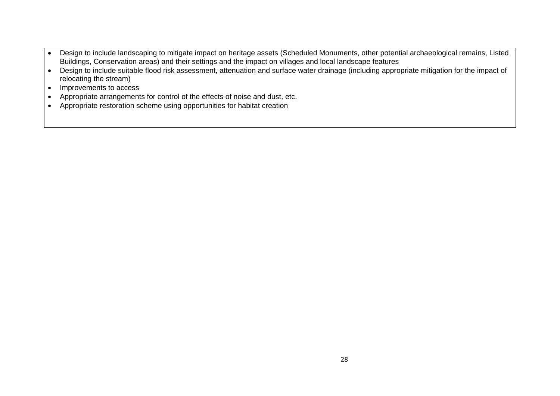- Design to include landscaping to mitigate impact on heritage assets (Scheduled Monuments, other potential archaeological remains, Listed Buildings, Conservation areas) and their settings and the impact on villages and local landscape features
- Design to include suitable flood risk assessment, attenuation and surface water drainage (including appropriate mitigation for the impact of relocating the stream)
- Improvements to access
- Appropriate arrangements for control of the effects of noise and dust, etc.
- Appropriate restoration scheme using opportunities for habitat creation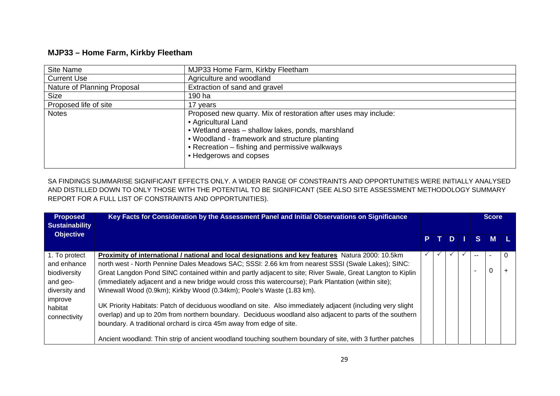### **MJP33 – Home Farm, Kirkby Fleetham**

| Site Name                   | MJP33 Home Farm, Kirkby Fleetham                                                                                                                                                                                                                                         |
|-----------------------------|--------------------------------------------------------------------------------------------------------------------------------------------------------------------------------------------------------------------------------------------------------------------------|
| <b>Current Use</b>          | Agriculture and woodland                                                                                                                                                                                                                                                 |
| Nature of Planning Proposal | Extraction of sand and gravel                                                                                                                                                                                                                                            |
| <b>Size</b>                 | 190 ha                                                                                                                                                                                                                                                                   |
| Proposed life of site       | 17 years                                                                                                                                                                                                                                                                 |
| <b>Notes</b>                | Proposed new quarry. Mix of restoration after uses may include:<br>• Agricultural Land<br>• Wetland areas – shallow lakes, ponds, marshland<br>• Woodland - framework and structure planting<br>• Recreation - fishing and permissive walkways<br>• Hedgerows and copses |

SA FINDINGS SUMMARISE SIGNIFICANT EFFECTS ONLY. A WIDER RANGE OF CONSTRAINTS AND OPPORTUNITIES WERE INITIALLY ANALYSED AND DISTILLED DOWN TO ONLY THOSE WITH THE POTENTIAL TO BE SIGNIFICANT (SEE ALSO SITE ASSESSMENT METHODOLOGY SUMMARY REPORT FOR A FULL LIST OF CONSTRAINTS AND OPPORTUNITIES).

| <b>Proposed</b><br><b>Sustainability</b> | Key Facts for Consideration by the Assessment Panel and Initial Observations on Significance                                                                                                                                                                                                    |              |  |           |  |     | <b>Score</b>   |   |  |  |  |
|------------------------------------------|-------------------------------------------------------------------------------------------------------------------------------------------------------------------------------------------------------------------------------------------------------------------------------------------------|--------------|--|-----------|--|-----|----------------|---|--|--|--|
| <b>Objective</b>                         |                                                                                                                                                                                                                                                                                                 |              |  |           |  |     |                |   |  |  |  |
|                                          |                                                                                                                                                                                                                                                                                                 | P            |  | $\bullet$ |  | S.  | M <sub>l</sub> |   |  |  |  |
| 1. To protect                            | Proximity of international / national and local designations and key features Natura 2000: 10.5km                                                                                                                                                                                               | $\checkmark$ |  |           |  | $-$ |                | 0 |  |  |  |
| and enhance                              | north west - North Pennine Dales Meadows SAC; SSSI: 2.66 km from nearest SSSI (Swale Lakes); SINC:                                                                                                                                                                                              |              |  |           |  |     |                |   |  |  |  |
| biodiversity                             | Great Langdon Pond SINC contained within and partly adjacent to site; River Swale, Great Langton to Kiplin                                                                                                                                                                                      |              |  |           |  |     |                |   |  |  |  |
| and geo-                                 | (immediately adjacent and a new bridge would cross this watercourse); Park Plantation (within site);                                                                                                                                                                                            |              |  |           |  |     |                |   |  |  |  |
| diversity and                            | Winewall Wood (0.9km); Kirkby Wood (0.34km); Poole's Waste (1.83 km).                                                                                                                                                                                                                           |              |  |           |  |     |                |   |  |  |  |
| improve<br>habitat<br>connectivity       | UK Priority Habitats: Patch of deciduous woodland on site. Also immediately adjacent (including very slight<br>overlap) and up to 20m from northern boundary. Deciduous woodland also adjacent to parts of the southern<br>boundary. A traditional orchard is circa 45m away from edge of site. |              |  |           |  |     |                |   |  |  |  |
|                                          | Ancient woodland: Thin strip of ancient woodland touching southern boundary of site, with 3 further patches                                                                                                                                                                                     |              |  |           |  |     |                |   |  |  |  |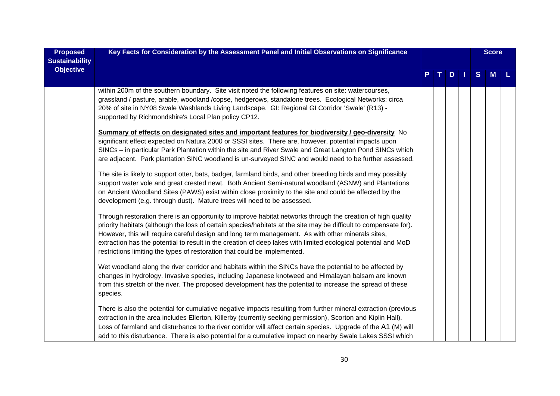| <b>Proposed</b><br><b>Sustainability</b> | Key Facts for Consideration by the Assessment Panel and Initial Observations on Significance                                                                                                                                                                                                                                                                                                                                                                                                                                                                                                                                                                                                                                                                                                                                                                                                                                                                                                                                                                                      |  |     |              | <b>Score</b> |  |
|------------------------------------------|-----------------------------------------------------------------------------------------------------------------------------------------------------------------------------------------------------------------------------------------------------------------------------------------------------------------------------------------------------------------------------------------------------------------------------------------------------------------------------------------------------------------------------------------------------------------------------------------------------------------------------------------------------------------------------------------------------------------------------------------------------------------------------------------------------------------------------------------------------------------------------------------------------------------------------------------------------------------------------------------------------------------------------------------------------------------------------------|--|-----|--------------|--------------|--|
| <b>Objective</b>                         |                                                                                                                                                                                                                                                                                                                                                                                                                                                                                                                                                                                                                                                                                                                                                                                                                                                                                                                                                                                                                                                                                   |  | $D$ | <sub>S</sub> | M            |  |
|                                          | within 200m of the southern boundary. Site visit noted the following features on site: watercourses,<br>grassland / pasture, arable, woodland /copse, hedgerows, standalone trees. Ecological Networks: circa<br>20% of site in NY08 Swale Washlands Living Landscape. GI: Regional GI Corridor 'Swale' (R13) -<br>supported by Richmondshire's Local Plan policy CP12.                                                                                                                                                                                                                                                                                                                                                                                                                                                                                                                                                                                                                                                                                                           |  |     |              |              |  |
|                                          | Summary of effects on designated sites and important features for biodiversity / geo-diversity No<br>significant effect expected on Natura 2000 or SSSI sites. There are, however, potential impacts upon<br>SINCs - in particular Park Plantation within the site and River Swale and Great Langton Pond SINCs which<br>are adjacent. Park plantation SINC woodland is un-surveyed SINC and would need to be further assessed.<br>The site is likely to support otter, bats, badger, farmland birds, and other breeding birds and may possibly<br>support water vole and great crested newt. Both Ancient Semi-natural woodland (ASNW) and Plantations<br>on Ancient Woodland Sites (PAWS) exist within close proximity to the site and could be affected by the<br>development (e.g. through dust). Mature trees will need to be assessed.<br>Through restoration there is an opportunity to improve habitat networks through the creation of high quality<br>priority habitats (although the loss of certain species/habitats at the site may be difficult to compensate for). |  |     |              |              |  |
|                                          | However, this will require careful design and long term management. As with other minerals sites,<br>extraction has the potential to result in the creation of deep lakes with limited ecological potential and MoD<br>restrictions limiting the types of restoration that could be implemented.<br>Wet woodland along the river corridor and habitats within the SINCs have the potential to be affected by<br>changes in hydrology. Invasive species, including Japanese knotweed and Himalayan balsam are known<br>from this stretch of the river. The proposed development has the potential to increase the spread of these<br>species.                                                                                                                                                                                                                                                                                                                                                                                                                                      |  |     |              |              |  |
|                                          | There is also the potential for cumulative negative impacts resulting from further mineral extraction (previous<br>extraction in the area includes Ellerton, Killerby (currently seeking permission), Scorton and Kiplin Hall).<br>Loss of farmland and disturbance to the river corridor will affect certain species. Upgrade of the A1 (M) will<br>add to this disturbance. There is also potential for a cumulative impact on nearby Swale Lakes SSSI which                                                                                                                                                                                                                                                                                                                                                                                                                                                                                                                                                                                                                    |  |     |              |              |  |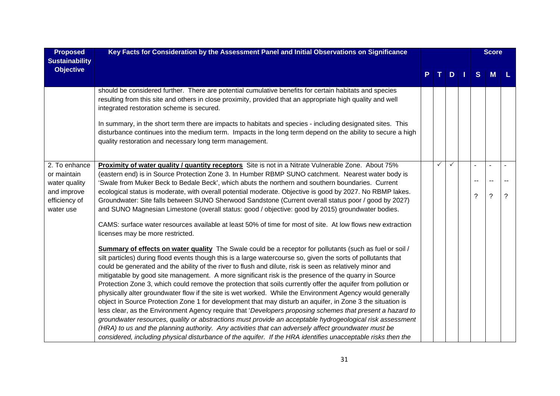| <b>Proposed</b><br><b>Sustainability</b>                                                   | Key Facts for Consideration by the Assessment Panel and Initial Observations on Significance                                                                                                                                                                                                                                                                                                                                                                                                                                                                                                                                                                                                                                                                                                                                                                                                                                                                                                                            |    |              |                |   | <b>Score</b> |                |
|--------------------------------------------------------------------------------------------|-------------------------------------------------------------------------------------------------------------------------------------------------------------------------------------------------------------------------------------------------------------------------------------------------------------------------------------------------------------------------------------------------------------------------------------------------------------------------------------------------------------------------------------------------------------------------------------------------------------------------------------------------------------------------------------------------------------------------------------------------------------------------------------------------------------------------------------------------------------------------------------------------------------------------------------------------------------------------------------------------------------------------|----|--------------|----------------|---|--------------|----------------|
| <b>Objective</b>                                                                           |                                                                                                                                                                                                                                                                                                                                                                                                                                                                                                                                                                                                                                                                                                                                                                                                                                                                                                                                                                                                                         | T. | D            | $\blacksquare$ | S | M            |                |
|                                                                                            | should be considered further. There are potential cumulative benefits for certain habitats and species<br>resulting from this site and others in close proximity, provided that an appropriate high quality and well<br>integrated restoration scheme is secured.                                                                                                                                                                                                                                                                                                                                                                                                                                                                                                                                                                                                                                                                                                                                                       |    |              |                |   |              |                |
|                                                                                            | In summary, in the short term there are impacts to habitats and species - including designated sites. This<br>disturbance continues into the medium term. Impacts in the long term depend on the ability to secure a high<br>quality restoration and necessary long term management.                                                                                                                                                                                                                                                                                                                                                                                                                                                                                                                                                                                                                                                                                                                                    |    |              |                |   |              |                |
| 2. To enhance<br>or maintain<br>water quality<br>and improve<br>efficiency of<br>water use | Proximity of water quality / quantity receptors Site is not in a Nitrate Vulnerable Zone. About 75%<br>(eastern end) is in Source Protection Zone 3. In Humber RBMP SUNO catchment. Nearest water body is<br>'Swale from Muker Beck to Bedale Beck', which abuts the northern and southern boundaries. Current<br>ecological status is moderate, with overall potential moderate. Objective is good by 2027. No RBMP lakes.<br>Groundwater: Site falls between SUNO Sherwood Sandstone (Current overall status poor / good by 2027)<br>and SUNO Magnesian Limestone (overall status: good / objective: good by 2015) groundwater bodies.<br>CAMS: surface water resources available at least 50% of time for most of site. At low flows new extraction<br>licenses may be more restricted.<br>Summary of effects on water quality The Swale could be a receptor for pollutants (such as fuel or soil /<br>silt particles) during flood events though this is a large watercourse so, given the sorts of pollutants that | ✓  | $\checkmark$ |                | ? | $\tilde{?}$  | $\overline{?}$ |
|                                                                                            | could be generated and the ability of the river to flush and dilute, risk is seen as relatively minor and<br>mitigatable by good site management. A more significant risk is the presence of the quarry in Source<br>Protection Zone 3, which could remove the protection that soils currently offer the aquifer from pollution or<br>physically alter groundwater flow if the site is wet worked. While the Environment Agency would generally<br>object in Source Protection Zone 1 for development that may disturb an aquifer, in Zone 3 the situation is<br>less clear, as the Environment Agency require that 'Developers proposing schemes that present a hazard to<br>groundwater resources, quality or abstractions must provide an acceptable hydrogeological risk assessment<br>(HRA) to us and the planning authority. Any activities that can adversely affect groundwater must be<br>considered, including physical disturbance of the aquifer. If the HRA identifies unacceptable risks then the         |    |              |                |   |              |                |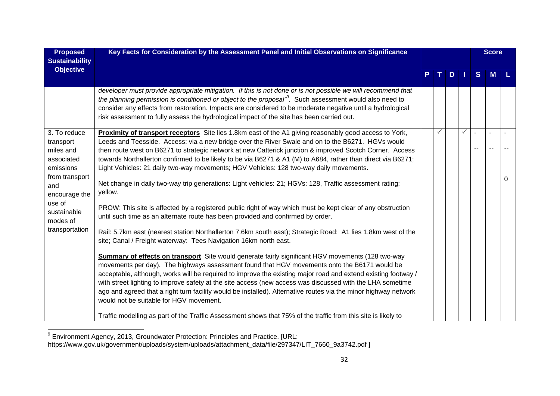| <b>Proposed</b><br><b>Sustainability</b>                          | Key Facts for Consideration by the Assessment Panel and Initial Observations on Significance                                                                                                                                                                                                                                                                                                                                                                                                                                                                                                         |              |     |              |                         | <b>Score</b> |   |
|-------------------------------------------------------------------|------------------------------------------------------------------------------------------------------------------------------------------------------------------------------------------------------------------------------------------------------------------------------------------------------------------------------------------------------------------------------------------------------------------------------------------------------------------------------------------------------------------------------------------------------------------------------------------------------|--------------|-----|--------------|-------------------------|--------------|---|
| <b>Objective</b>                                                  |                                                                                                                                                                                                                                                                                                                                                                                                                                                                                                                                                                                                      |              | TDI |              | S                       | <b>M</b>     |   |
|                                                                   | developer must provide appropriate mitigation. If this is not done or is not possible we will recommend that<br>the planning permission is conditioned or object to the proposal <sup>®</sup> . Such assessment would also need to<br>consider any effects from restoration. Impacts are considered to be moderate negative until a hydrological<br>risk assessment to fully assess the hydrological impact of the site has been carried out.                                                                                                                                                        |              |     |              |                         |              |   |
| 3. To reduce<br>transport<br>miles and<br>associated<br>emissions | Proximity of transport receptors Site lies 1.8km east of the A1 giving reasonably good access to York,<br>Leeds and Teesside. Access: via a new bridge over the River Swale and on to the B6271. HGVs would<br>then route west on B6271 to strategic network at new Catterick junction & improved Scotch Corner. Access<br>towards Northallerton confirmed to be likely to be via B6271 & A1 (M) to A684, rather than direct via B6271;<br>Light Vehicles: 21 daily two-way movements; HGV Vehicles: 128 two-way daily movements.                                                                    | $\checkmark$ |     | $\checkmark$ | $\blacksquare$<br>$- -$ |              |   |
| from transport<br>and<br>encourage the                            | Net change in daily two-way trip generations: Light vehicles: 21; HGVs: 128, Traffic assessment rating:<br>yellow.                                                                                                                                                                                                                                                                                                                                                                                                                                                                                   |              |     |              |                         |              | 0 |
| use of<br>sustainable<br>modes of                                 | PROW: This site is affected by a registered public right of way which must be kept clear of any obstruction<br>until such time as an alternate route has been provided and confirmed by order.                                                                                                                                                                                                                                                                                                                                                                                                       |              |     |              |                         |              |   |
| transportation                                                    | Rail: 5.7km east (nearest station Northallerton 7.6km south east); Strategic Road: A1 lies 1.8km west of the<br>site; Canal / Freight waterway: Tees Navigation 16km north east.                                                                                                                                                                                                                                                                                                                                                                                                                     |              |     |              |                         |              |   |
|                                                                   | <b>Summary of effects on transport</b> Site would generate fairly significant HGV movements (128 two-way<br>movements per day). The highways assessment found that HGV movements onto the B6171 would be<br>acceptable, although, works will be required to improve the existing major road and extend existing footway /<br>with street lighting to improve safety at the site access (new access was discussed with the LHA sometime<br>ago and agreed that a right turn facility would be installed). Alternative routes via the minor highway network<br>would not be suitable for HGV movement. |              |     |              |                         |              |   |
|                                                                   | Traffic modelling as part of the Traffic Assessment shows that 75% of the traffic from this site is likely to                                                                                                                                                                                                                                                                                                                                                                                                                                                                                        |              |     |              |                         |              |   |

<sup>&</sup>lt;sup>9</sup> Environment Agency, 2013, Groundwater Protection: Principles and Practice. [URL:

https://www.gov.uk/government/uploads/system/uploads/attachment\_data/file/297347/LIT\_7660\_9a3742.pdf ]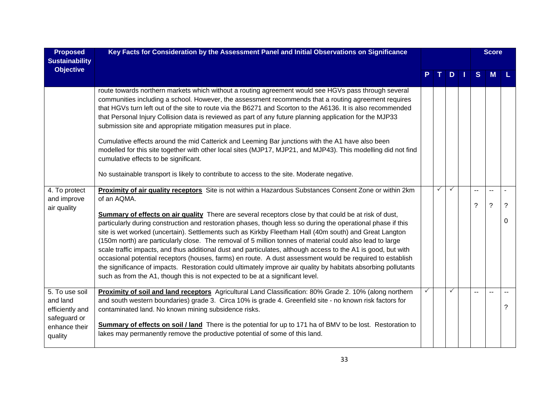| <b>Proposed</b><br><b>Sustainability</b>                                                  | Key Facts for Consideration by the Assessment Panel and Initial Observations on Significance                                                                                                                                                                                                                                                                                                                                                                                                                                                                                                                                                                                                                                                                                                                                                                                          |              |              |                          | <b>Score</b>  |   |
|-------------------------------------------------------------------------------------------|---------------------------------------------------------------------------------------------------------------------------------------------------------------------------------------------------------------------------------------------------------------------------------------------------------------------------------------------------------------------------------------------------------------------------------------------------------------------------------------------------------------------------------------------------------------------------------------------------------------------------------------------------------------------------------------------------------------------------------------------------------------------------------------------------------------------------------------------------------------------------------------|--------------|--------------|--------------------------|---------------|---|
| <b>Objective</b>                                                                          |                                                                                                                                                                                                                                                                                                                                                                                                                                                                                                                                                                                                                                                                                                                                                                                                                                                                                       |              | $D$          | S                        | <b>M</b>      |   |
|                                                                                           | route towards northern markets which without a routing agreement would see HGVs pass through several<br>communities including a school. However, the assessment recommends that a routing agreement requires<br>that HGVs turn left out of the site to route via the B6271 and Scorton to the A6136. It is also recommended<br>that Personal Injury Collision data is reviewed as part of any future planning application for the MJP33<br>submission site and appropriate mitigation measures put in place.                                                                                                                                                                                                                                                                                                                                                                          |              |              |                          |               |   |
|                                                                                           | Cumulative effects around the mid Catterick and Leeming Bar junctions with the A1 have also been<br>modelled for this site together with other local sites (MJP17, MJP21, and MJP43). This modelling did not find<br>cumulative effects to be significant.                                                                                                                                                                                                                                                                                                                                                                                                                                                                                                                                                                                                                            |              |              |                          |               |   |
|                                                                                           | No sustainable transport is likely to contribute to access to the site. Moderate negative.                                                                                                                                                                                                                                                                                                                                                                                                                                                                                                                                                                                                                                                                                                                                                                                            |              |              |                          |               |   |
| 4. To protect<br>and improve<br>air quality                                               | Proximity of air quality receptors Site is not within a Hazardous Substances Consent Zone or within 2km<br>of an AQMA.                                                                                                                                                                                                                                                                                                                                                                                                                                                                                                                                                                                                                                                                                                                                                                | $\checkmark$ | $\checkmark$ | --<br>?                  | $\tilde{?}$   | ? |
|                                                                                           | <b>Summary of effects on air quality</b> There are several receptors close by that could be at risk of dust,<br>particularly during construction and restoration phases, though less so during the operational phase if this<br>site is wet worked (uncertain). Settlements such as Kirkby Fleetham Hall (40m south) and Great Langton<br>(150m north) are particularly close. The removal of 5 million tonnes of material could also lead to large<br>scale traffic impacts, and thus additional dust and particulates, although access to the A1 is good, but with<br>occasional potential receptors (houses, farms) en route. A dust assessment would be required to establish<br>the significance of impacts. Restoration could ultimately improve air quality by habitats absorbing pollutants<br>such as from the A1, though this is not expected to be at a significant level. |              |              |                          |               | 0 |
| 5. To use soil<br>and land<br>efficiently and<br>safeguard or<br>enhance their<br>quality | Proximity of soil and land receptors Agricultural Land Classification: 80% Grade 2. 10% (along northern<br>and south western boundaries) grade 3. Circa 10% is grade 4. Greenfield site - no known risk factors for<br>contaminated land. No known mining subsidence risks.<br><b>Summary of effects on soil / land</b> There is the potential for up to 171 ha of BMV to be lost. Restoration to<br>lakes may permanently remove the productive potential of some of this land.                                                                                                                                                                                                                                                                                                                                                                                                      |              | $\checkmark$ | $\overline{\phantom{a}}$ | $\sim$ $\sim$ | ? |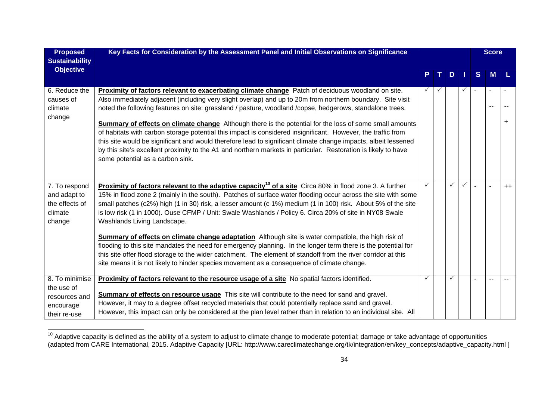| <b>Proposed</b><br><b>Sustainability</b>                                   | Key Facts for Consideration by the Assessment Panel and Initial Observations on Significance                                                                                                                                                                                                                                                                                                                                                                                                                                                                                                                                                                                                                               |              |              |   |              |                          | <b>Score</b> |           |  |
|----------------------------------------------------------------------------|----------------------------------------------------------------------------------------------------------------------------------------------------------------------------------------------------------------------------------------------------------------------------------------------------------------------------------------------------------------------------------------------------------------------------------------------------------------------------------------------------------------------------------------------------------------------------------------------------------------------------------------------------------------------------------------------------------------------------|--------------|--------------|---|--------------|--------------------------|--------------|-----------|--|
| <b>Objective</b>                                                           |                                                                                                                                                                                                                                                                                                                                                                                                                                                                                                                                                                                                                                                                                                                            | P            | T.           | D | П            | S                        | M            |           |  |
| 6. Reduce the<br>causes of<br>climate<br>change                            | Proximity of factors relevant to exacerbating climate change Patch of deciduous woodland on site.<br>Also immediately adjacent (including very slight overlap) and up to 20m from northern boundary. Site visit<br>noted the following features on site: grassland / pasture, woodland /copse, hedgerows, standalone trees.                                                                                                                                                                                                                                                                                                                                                                                                | $\checkmark$ | $\checkmark$ |   | $\checkmark$ | $\overline{\phantom{a}}$ |              | $\ddot{}$ |  |
|                                                                            | Summary of effects on climate change Although there is the potential for the loss of some small amounts<br>of habitats with carbon storage potential this impact is considered insignificant. However, the traffic from<br>this site would be significant and would therefore lead to significant climate change impacts, albeit lessened<br>by this site's excellent proximity to the A1 and northern markets in particular. Restoration is likely to have<br>some potential as a carbon sink.                                                                                                                                                                                                                            |              |              |   |              |                          |              |           |  |
| 7. To respond<br>and adapt to<br>the effects of<br>climate<br>change       | <b>Proximity of factors relevant to the adaptive capacity<sup>10</sup> of a site Circa 80% in flood zone 3. A further</b><br>15% in flood zone 2 (mainly in the south). Patches of surface water flooding occur across the site with some<br>small patches (c2%) high (1 in 30) risk, a lesser amount (c 1%) medium (1 in 100) risk. About 5% of the site<br>is low risk (1 in 1000). Ouse CFMP / Unit: Swale Washlands / Policy 6. Circa 20% of site in NY08 Swale<br>Washlands Living Landscape.<br>Summary of effects on climate change adaptation Although site is water compatible, the high risk of<br>flooding to this site mandates the need for emergency planning. In the longer term there is the potential for |              |              | ✓ | $\checkmark$ | $\overline{\phantom{a}}$ |              | $++$      |  |
|                                                                            | this site offer flood storage to the wider catchment. The element of standoff from the river corridor at this<br>site means it is not likely to hinder species movement as a consequence of climate change.                                                                                                                                                                                                                                                                                                                                                                                                                                                                                                                |              |              |   |              |                          |              |           |  |
| 8. To minimise<br>the use of<br>resources and<br>encourage<br>their re-use | Proximity of factors relevant to the resource usage of a site No spatial factors identified.<br><b>Summary of effects on resource usage</b> This site will contribute to the need for sand and gravel.<br>However, it may to a degree offset recycled materials that could potentially replace sand and gravel.<br>However, this impact can only be considered at the plan level rather than in relation to an individual site. All                                                                                                                                                                                                                                                                                        | ✓            |              | ✓ |              |                          |              |           |  |

 $^{10}$  Adaptive capacity is defined as the ability of a system to adjust to climate change to moderate potential; damage or take advantage of opportunities (adapted from CARE International, 2015. Adaptive Capacity [URL: http://www.careclimatechange.org/tk/integration/en/key\_concepts/adaptive\_capacity.html ]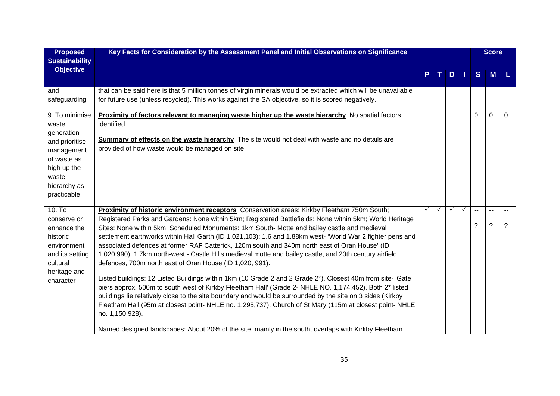| <b>Proposed</b><br><b>Sustainability</b>                                                                                                    | Key Facts for Consideration by the Assessment Panel and Initial Observations on Significance                                                                                                                                                                                                                                                                                                                                                                                                                                                                                                                                                                                                                                                                                                                                                                                                                                                                                                                                                                                                                                                                                                                                                                                |   |              |     |              |          | <b>Score</b>       |                     |
|---------------------------------------------------------------------------------------------------------------------------------------------|-----------------------------------------------------------------------------------------------------------------------------------------------------------------------------------------------------------------------------------------------------------------------------------------------------------------------------------------------------------------------------------------------------------------------------------------------------------------------------------------------------------------------------------------------------------------------------------------------------------------------------------------------------------------------------------------------------------------------------------------------------------------------------------------------------------------------------------------------------------------------------------------------------------------------------------------------------------------------------------------------------------------------------------------------------------------------------------------------------------------------------------------------------------------------------------------------------------------------------------------------------------------------------|---|--------------|-----|--------------|----------|--------------------|---------------------|
| <b>Objective</b>                                                                                                                            |                                                                                                                                                                                                                                                                                                                                                                                                                                                                                                                                                                                                                                                                                                                                                                                                                                                                                                                                                                                                                                                                                                                                                                                                                                                                             |   |              | $D$ |              | S        | M                  | -L.                 |
| and<br>safeguarding                                                                                                                         | that can be said here is that 5 million tonnes of virgin minerals would be extracted which will be unavailable<br>for future use (unless recycled). This works against the SA objective, so it is scored negatively.                                                                                                                                                                                                                                                                                                                                                                                                                                                                                                                                                                                                                                                                                                                                                                                                                                                                                                                                                                                                                                                        |   |              |     |              |          |                    |                     |
| 9. To minimise<br>waste<br>generation<br>and prioritise<br>management<br>of waste as<br>high up the<br>waste<br>hierarchy as<br>practicable | Proximity of factors relevant to managing waste higher up the waste hierarchy No spatial factors<br>identified.<br><b>Summary of effects on the waste hierarchy</b> The site would not deal with waste and no details are<br>provided of how waste would be managed on site.                                                                                                                                                                                                                                                                                                                                                                                                                                                                                                                                                                                                                                                                                                                                                                                                                                                                                                                                                                                                |   |              |     |              | $\Omega$ | $\mathbf 0$        | $\Omega$            |
| $10.$ To<br>conserve or<br>enhance the<br>historic<br>environment<br>and its setting,<br>cultural<br>heritage and<br>character              | Proximity of historic environment receptors Conservation areas: Kirkby Fleetham 750m South;<br>Registered Parks and Gardens: None within 5km; Registered Battlefields: None within 5km; World Heritage<br>Sites: None within 5km; Scheduled Monuments: 1km South- Motte and bailey castle and medieval<br>settlement earthworks within Hall Garth (ID 1,021,103); 1.6 and 1.88km west- 'World War 2 fighter pens and<br>associated defences at former RAF Catterick, 120m south and 340m north east of Oran House' (ID<br>1,020,990); 1.7km north-west - Castle Hills medieval motte and bailey castle, and 20th century airfield<br>defences, 700m north east of Oran House (ID 1,020, 991).<br>Listed buildings: 12 Listed Buildings within 1km (10 Grade 2 and 2 Grade 2*). Closest 40m from site- 'Gate<br>piers approx. 500m to south west of Kirkby Fleetham Hall' (Grade 2- NHLE NO. 1,174,452). Both 2* listed<br>buildings lie relatively close to the site boundary and would be surrounded by the site on 3 sides (Kirkby<br>Fleetham Hall (95m at closest point- NHLE no. 1,295,737), Church of St Mary (115m at closest point- NHLE<br>no. 1,150,928).<br>Named designed landscapes: About 20% of the site, mainly in the south, overlaps with Kirkby Fleetham | ✓ | $\checkmark$ | ✓   | $\checkmark$ | --<br>?  | $\sim$ $\sim$<br>? | $\overline{a}$<br>? |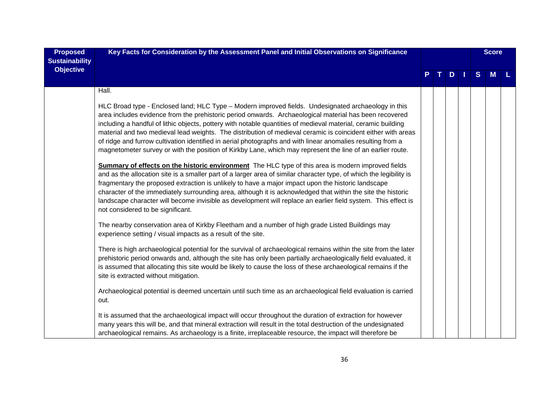| <b>Proposed</b><br><b>Sustainability</b> | Key Facts for Consideration by the Assessment Panel and Initial Observations on Significance                                                                                                                                                                                                                                                                                                                                                                                                                                                                                                                                                                                                                                                                                      |  |               |   | <b>Score</b> |  |
|------------------------------------------|-----------------------------------------------------------------------------------------------------------------------------------------------------------------------------------------------------------------------------------------------------------------------------------------------------------------------------------------------------------------------------------------------------------------------------------------------------------------------------------------------------------------------------------------------------------------------------------------------------------------------------------------------------------------------------------------------------------------------------------------------------------------------------------|--|---------------|---|--------------|--|
| <b>Objective</b>                         |                                                                                                                                                                                                                                                                                                                                                                                                                                                                                                                                                                                                                                                                                                                                                                                   |  | $D$   $\vert$ | S | M            |  |
|                                          | Hall.                                                                                                                                                                                                                                                                                                                                                                                                                                                                                                                                                                                                                                                                                                                                                                             |  |               |   |              |  |
|                                          | HLC Broad type - Enclosed land; HLC Type - Modern improved fields. Undesignated archaeology in this<br>area includes evidence from the prehistoric period onwards. Archaeological material has been recovered<br>including a handful of lithic objects, pottery with notable quantities of medieval material, ceramic building<br>material and two medieval lead weights. The distribution of medieval ceramic is coincident either with areas<br>of ridge and furrow cultivation identified in aerial photographs and with linear anomalies resulting from a<br>magnetometer survey or with the position of Kirkby Lane, which may represent the line of an earlier route.<br>Summary of effects on the historic environment The HLC type of this area is modern improved fields |  |               |   |              |  |
|                                          | and as the allocation site is a smaller part of a larger area of similar character type, of which the legibility is<br>fragmentary the proposed extraction is unlikely to have a major impact upon the historic landscape<br>character of the immediately surrounding area, although it is acknowledged that within the site the historic<br>landscape character will become invisible as development will replace an earlier field system. This effect is<br>not considered to be significant.                                                                                                                                                                                                                                                                                   |  |               |   |              |  |
|                                          | The nearby conservation area of Kirkby Fleetham and a number of high grade Listed Buildings may<br>experience setting / visual impacts as a result of the site.                                                                                                                                                                                                                                                                                                                                                                                                                                                                                                                                                                                                                   |  |               |   |              |  |
|                                          | There is high archaeological potential for the survival of archaeological remains within the site from the later<br>prehistoric period onwards and, although the site has only been partially archaeologically field evaluated, it<br>is assumed that allocating this site would be likely to cause the loss of these archaeological remains if the<br>site is extracted without mitigation.                                                                                                                                                                                                                                                                                                                                                                                      |  |               |   |              |  |
|                                          | Archaeological potential is deemed uncertain until such time as an archaeological field evaluation is carried<br>out.                                                                                                                                                                                                                                                                                                                                                                                                                                                                                                                                                                                                                                                             |  |               |   |              |  |
|                                          | It is assumed that the archaeological impact will occur throughout the duration of extraction for however<br>many years this will be, and that mineral extraction will result in the total destruction of the undesignated<br>archaeological remains. As archaeology is a finite, irreplaceable resource, the impact will therefore be                                                                                                                                                                                                                                                                                                                                                                                                                                            |  |               |   |              |  |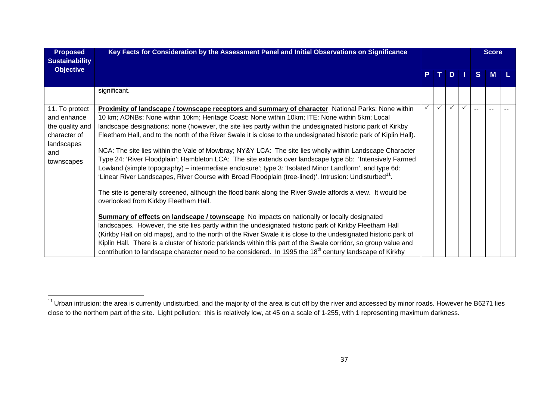| <b>Proposed</b><br><b>Sustainability</b>                                                            | Key Facts for Consideration by the Assessment Panel and Initial Observations on Significance                                                                                                                                                                                                                                                                                                                                                                                                                                                                                                                                                                                                                                                                                                                                                                                                                                                                                                                                                                                                                                                                                                                                                                                                                                                                                                                                                                                                                                                                                                                                       | PTDT |              |              | <b>Score</b> |    |   |  |
|-----------------------------------------------------------------------------------------------------|------------------------------------------------------------------------------------------------------------------------------------------------------------------------------------------------------------------------------------------------------------------------------------------------------------------------------------------------------------------------------------------------------------------------------------------------------------------------------------------------------------------------------------------------------------------------------------------------------------------------------------------------------------------------------------------------------------------------------------------------------------------------------------------------------------------------------------------------------------------------------------------------------------------------------------------------------------------------------------------------------------------------------------------------------------------------------------------------------------------------------------------------------------------------------------------------------------------------------------------------------------------------------------------------------------------------------------------------------------------------------------------------------------------------------------------------------------------------------------------------------------------------------------------------------------------------------------------------------------------------------------|------|--------------|--------------|--------------|----|---|--|
| <b>Objective</b>                                                                                    |                                                                                                                                                                                                                                                                                                                                                                                                                                                                                                                                                                                                                                                                                                                                                                                                                                                                                                                                                                                                                                                                                                                                                                                                                                                                                                                                                                                                                                                                                                                                                                                                                                    |      |              |              |              | S  | M |  |
|                                                                                                     | significant.                                                                                                                                                                                                                                                                                                                                                                                                                                                                                                                                                                                                                                                                                                                                                                                                                                                                                                                                                                                                                                                                                                                                                                                                                                                                                                                                                                                                                                                                                                                                                                                                                       |      |              |              |              |    |   |  |
| 11. To protect<br>and enhance<br>the quality and<br>character of<br>landscapes<br>and<br>townscapes | Proximity of landscape / townscape receptors and summary of character National Parks: None within<br>10 km; AONBs: None within 10km; Heritage Coast: None within 10km; ITE: None within 5km; Local<br>landscape designations: none (however, the site lies partly within the undesignated historic park of Kirkby<br>Fleetham Hall, and to the north of the River Swale it is close to the undesignated historic park of Kiplin Hall).<br>NCA: The site lies within the Vale of Mowbray; NY&Y LCA: The site lies wholly within Landscape Character<br>Type 24: 'River Floodplain'; Hambleton LCA: The site extends over landscape type 5b: 'Intensively Farmed<br>Lowland (simple topography) – intermediate enclosure'; type 3: 'Isolated Minor Landform', and type 6d:<br>'Linear River Landscapes, River Course with Broad Floodplain (tree-lined)'. Intrusion: Undisturbed <sup>11</sup> .<br>The site is generally screened, although the flood bank along the River Swale affords a view. It would be<br>overlooked from Kirkby Fleetham Hall.<br><b>Summary of effects on landscape / townscape</b> No impacts on nationally or locally designated<br>landscapes. However, the site lies partly within the undesignated historic park of Kirkby Fleetham Hall<br>(Kirkby Hall on old maps), and to the north of the River Swale it is close to the undesignated historic park of<br>Kiplin Hall. There is a cluster of historic parklands within this part of the Swale corridor, so group value and<br>contribution to landscape character need to be considered. In 1995 the 18 <sup>th</sup> century landscape of Kirkby |      | $\checkmark$ | $\checkmark$ | $\checkmark$ | -- |   |  |

 $^{11}$  Urban intrusion: the area is currently undisturbed, and the majority of the area is cut off by the river and accessed by minor roads. However he B6271 lies close to the northern part of the site. Light pollution: this is relatively low, at 45 on a scale of 1-255, with 1 representing maximum darkness.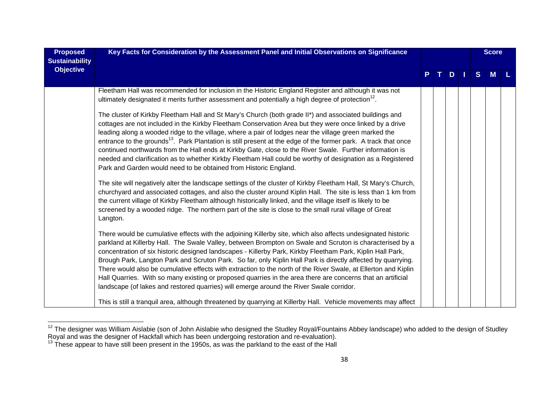| <b>Proposed</b><br><b>Sustainability</b> | Key Facts for Consideration by the Assessment Panel and Initial Observations on Significance                                                                                                                                                                                                                                                                                                                                                                                                                                                                                                                                                                                                                                                                                                                                                                              |  |  |    | <b>Score</b> |   |   |  |
|------------------------------------------|---------------------------------------------------------------------------------------------------------------------------------------------------------------------------------------------------------------------------------------------------------------------------------------------------------------------------------------------------------------------------------------------------------------------------------------------------------------------------------------------------------------------------------------------------------------------------------------------------------------------------------------------------------------------------------------------------------------------------------------------------------------------------------------------------------------------------------------------------------------------------|--|--|----|--------------|---|---|--|
| <b>Objective</b>                         |                                                                                                                                                                                                                                                                                                                                                                                                                                                                                                                                                                                                                                                                                                                                                                                                                                                                           |  |  | D. |              | S | M |  |
|                                          | Fleetham Hall was recommended for inclusion in the Historic England Register and although it was not<br>ultimately designated it merits further assessment and potentially a high degree of protection <sup>12</sup> .                                                                                                                                                                                                                                                                                                                                                                                                                                                                                                                                                                                                                                                    |  |  |    |              |   |   |  |
|                                          | The cluster of Kirkby Fleetham Hall and St Mary's Church (both grade II*) and associated buildings and<br>cottages are not included in the Kirkby Fleetham Conservation Area but they were once linked by a drive<br>leading along a wooded ridge to the village, where a pair of lodges near the village green marked the<br>entrance to the grounds <sup>13</sup> . Park Plantation is still present at the edge of the former park. A track that once<br>continued northwards from the Hall ends at Kirkby Gate, close to the River Swale. Further information is<br>needed and clarification as to whether Kirkby Fleetham Hall could be worthy of designation as a Registered<br>Park and Garden would need to be obtained from Historic England.<br>The site will negatively alter the landscape settings of the cluster of Kirkby Fleetham Hall, St Mary's Church, |  |  |    |              |   |   |  |
|                                          | churchyard and associated cottages, and also the cluster around Kiplin Hall. The site is less than 1 km from<br>the current village of Kirkby Fleetham although historically linked, and the village itself is likely to be<br>screened by a wooded ridge. The northern part of the site is close to the small rural village of Great<br>Langton.                                                                                                                                                                                                                                                                                                                                                                                                                                                                                                                         |  |  |    |              |   |   |  |
|                                          | There would be cumulative effects with the adjoining Killerby site, which also affects undesignated historic<br>parkland at Killerby Hall. The Swale Valley, between Brompton on Swale and Scruton is characterised by a<br>concentration of six historic designed landscapes - Killerby Park, Kirkby Fleetham Park, Kiplin Hall Park,<br>Brough Park, Langton Park and Scruton Park. So far, only Kiplin Hall Park is directly affected by quarrying.<br>There would also be cumulative effects with extraction to the north of the River Swale, at Ellerton and Kiplin<br>Hall Quarries. With so many existing or proposed quarries in the area there are concerns that an artificial<br>landscape (of lakes and restored quarries) will emerge around the River Swale corridor.                                                                                        |  |  |    |              |   |   |  |
|                                          | This is still a tranquil area, although threatened by quarrying at Killerby Hall. Vehicle movements may affect                                                                                                                                                                                                                                                                                                                                                                                                                                                                                                                                                                                                                                                                                                                                                            |  |  |    |              |   |   |  |

<sup>&</sup>lt;sup>12</sup> The designer was William Aislabie (son of John Aislabie who designed the Studley Royal/Fountains Abbey landscape) who added to the design of Studley Royal and was the designer of Hackfall which has been undergoing restoration and re-evaluation).<br><sup>13</sup> These appear to have still been present in the 1950s, as was the parkland to the east of the Hall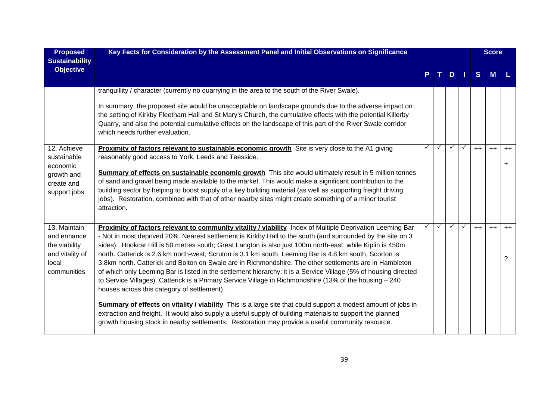| <b>Proposed</b><br><b>Sustainability</b>                                                | Key Facts for Consideration by the Assessment Panel and Initial Observations on Significance                                                                                                                                                                                                                                                                                                                                                                                                                                                                                                                                                                                                                                                                                                                                                                                                                                                                                                                                                                                                                                                                                |              |              |              |              |              | <b>Score</b> |           |
|-----------------------------------------------------------------------------------------|-----------------------------------------------------------------------------------------------------------------------------------------------------------------------------------------------------------------------------------------------------------------------------------------------------------------------------------------------------------------------------------------------------------------------------------------------------------------------------------------------------------------------------------------------------------------------------------------------------------------------------------------------------------------------------------------------------------------------------------------------------------------------------------------------------------------------------------------------------------------------------------------------------------------------------------------------------------------------------------------------------------------------------------------------------------------------------------------------------------------------------------------------------------------------------|--------------|--------------|--------------|--------------|--------------|--------------|-----------|
| <b>Objective</b>                                                                        |                                                                                                                                                                                                                                                                                                                                                                                                                                                                                                                                                                                                                                                                                                                                                                                                                                                                                                                                                                                                                                                                                                                                                                             |              |              | D.           |              | <sub>S</sub> | M            |           |
|                                                                                         | tranquillity / character (currently no quarrying in the area to the south of the River Swale).<br>In summary, the proposed site would be unacceptable on landscape grounds due to the adverse impact on<br>the setting of Kirkby Fleetham Hall and St Mary's Church, the cumulative effects with the potential Killerby<br>Quarry, and also the potential cumulative effects on the landscape of this part of the River Swale corridor<br>which needs further evaluation.                                                                                                                                                                                                                                                                                                                                                                                                                                                                                                                                                                                                                                                                                                   |              |              |              |              |              |              |           |
| 12. Achieve<br>sustainable<br>economic<br>growth and<br>create and<br>support jobs      | <b>Proximity of factors relevant to sustainable economic growth</b> Site is very close to the A1 giving<br>reasonably good access to York, Leeds and Teesside.<br>Summary of effects on sustainable economic growth This site would ultimately result in 5 million tonnes<br>of sand and gravel being made available to the market. This would make a significant contribution to the<br>building sector by helping to boost supply of a key building material (as well as supporting freight driving<br>jobs). Restoration, combined with that of other nearby sites might create something of a minor tourist<br>attraction.                                                                                                                                                                                                                                                                                                                                                                                                                                                                                                                                              | $\checkmark$ | ✓            |              | $\checkmark$ | $++$         | $++$         | $++$      |
| 13. Maintain<br>and enhance<br>the viability<br>and vitality of<br>local<br>communities | Proximity of factors relevant to community vitality / viability Index of Multiple Deprivation Leeming Bar<br>- Not in most deprived 20%. Nearest settlement is Kirkby Hall to the south (and surrounded by the site on 3<br>sides). Hookcar Hill is 50 metres south; Great Langton is also just 100m north-east, while Kiplin is 450m<br>north. Catterick is 2.6 km north-west, Scruton is 3.1 km south, Leeming Bar is 4.8 km south, Scorton is<br>3.8km north. Catterick and Bolton on Swale are in Richmondshire. The other settlements are in Hambleton<br>of which only Leeming Bar is listed in the settlement hierarchy: it is a Service Village (5% of housing directed<br>to Service Villages). Catterick is a Primary Service Village in Richmondshire (13% of the housing - 240<br>houses across this category of settlement).<br>Summary of effects on vitality / viability This is a large site that could support a modest amount of jobs in<br>extraction and freight. It would also supply a useful supply of building materials to support the planned<br>growth housing stock in nearby settlements. Restoration may provide a useful community resource. | $\checkmark$ | $\checkmark$ | $\checkmark$ | $\checkmark$ | $++$         | $++$         | $++$<br>? |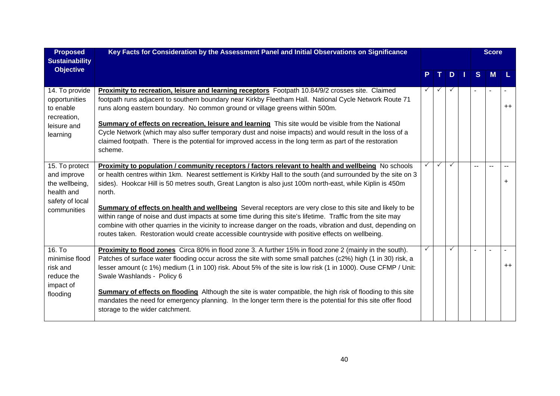| <b>Proposed</b><br><b>Sustainability</b>                                                                      | Key Facts for Consideration by the Assessment Panel and Initial Observations on Significance                                                                                                                                                                                                                                                                                                                                                                                                                                                                                                                                                                                                                                                                                                        |              |               |   | <b>Score</b> |                 |
|---------------------------------------------------------------------------------------------------------------|-----------------------------------------------------------------------------------------------------------------------------------------------------------------------------------------------------------------------------------------------------------------------------------------------------------------------------------------------------------------------------------------------------------------------------------------------------------------------------------------------------------------------------------------------------------------------------------------------------------------------------------------------------------------------------------------------------------------------------------------------------------------------------------------------------|--------------|---------------|---|--------------|-----------------|
| <b>Objective</b>                                                                                              |                                                                                                                                                                                                                                                                                                                                                                                                                                                                                                                                                                                                                                                                                                                                                                                                     | т.           | $D$   $\vert$ | S | M            |                 |
| 14. To provide<br>opportunities<br>to enable<br>recreation,<br>leisure and<br>learning                        | Proximity to recreation, leisure and learning receptors Footpath 10.84/9/2 crosses site. Claimed<br>footpath runs adjacent to southern boundary near Kirkby Fleetham Hall. National Cycle Network Route 71<br>runs along eastern boundary. No common ground or village greens within 500m.<br>Summary of effects on recreation, leisure and learning This site would be visible from the National<br>Cycle Network (which may also suffer temporary dust and noise impacts) and would result in the loss of a<br>claimed footpath. There is the potential for improved access in the long term as part of the restoration<br>scheme.                                                                                                                                                                |              |               |   |              | $++$            |
| $\overline{15}$ . To protect<br>and improve<br>the wellbeing,<br>health and<br>safety of local<br>communities | Proximity to population / community receptors / factors relevant to health and wellbeing No schools<br>or health centres within 1km. Nearest settlement is Kirkby Hall to the south (and surrounded by the site on 3<br>sides). Hookcar Hill is 50 metres south, Great Langton is also just 100m north-east, while Kiplin is 450m<br>north.<br><b>Summary of effects on health and wellbeing</b> Several receptors are very close to this site and likely to be<br>within range of noise and dust impacts at some time during this site's lifetime. Traffic from the site may<br>combine with other quarries in the vicinity to increase danger on the roads, vibration and dust, depending on<br>routes taken. Restoration would create accessible countryside with positive effects on wellbeing. | $\checkmark$ | $\checkmark$  |   |              |                 |
| 16. To<br>minimise flood<br>risk and<br>reduce the<br>impact of<br>flooding                                   | Proximity to flood zones Circa 80% in flood zone 3. A further 15% in flood zone 2 (mainly in the south).<br>Patches of surface water flooding occur across the site with some small patches (c2%) high (1 in 30) risk, a<br>lesser amount (c 1%) medium (1 in 100) risk. About 5% of the site is low risk (1 in 1000). Ouse CFMP / Unit:<br>Swale Washlands - Policy 6<br><b>Summary of effects on flooding</b> Although the site is water compatible, the high risk of flooding to this site<br>mandates the need for emergency planning. In the longer term there is the potential for this site offer flood<br>storage to the wider catchment.                                                                                                                                                   |              | $\checkmark$  |   |              | $^{\mathrm{+}}$ |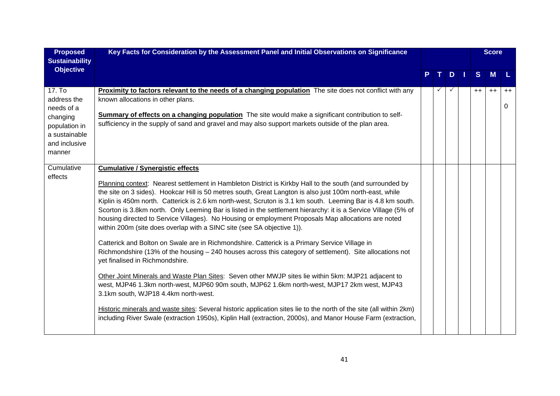| <b>Proposed</b><br><b>Sustainability</b>                                                                     | Key Facts for Consideration by the Assessment Panel and Initial Observations on Significance                                                                                                                                                                                                                                                                                                                                                                                                                                                                                                                                                                                                                                                                                                                                                                                                                                                                                                                                                                                                                                                                                                                                                                                                                                                                                                                             |  |   |      | <b>Score</b> |           |
|--------------------------------------------------------------------------------------------------------------|--------------------------------------------------------------------------------------------------------------------------------------------------------------------------------------------------------------------------------------------------------------------------------------------------------------------------------------------------------------------------------------------------------------------------------------------------------------------------------------------------------------------------------------------------------------------------------------------------------------------------------------------------------------------------------------------------------------------------------------------------------------------------------------------------------------------------------------------------------------------------------------------------------------------------------------------------------------------------------------------------------------------------------------------------------------------------------------------------------------------------------------------------------------------------------------------------------------------------------------------------------------------------------------------------------------------------------------------------------------------------------------------------------------------------|--|---|------|--------------|-----------|
| <b>Objective</b>                                                                                             |                                                                                                                                                                                                                                                                                                                                                                                                                                                                                                                                                                                                                                                                                                                                                                                                                                                                                                                                                                                                                                                                                                                                                                                                                                                                                                                                                                                                                          |  | D | S    | <b>M</b>     | L         |
| 17. To<br>address the<br>needs of a<br>changing<br>population in<br>a sustainable<br>and inclusive<br>manner | <b>Proximity to factors relevant to the needs of a changing population</b> The site does not conflict with any<br>known allocations in other plans.<br>Summary of effects on a changing population The site would make a significant contribution to self-<br>sufficiency in the supply of sand and gravel and may also support markets outside of the plan area.                                                                                                                                                                                                                                                                                                                                                                                                                                                                                                                                                                                                                                                                                                                                                                                                                                                                                                                                                                                                                                                        |  |   | $++$ | $++$         | $++$<br>0 |
| Cumulative<br>effects                                                                                        | <b>Cumulative / Synergistic effects</b><br>Planning context: Nearest settlement in Hambleton District is Kirkby Hall to the south (and surrounded by<br>the site on 3 sides). Hookcar Hill is 50 metres south, Great Langton is also just 100m north-east, while<br>Kiplin is 450m north. Catterick is 2.6 km north-west, Scruton is 3.1 km south. Leeming Bar is 4.8 km south.<br>Scorton is 3.8km north. Only Leeming Bar is listed in the settlement hierarchy: it is a Service Village (5% of<br>housing directed to Service Villages). No Housing or employment Proposals Map allocations are noted<br>within 200m (site does overlap with a SINC site (see SA objective 1)).<br>Catterick and Bolton on Swale are in Richmondshire. Catterick is a Primary Service Village in<br>Richmondshire (13% of the housing - 240 houses across this category of settlement). Site allocations not<br>yet finalised in Richmondshire.<br>Other Joint Minerals and Waste Plan Sites: Seven other MWJP sites lie within 5km: MJP21 adjacent to<br>west, MJP46 1.3km north-west, MJP60 90m south, MJP62 1.6km north-west, MJP17 2km west, MJP43<br>3.1km south, WJP18 4.4km north-west.<br>Historic minerals and waste sites: Several historic application sites lie to the north of the site (all within 2km)<br>including River Swale (extraction 1950s), Kiplin Hall (extraction, 2000s), and Manor House Farm (extraction, |  |   |      |              |           |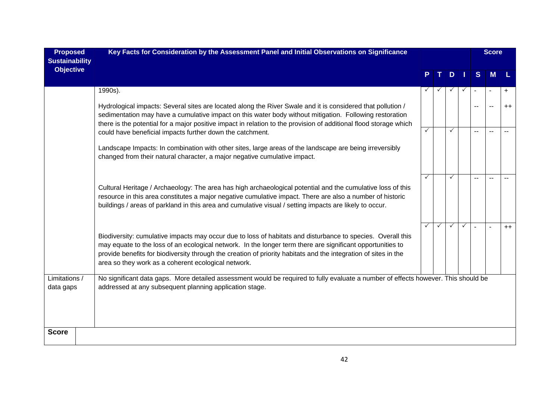| <b>Proposed</b><br><b>Sustainability</b> | Key Facts for Consideration by the Assessment Panel and Initial Observations on Significance                                                                                                                                                                                                                                                                                                        |   |              |              |              |              | <b>Score</b> |         |
|------------------------------------------|-----------------------------------------------------------------------------------------------------------------------------------------------------------------------------------------------------------------------------------------------------------------------------------------------------------------------------------------------------------------------------------------------------|---|--------------|--------------|--------------|--------------|--------------|---------|
| <b>Objective</b>                         |                                                                                                                                                                                                                                                                                                                                                                                                     |   |              | D            |              | <sub>S</sub> | <b>M</b>     |         |
|                                          | 1990s).                                                                                                                                                                                                                                                                                                                                                                                             |   |              |              |              |              |              | $+$     |
|                                          | Hydrological impacts: Several sites are located along the River Swale and it is considered that pollution /<br>sedimentation may have a cumulative impact on this water body without mitigation. Following restoration<br>there is the potential for a major positive impact in relation to the provision of additional flood storage which                                                         |   |              |              |              |              | $\sim$       | $^{++}$ |
|                                          | could have beneficial impacts further down the catchment.                                                                                                                                                                                                                                                                                                                                           | ✓ |              |              |              |              |              |         |
|                                          | Landscape Impacts: In combination with other sites, large areas of the landscape are being irreversibly<br>changed from their natural character, a major negative cumulative impact.                                                                                                                                                                                                                |   |              |              |              |              |              |         |
|                                          | Cultural Heritage / Archaeology: The area has high archaeological potential and the cumulative loss of this<br>resource in this area constitutes a major negative cumulative impact. There are also a number of historic<br>buildings / areas of parkland in this area and cumulative visual / setting impacts are likely to occur.                                                                 | ✓ |              | ✓            |              |              |              |         |
|                                          | Biodiversity: cumulative impacts may occur due to loss of habitats and disturbance to species. Overall this<br>may equate to the loss of an ecological network. In the longer term there are significant opportunities to<br>provide benefits for biodiversity through the creation of priority habitats and the integration of sites in the<br>area so they work as a coherent ecological network. |   | $\checkmark$ | $\checkmark$ | $\checkmark$ |              | $\sim$       | $++$    |
| Limitations /<br>data gaps               | No significant data gaps. More detailed assessment would be required to fully evaluate a number of effects however. This should be<br>addressed at any subsequent planning application stage.                                                                                                                                                                                                       |   |              |              |              |              |              |         |
| <b>Score</b>                             |                                                                                                                                                                                                                                                                                                                                                                                                     |   |              |              |              |              |              |         |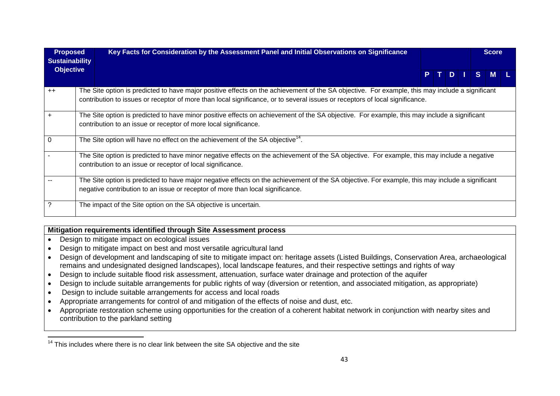| <b>Proposed</b><br><b>Sustainability</b> | Key Facts for Consideration by the Assessment Panel and Initial Observations on Significance                                                                                                                                                                                    |  |  |         | <b>Score</b> |  |
|------------------------------------------|---------------------------------------------------------------------------------------------------------------------------------------------------------------------------------------------------------------------------------------------------------------------------------|--|--|---------|--------------|--|
| <b>Objective</b>                         |                                                                                                                                                                                                                                                                                 |  |  | PTDISML |              |  |
| $++$                                     | The Site option is predicted to have major positive effects on the achievement of the SA objective. For example, this may include a significant<br>contribution to issues or receptor of more than local significance, or to several issues or receptors of local significance. |  |  |         |              |  |
| $\ddot{}$                                | The Site option is predicted to have minor positive effects on achievement of the SA objective. For example, this may include a significant<br>contribution to an issue or receptor of more local significance.                                                                 |  |  |         |              |  |
| $\mathbf 0$                              | The Site option will have no effect on the achievement of the SA objective <sup>14</sup> .                                                                                                                                                                                      |  |  |         |              |  |
|                                          | The Site option is predicted to have minor negative effects on the achievement of the SA objective. For example, this may include a negative<br>contribution to an issue or receptor of local significance.                                                                     |  |  |         |              |  |
|                                          | The Site option is predicted to have major negative effects on the achievement of the SA objective. For example, this may include a significant<br>negative contribution to an issue or receptor of more than local significance.                                               |  |  |         |              |  |
| ?                                        | The impact of the Site option on the SA objective is uncertain.                                                                                                                                                                                                                 |  |  |         |              |  |

### **Mitigation requirements identified through Site Assessment process**

- Design to mitigate impact on ecological issues
- Design to mitigate impact on best and most versatile agricultural land
- Design of development and landscaping of site to mitigate impact on: heritage assets (Listed Buildings, Conservation Area, archaeological remains and undesignated designed landscapes), local landscape features, and their respective settings and rights of way
- Design to include suitable flood risk assessment, attenuation, surface water drainage and protection of the aquifer
- Design to include suitable arrangements for public rights of way (diversion or retention, and associated mitigation, as appropriate)
- Design to include suitable arrangements for access and local roads
- Appropriate arrangements for control of and mitigation of the effects of noise and dust, etc.
- Appropriate restoration scheme using opportunities for the creation of a coherent habitat network in conjunction with nearby sites and contribution to the parkland setting

 $14$  This includes where there is no clear link between the site SA objective and the site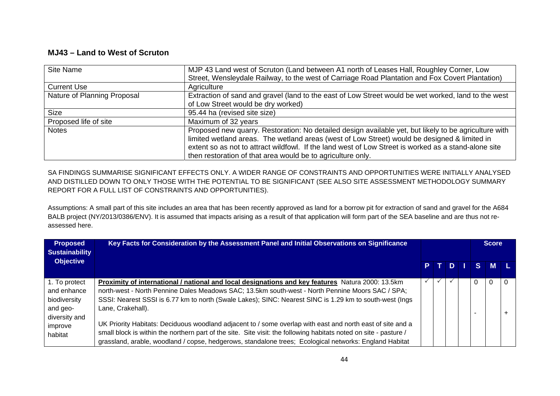## **MJ43 – Land to West of Scruton**

| Site Name                   | MJP 43 Land west of Scruton (Land between A1 north of Leases Hall, Roughley Corner, Low               |
|-----------------------------|-------------------------------------------------------------------------------------------------------|
|                             | Street, Wensleydale Railway, to the west of Carriage Road Plantation and Fox Covert Plantation)       |
| <b>Current Use</b>          | Agriculture                                                                                           |
| Nature of Planning Proposal | Extraction of sand and gravel (land to the east of Low Street would be wet worked, land to the west   |
|                             | of Low Street would be dry worked)                                                                    |
| <b>Size</b>                 | 95.44 ha (revised site size)                                                                          |
| Proposed life of site       | Maximum of 32 years                                                                                   |
| <b>Notes</b>                | Proposed new quarry. Restoration: No detailed design available yet, but likely to be agriculture with |
|                             | limited wetland areas. The wetland areas (west of Low Street) would be designed & limited in          |
|                             | extent so as not to attract wildfowl. If the land west of Low Street is worked as a stand-alone site  |
|                             | then restoration of that area would be to agriculture only.                                           |

SA FINDINGS SUMMARISE SIGNIFICANT EFFECTS ONLY. A WIDER RANGE OF CONSTRAINTS AND OPPORTUNITIES WERE INITIALLY ANALYSED AND DISTILLED DOWN TO ONLY THOSE WITH THE POTENTIAL TO BE SIGNIFICANT (SEE ALSO SITE ASSESSMENT METHODOLOGY SUMMARY REPORT FOR A FULL LIST OF CONSTRAINTS AND OPPORTUNITIES).

Assumptions: A small part of this site includes an area that has been recently approved as land for a borrow pit for extraction of sand and gravel for the A684 BALB project (NY/2013/0386/ENV). It is assumed that impacts arising as a result of that application will form part of the SEA baseline and are thus not reassessed here.

| <b>Proposed</b><br><b>Sustainability</b>                                  | Key Facts for Consideration by the Assessment Panel and Initial Observations on Significance                                                                                                                                                                                                                                              |      |  |   | <b>Score</b> |  |
|---------------------------------------------------------------------------|-------------------------------------------------------------------------------------------------------------------------------------------------------------------------------------------------------------------------------------------------------------------------------------------------------------------------------------------|------|--|---|--------------|--|
| <b>Objective</b>                                                          |                                                                                                                                                                                                                                                                                                                                           | PTDI |  |   | S M L        |  |
| 1. To protect<br>and enhance<br>biodiversity<br>and geo-<br>diversity and | Proximity of international / national and local designations and key features Natura 2000: 13.5km<br>north-west - North Pennine Dales Meadows SAC; 13.5km south-west - North Pennine Moors SAC / SPA;<br>SSSI: Nearest SSSI is 6.77 km to north (Swale Lakes); SINC: Nearest SINC is 1.29 km to south-west (Ings<br>Lane, Crakehall).     |      |  | 0 |              |  |
| improve<br>habitat                                                        | UK Priority Habitats: Deciduous woodland adjacent to / some overlap with east and north east of site and a<br>small block is within the northern part of the site. Site visit: the following habitats noted on site - pasture /<br>grassland, arable, woodland / copse, hedgerows, standalone trees; Ecological networks: England Habitat |      |  |   |              |  |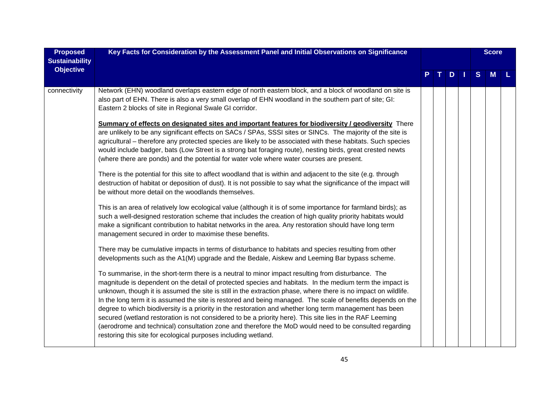| <b>Proposed</b><br><b>Sustainability</b> | Key Facts for Consideration by the Assessment Panel and Initial Observations on Significance                                                                                                                                                                                                                                                                                                                                                                                                                                                                                                                                                                                                                                                                                                                                                       |          |     |   | <b>Score</b> |  |
|------------------------------------------|----------------------------------------------------------------------------------------------------------------------------------------------------------------------------------------------------------------------------------------------------------------------------------------------------------------------------------------------------------------------------------------------------------------------------------------------------------------------------------------------------------------------------------------------------------------------------------------------------------------------------------------------------------------------------------------------------------------------------------------------------------------------------------------------------------------------------------------------------|----------|-----|---|--------------|--|
| <b>Objective</b>                         |                                                                                                                                                                                                                                                                                                                                                                                                                                                                                                                                                                                                                                                                                                                                                                                                                                                    | $\top$ 1 | $D$ | S | M            |  |
| connectivity                             | Network (EHN) woodland overlaps eastern edge of north eastern block, and a block of woodland on site is<br>also part of EHN. There is also a very small overlap of EHN woodland in the southern part of site; GI:<br>Eastern 2 blocks of site in Regional Swale GI corridor.                                                                                                                                                                                                                                                                                                                                                                                                                                                                                                                                                                       |          |     |   |              |  |
|                                          | <b>Summary of effects on designated sites and important features for biodiversity / geodiversity</b> There                                                                                                                                                                                                                                                                                                                                                                                                                                                                                                                                                                                                                                                                                                                                         |          |     |   |              |  |
|                                          | are unlikely to be any significant effects on SACs / SPAs, SSSI sites or SINCs. The majority of the site is                                                                                                                                                                                                                                                                                                                                                                                                                                                                                                                                                                                                                                                                                                                                        |          |     |   |              |  |
|                                          | agricultural - therefore any protected species are likely to be associated with these habitats. Such species                                                                                                                                                                                                                                                                                                                                                                                                                                                                                                                                                                                                                                                                                                                                       |          |     |   |              |  |
|                                          | would include badger, bats (Low Street is a strong bat foraging route), nesting birds, great crested newts<br>(where there are ponds) and the potential for water vole where water courses are present.                                                                                                                                                                                                                                                                                                                                                                                                                                                                                                                                                                                                                                            |          |     |   |              |  |
|                                          | There is the potential for this site to affect woodland that is within and adjacent to the site (e.g. through<br>destruction of habitat or deposition of dust). It is not possible to say what the significance of the impact will<br>be without more detail on the woodlands themselves.                                                                                                                                                                                                                                                                                                                                                                                                                                                                                                                                                          |          |     |   |              |  |
|                                          | This is an area of relatively low ecological value (although it is of some importance for farmland birds); as<br>such a well-designed restoration scheme that includes the creation of high quality priority habitats would<br>make a significant contribution to habitat networks in the area. Any restoration should have long term<br>management secured in order to maximise these benefits.                                                                                                                                                                                                                                                                                                                                                                                                                                                   |          |     |   |              |  |
|                                          | There may be cumulative impacts in terms of disturbance to habitats and species resulting from other<br>developments such as the A1(M) upgrade and the Bedale, Aiskew and Leeming Bar bypass scheme.                                                                                                                                                                                                                                                                                                                                                                                                                                                                                                                                                                                                                                               |          |     |   |              |  |
|                                          | To summarise, in the short-term there is a neutral to minor impact resulting from disturbance. The<br>magnitude is dependent on the detail of protected species and habitats. In the medium term the impact is<br>unknown, though it is assumed the site is still in the extraction phase, where there is no impact on wildlife.<br>In the long term it is assumed the site is restored and being managed. The scale of benefits depends on the<br>degree to which biodiversity is a priority in the restoration and whether long term management has been<br>secured (wetland restoration is not considered to be a priority here). This site lies in the RAF Leeming<br>(aerodrome and technical) consultation zone and therefore the MoD would need to be consulted regarding<br>restoring this site for ecological purposes including wetland. |          |     |   |              |  |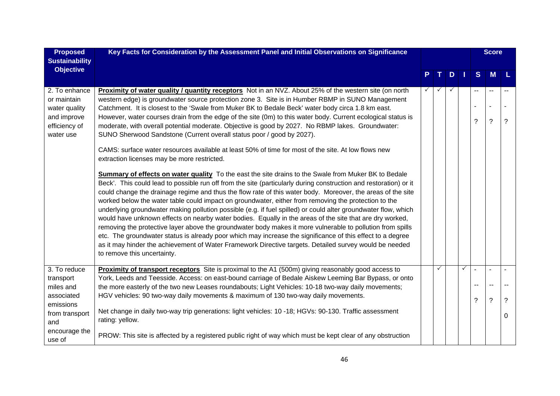| <b>Proposed</b>                               | Key Facts for Consideration by the Assessment Panel and Initial Observations on Significance                                                                                                                                                                                                                                                                                                                                                                                                                                                                                                                                                                                                                                                                                                                                                                                                                                                                                                                                                        |  |              |              |   |                          | <b>Score</b> |   |
|-----------------------------------------------|-----------------------------------------------------------------------------------------------------------------------------------------------------------------------------------------------------------------------------------------------------------------------------------------------------------------------------------------------------------------------------------------------------------------------------------------------------------------------------------------------------------------------------------------------------------------------------------------------------------------------------------------------------------------------------------------------------------------------------------------------------------------------------------------------------------------------------------------------------------------------------------------------------------------------------------------------------------------------------------------------------------------------------------------------------|--|--------------|--------------|---|--------------------------|--------------|---|
| <b>Sustainability</b>                         |                                                                                                                                                                                                                                                                                                                                                                                                                                                                                                                                                                                                                                                                                                                                                                                                                                                                                                                                                                                                                                                     |  |              |              |   |                          |              |   |
| <b>Objective</b>                              |                                                                                                                                                                                                                                                                                                                                                                                                                                                                                                                                                                                                                                                                                                                                                                                                                                                                                                                                                                                                                                                     |  | T.           | D            | H | S                        | <b>M</b>     |   |
| 2. To enhance<br>or maintain<br>water quality | <b>Proximity of water quality / quantity receptors</b> Not in an NVZ. About 25% of the western site (on north<br>western edge) is groundwater source protection zone 3. Site is in Humber RBMP in SUNO Management<br>Catchment. It is closest to the 'Swale from Muker BK to Bedale Beck' water body circa 1.8 km east.                                                                                                                                                                                                                                                                                                                                                                                                                                                                                                                                                                                                                                                                                                                             |  |              | $\checkmark$ |   | --<br>$\blacksquare$     |              |   |
| and improve<br>efficiency of<br>water use     | However, water courses drain from the edge of the site (0m) to this water body. Current ecological status is<br>moderate, with overall potential moderate. Objective is good by 2027. No RBMP lakes. Groundwater:<br>SUNO Sherwood Sandstone (Current overall status poor / good by 2027).                                                                                                                                                                                                                                                                                                                                                                                                                                                                                                                                                                                                                                                                                                                                                          |  |              |              |   | $\tilde{?}$              | $\tilde{?}$  | ? |
|                                               | CAMS: surface water resources available at least 50% of time for most of the site. At low flows new<br>extraction licenses may be more restricted.                                                                                                                                                                                                                                                                                                                                                                                                                                                                                                                                                                                                                                                                                                                                                                                                                                                                                                  |  |              |              |   |                          |              |   |
|                                               | Summary of effects on water quality To the east the site drains to the Swale from Muker BK to Bedale<br>Beck'. This could lead to possible run off from the site (particularly during construction and restoration) or it<br>could change the drainage regime and thus the flow rate of this water body. Moreover, the areas of the site<br>worked below the water table could impact on groundwater, either from removing the protection to the<br>underlying groundwater making pollution possible (e.g. if fuel spilled) or could alter groundwater flow, which<br>would have unknown effects on nearby water bodies. Equally in the areas of the site that are dry worked,<br>removing the protective layer above the groundwater body makes it more vulnerable to pollution from spills<br>etc. The groundwater status is already poor which may increase the significance of this effect to a degree<br>as it may hinder the achievement of Water Framework Directive targets. Detailed survey would be needed<br>to remove this uncertainty. |  |              |              |   |                          |              |   |
| 3. To reduce                                  | Proximity of transport receptors Site is proximal to the A1 (500m) giving reasonably good access to                                                                                                                                                                                                                                                                                                                                                                                                                                                                                                                                                                                                                                                                                                                                                                                                                                                                                                                                                 |  | $\checkmark$ |              | ✓ | $\overline{\phantom{a}}$ | $\sim$       |   |
| transport<br>miles and                        | York, Leeds and Teesside. Access: on east-bound carriage of Bedale Aiskew Leeming Bar Bypass, or onto<br>the more easterly of the two new Leases roundabouts; Light Vehicles: 10-18 two-way daily movements;                                                                                                                                                                                                                                                                                                                                                                                                                                                                                                                                                                                                                                                                                                                                                                                                                                        |  |              |              |   | --                       | $\sim$       |   |
| associated<br>emissions                       | HGV vehicles: 90 two-way daily movements & maximum of 130 two-way daily movements.                                                                                                                                                                                                                                                                                                                                                                                                                                                                                                                                                                                                                                                                                                                                                                                                                                                                                                                                                                  |  |              |              |   | ?                        | $\tilde{?}$  | ? |
| from transport<br>and                         | Net change in daily two-way trip generations: light vehicles: 10 -18; HGVs: 90-130. Traffic assessment<br>rating: yellow.                                                                                                                                                                                                                                                                                                                                                                                                                                                                                                                                                                                                                                                                                                                                                                                                                                                                                                                           |  |              |              |   |                          |              | 0 |
| encourage the<br>use of                       | PROW: This site is affected by a registered public right of way which must be kept clear of any obstruction                                                                                                                                                                                                                                                                                                                                                                                                                                                                                                                                                                                                                                                                                                                                                                                                                                                                                                                                         |  |              |              |   |                          |              |   |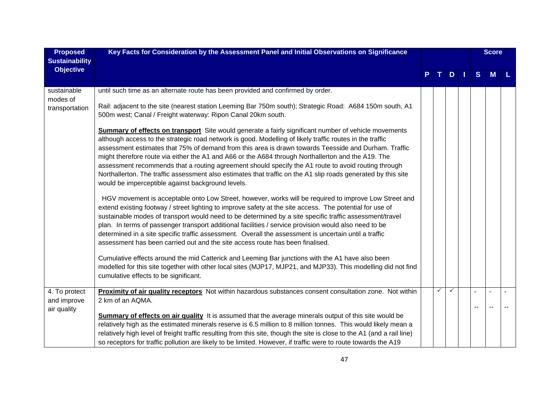| <b>Proposed</b><br><b>Sustainability</b>    | Key Facts for Consideration by the Assessment Panel and Initial Observations on Significance                                                                                                                                                                                                                                                                                                                                                                                                                                                                                                                                                                                                                                                                                                                                                                                                  |  |   |   |  |   |   | <b>Score</b> |
|---------------------------------------------|-----------------------------------------------------------------------------------------------------------------------------------------------------------------------------------------------------------------------------------------------------------------------------------------------------------------------------------------------------------------------------------------------------------------------------------------------------------------------------------------------------------------------------------------------------------------------------------------------------------------------------------------------------------------------------------------------------------------------------------------------------------------------------------------------------------------------------------------------------------------------------------------------|--|---|---|--|---|---|--------------|
| <b>Objective</b>                            |                                                                                                                                                                                                                                                                                                                                                                                                                                                                                                                                                                                                                                                                                                                                                                                                                                                                                               |  |   | D |  | S | M |              |
| sustainable<br>modes of<br>transportation   | until such time as an alternate route has been provided and confirmed by order.<br>Rail: adjacent to the site (nearest station Leeming Bar 750m south); Strategic Road: A684 150m south, A1                                                                                                                                                                                                                                                                                                                                                                                                                                                                                                                                                                                                                                                                                                   |  |   |   |  |   |   |              |
|                                             | 500m west; Canal / Freight waterway: Ripon Canal 20km south.<br><b>Summary of effects on transport</b> Site would generate a fairly significant number of vehicle movements<br>although access to the strategic road network is good. Modelling of likely traffic routes in the traffic<br>assessment estimates that 75% of demand from this area is drawn towards Teesside and Durham. Traffic<br>might therefore route via either the A1 and A66 or the A684 through Northallerton and the A19. The<br>assessment recommends that a routing agreement should specify the A1 route to avoid routing through<br>Northallerton. The traffic assessment also estimates that traffic on the A1 slip roads generated by this site<br>would be imperceptible against background levels.                                                                                                            |  |   |   |  |   |   |              |
|                                             | HGV movement is acceptable onto Low Street, however, works will be required to improve Low Street and<br>extend existing footway / street lighting to improve safety at the site access. The potential for use of<br>sustainable modes of transport would need to be determined by a site specific traffic assessment/travel<br>plan. In terms of passenger transport additional facilities / service provision would also need to be<br>determined in a site specific traffic assessment. Overall the assessment is uncertain until a traffic<br>assessment has been carried out and the site access route has been finalised.<br>Cumulative effects around the mid Catterick and Leeming Bar junctions with the A1 have also been<br>modelled for this site together with other local sites (MJP17, MJP21, and MJP33). This modelling did not find<br>cumulative effects to be significant. |  |   |   |  |   |   |              |
| 4. To protect<br>and improve<br>air quality | Proximity of air quality receptors Not within hazardous substances consent consultation zone. Not within<br>2 km of an AQMA.<br><b>Summary of effects on air quality</b> It is assumed that the average minerals output of this site would be<br>relatively high as the estimated minerals reserve is 6.5 million to 8 million tonnes. This would likely mean a<br>relatively high level of freight traffic resulting from this site, though the site is close to the A1 (and a rail line)<br>so receptors for traffic pollution are likely to be limited. However, if traffic were to route towards the A19                                                                                                                                                                                                                                                                                  |  | ✓ |   |  |   |   |              |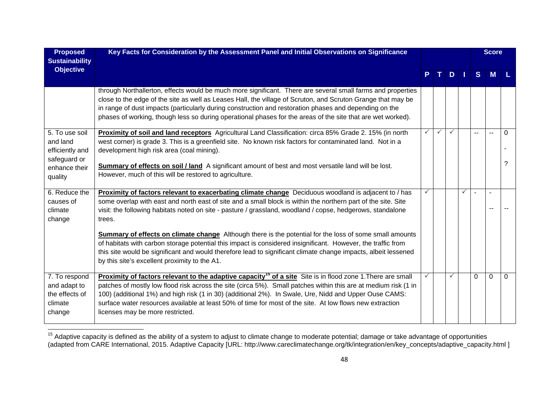| <b>Proposed</b>                                                                           | Key Facts for Consideration by the Assessment Panel and Initial Observations on Significance                                                                                                                                                                                                                                                                                                                                                                                                         |              |              |              |              |                | <b>Score</b>  |               |
|-------------------------------------------------------------------------------------------|------------------------------------------------------------------------------------------------------------------------------------------------------------------------------------------------------------------------------------------------------------------------------------------------------------------------------------------------------------------------------------------------------------------------------------------------------------------------------------------------------|--------------|--------------|--------------|--------------|----------------|---------------|---------------|
| <b>Sustainability</b><br><b>Objective</b>                                                 |                                                                                                                                                                                                                                                                                                                                                                                                                                                                                                      |              |              | TDI          |              | S              | <b>M</b>      |               |
|                                                                                           | through Northallerton, effects would be much more significant. There are several small farms and properties<br>close to the edge of the site as well as Leases Hall, the village of Scruton, and Scruton Grange that may be<br>in range of dust impacts (particularly during construction and restoration phases and depending on the<br>phases of working, though less so during operational phases for the areas of the site that are wet worked).                                                 |              |              |              |              |                |               |               |
| 5. To use soil<br>and land<br>efficiently and<br>safeguard or<br>enhance their<br>quality | Proximity of soil and land receptors Agricultural Land Classification: circa 85% Grade 2. 15% (in north<br>west corner) is grade 3. This is a greenfield site. No known risk factors for contaminated land. Not in a<br>development high risk area (coal mining).<br>Summary of effects on soil / land A significant amount of best and most versatile land will be lost.<br>However, much of this will be restored to agriculture.                                                                  | $\checkmark$ | $\checkmark$ | $\checkmark$ |              | $\overline{a}$ | $\sim$ $\sim$ | $\Omega$<br>? |
| 6. Reduce the<br>causes of<br>climate<br>change                                           | Proximity of factors relevant to exacerbating climate change Deciduous woodland is adjacent to / has<br>some overlap with east and north east of site and a small block is within the northern part of the site. Site<br>visit: the following habitats noted on site - pasture / grassland, woodland / copse, hedgerows, standalone<br>trees.                                                                                                                                                        |              |              |              | $\checkmark$ |                |               |               |
|                                                                                           | <b>Summary of effects on climate change</b> Although there is the potential for the loss of some small amounts<br>of habitats with carbon storage potential this impact is considered insignificant. However, the traffic from<br>this site would be significant and would therefore lead to significant climate change impacts, albeit lessened<br>by this site's excellent proximity to the A1.                                                                                                    |              |              |              |              |                |               |               |
| 7. To respond<br>and adapt to<br>the effects of<br>climate<br>change                      | Proximity of factors relevant to the adaptive capacity <sup>15</sup> of a site Site is in flood zone 1. There are small<br>patches of mostly low flood risk across the site (circa 5%). Small patches within this are at medium risk (1 in<br>100) (additional 1%) and high risk (1 in 30) (additional 2%). In Swale, Ure, Nidd and Upper Ouse CAMS:<br>surface water resources available at least 50% of time for most of the site. At low flows new extraction<br>licenses may be more restricted. |              |              |              |              | $\Omega$       | $\Omega$      | $\Omega$      |

<sup>&</sup>lt;sup>15</sup> Adaptive capacity is defined as the ability of a system to adjust to climate change to moderate potential; damage or take advantage of opportunities (adapted from CARE International, 2015. Adaptive Capacity [URL: http://www.careclimatechange.org/tk/integration/en/key\_concepts/adaptive\_capacity.html ]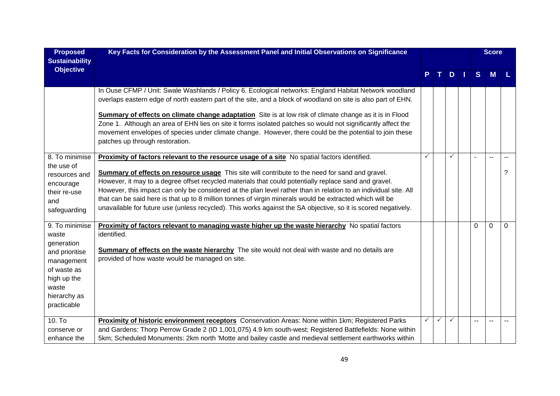| <b>Proposed</b>                                                                                                                             | Key Facts for Consideration by the Assessment Panel and Initial Observations on Significance                                                                                                                                                                                                                                                                                                                                                                                                                                                                                                                                                               |   |              |              |     |          | <b>Score</b> |          |
|---------------------------------------------------------------------------------------------------------------------------------------------|------------------------------------------------------------------------------------------------------------------------------------------------------------------------------------------------------------------------------------------------------------------------------------------------------------------------------------------------------------------------------------------------------------------------------------------------------------------------------------------------------------------------------------------------------------------------------------------------------------------------------------------------------------|---|--------------|--------------|-----|----------|--------------|----------|
| <b>Sustainability</b>                                                                                                                       |                                                                                                                                                                                                                                                                                                                                                                                                                                                                                                                                                                                                                                                            |   |              |              |     |          |              |          |
| <b>Objective</b>                                                                                                                            |                                                                                                                                                                                                                                                                                                                                                                                                                                                                                                                                                                                                                                                            |   |              | D            | - 1 | S        | M            |          |
|                                                                                                                                             | In Ouse CFMP / Unit: Swale Washlands / Policy 6. Ecological networks: England Habitat Network woodland<br>overlaps eastern edge of north eastern part of the site, and a block of woodland on site is also part of EHN.<br>Summary of effects on climate change adaptation Site is at low risk of climate change as it is in Flood<br>Zone 1. Although an area of EHN lies on site it forms isolated patches so would not significantly affect the<br>movement envelopes of species under climate change. However, there could be the potential to join these<br>patches up through restoration.                                                           |   |              |              |     |          |              |          |
| 8. To minimise<br>the use of<br>resources and<br>encourage<br>their re-use<br>and<br>safeguarding                                           | Proximity of factors relevant to the resource usage of a site No spatial factors identified.<br>Summary of effects on resource usage This site will contribute to the need for sand and gravel.<br>However, it may to a degree offset recycled materials that could potentially replace sand and gravel.<br>However, this impact can only be considered at the plan level rather than in relation to an individual site. All<br>that can be said here is that up to 8 million tonnes of virgin minerals would be extracted which will be<br>unavailable for future use (unless recycled). This works against the SA objective, so it is scored negatively. | ✓ |              | ✓            |     |          |              | ?        |
| 9. To minimise<br>waste<br>generation<br>and prioritise<br>management<br>of waste as<br>high up the<br>waste<br>hierarchy as<br>practicable | <b>Proximity of factors relevant to managing waste higher up the waste hierarchy</b> No spatial factors<br>identified.<br>Summary of effects on the waste hierarchy The site would not deal with waste and no details are<br>provided of how waste would be managed on site.                                                                                                                                                                                                                                                                                                                                                                               |   |              |              |     | $\Omega$ | $\mathbf 0$  | $\Omega$ |
| $10.$ To<br>conserve or<br>enhance the                                                                                                      | Proximity of historic environment receptors Conservation Areas: None within 1km; Registered Parks<br>and Gardens: Thorp Perrow Grade 2 (ID 1,001,075) 4.9 km south-west; Registered Battlefields: None within<br>5km; Scheduled Monuments: 2km north 'Motte and bailey castle and medieval settlement earthworks within                                                                                                                                                                                                                                                                                                                                    | ✓ | $\checkmark$ | $\checkmark$ |     | --       |              |          |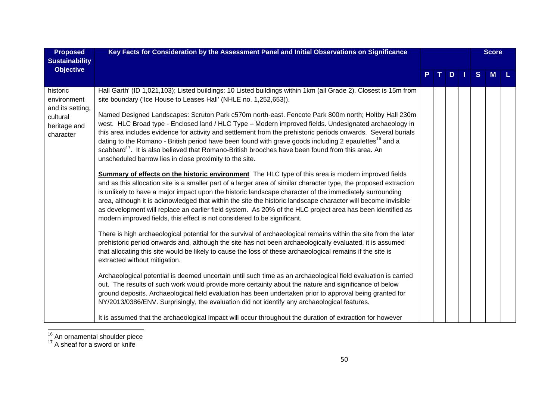| <b>Proposed</b><br><b>Sustainability</b>                                             | Key Facts for Consideration by the Assessment Panel and Initial Observations on Significance                                                                                                                                                                                                                                                                                                                                                                                                                                                                                                                                                                                                                                                                                                                                                                                                                                                                                                                                                                                                                                                                                                                                                                                                                                                                                                                                                                                                                                                                                                                                                                                                                                                                                                                                                                                                                                                                                                                                                                                                                                                                                                                                                                                                                                                                                                            |  |    |  |              | <b>Score</b> |  |
|--------------------------------------------------------------------------------------|---------------------------------------------------------------------------------------------------------------------------------------------------------------------------------------------------------------------------------------------------------------------------------------------------------------------------------------------------------------------------------------------------------------------------------------------------------------------------------------------------------------------------------------------------------------------------------------------------------------------------------------------------------------------------------------------------------------------------------------------------------------------------------------------------------------------------------------------------------------------------------------------------------------------------------------------------------------------------------------------------------------------------------------------------------------------------------------------------------------------------------------------------------------------------------------------------------------------------------------------------------------------------------------------------------------------------------------------------------------------------------------------------------------------------------------------------------------------------------------------------------------------------------------------------------------------------------------------------------------------------------------------------------------------------------------------------------------------------------------------------------------------------------------------------------------------------------------------------------------------------------------------------------------------------------------------------------------------------------------------------------------------------------------------------------------------------------------------------------------------------------------------------------------------------------------------------------------------------------------------------------------------------------------------------------------------------------------------------------------------------------------------------------|--|----|--|--------------|--------------|--|
| <b>Objective</b>                                                                     |                                                                                                                                                                                                                                                                                                                                                                                                                                                                                                                                                                                                                                                                                                                                                                                                                                                                                                                                                                                                                                                                                                                                                                                                                                                                                                                                                                                                                                                                                                                                                                                                                                                                                                                                                                                                                                                                                                                                                                                                                                                                                                                                                                                                                                                                                                                                                                                                         |  | D. |  | <sub>S</sub> | M            |  |
| historic<br>environment<br>and its setting,<br>cultural<br>heritage and<br>character | Hall Garth' (ID 1,021,103); Listed buildings: 10 Listed buildings within 1km (all Grade 2). Closest is 15m from<br>site boundary ('Ice House to Leases Hall' (NHLE no. 1,252,653)).<br>Named Designed Landscapes: Scruton Park c570m north-east. Fencote Park 800m north; Holtby Hall 230m<br>west. HLC Broad type - Enclosed land / HLC Type - Modern improved fields. Undesignated archaeology in<br>this area includes evidence for activity and settlement from the prehistoric periods onwards. Several burials<br>dating to the Romano - British period have been found with grave goods including 2 epaulettes <sup>16</sup> and a<br>scabbard <sup>17</sup> . It is also believed that Romano-British brooches have been found from this area. An<br>unscheduled barrow lies in close proximity to the site.<br>Summary of effects on the historic environment The HLC type of this area is modern improved fields<br>and as this allocation site is a smaller part of a larger area of similar character type, the proposed extraction<br>is unlikely to have a major impact upon the historic landscape character of the immediately surrounding<br>area, although it is acknowledged that within the site the historic landscape character will become invisible<br>as development will replace an earlier field system. As 20% of the HLC project area has been identified as<br>modern improved fields, this effect is not considered to be significant.<br>There is high archaeological potential for the survival of archaeological remains within the site from the later<br>prehistoric period onwards and, although the site has not been archaeologically evaluated, it is assumed<br>that allocating this site would be likely to cause the loss of these archaeological remains if the site is<br>extracted without mitigation.<br>Archaeological potential is deemed uncertain until such time as an archaeological field evaluation is carried<br>out. The results of such work would provide more certainty about the nature and significance of below<br>ground deposits. Archaeological field evaluation has been undertaken prior to approval being granted for<br>NY/2013/0386/ENV. Surprisingly, the evaluation did not identify any archaeological features.<br>It is assumed that the archaeological impact will occur throughout the duration of extraction for however |  |    |  |              |              |  |

 $\frac{16}{17}$  An ornamental shoulder piece<br> $\frac{17}{17}$  A sheaf for a sword or knife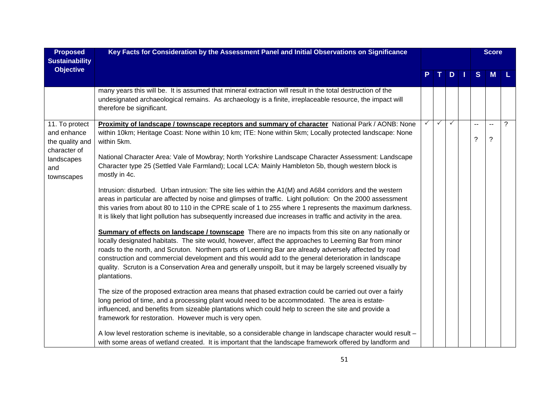| <b>Proposed</b>                                 | Key Facts for Consideration by the Assessment Panel and Initial Observations on Significance                                                                                                                                                                                                                                                                                                                                                                                                                                                                 |              |              |              |                          | <b>Score</b> |      |
|-------------------------------------------------|--------------------------------------------------------------------------------------------------------------------------------------------------------------------------------------------------------------------------------------------------------------------------------------------------------------------------------------------------------------------------------------------------------------------------------------------------------------------------------------------------------------------------------------------------------------|--------------|--------------|--------------|--------------------------|--------------|------|
| <b>Sustainability</b><br><b>Objective</b>       |                                                                                                                                                                                                                                                                                                                                                                                                                                                                                                                                                              |              |              |              |                          |              |      |
|                                                 |                                                                                                                                                                                                                                                                                                                                                                                                                                                                                                                                                              |              |              | $D$          | S                        | <b>M</b>     | - L. |
|                                                 | many years this will be. It is assumed that mineral extraction will result in the total destruction of the<br>undesignated archaeological remains. As archaeology is a finite, irreplaceable resource, the impact will<br>therefore be significant.                                                                                                                                                                                                                                                                                                          |              |              |              |                          |              |      |
| 11. To protect                                  | Proximity of landscape / townscape receptors and summary of character National Park / AONB: None                                                                                                                                                                                                                                                                                                                                                                                                                                                             | $\checkmark$ | $\checkmark$ | $\checkmark$ | $\overline{\phantom{a}}$ | $\sim$       | ?    |
| and enhance<br>the quality and                  | within 10km; Heritage Coast: None within 10 km; ITE: None within 5km; Locally protected landscape: None<br>within 5km.                                                                                                                                                                                                                                                                                                                                                                                                                                       |              |              |              | ?                        | $\ddot{?}$   |      |
| character of<br>landscapes<br>and<br>townscapes | National Character Area: Vale of Mowbray; North Yorkshire Landscape Character Assessment: Landscape<br>Character type 25 (Settled Vale Farmland); Local LCA: Mainly Hambleton 5b, though western block is<br>mostly in 4c.                                                                                                                                                                                                                                                                                                                                   |              |              |              |                          |              |      |
|                                                 | Intrusion: disturbed. Urban intrusion: The site lies within the A1(M) and A684 corridors and the western<br>areas in particular are affected by noise and glimpses of traffic. Light pollution: On the 2000 assessment<br>this varies from about 80 to 110 in the CPRE scale of 1 to 255 where 1 represents the maximum darkness.<br>It is likely that light pollution has subsequently increased due increases in traffic and activity in the area.                                                                                                         |              |              |              |                          |              |      |
|                                                 | Summary of effects on landscape / townscape There are no impacts from this site on any nationally or<br>locally designated habitats. The site would, however, affect the approaches to Leeming Bar from minor<br>roads to the north, and Scruton. Northern parts of Leeming Bar are already adversely affected by road<br>construction and commercial development and this would add to the general deterioration in landscape<br>quality. Scruton is a Conservation Area and generally unspoilt, but it may be largely screened visually by<br>plantations. |              |              |              |                          |              |      |
|                                                 | The size of the proposed extraction area means that phased extraction could be carried out over a fairly<br>long period of time, and a processing plant would need to be accommodated. The area is estate-<br>influenced, and benefits from sizeable plantations which could help to screen the site and provide a<br>framework for restoration. However much is very open.                                                                                                                                                                                  |              |              |              |                          |              |      |
|                                                 | A low level restoration scheme is inevitable, so a considerable change in landscape character would result -<br>with some areas of wetland created. It is important that the landscape framework offered by landform and                                                                                                                                                                                                                                                                                                                                     |              |              |              |                          |              |      |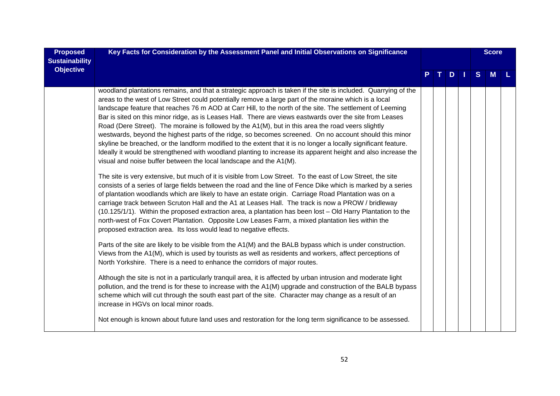| <b>Proposed</b><br><b>Sustainability</b> | Key Facts for Consideration by the Assessment Panel and Initial Observations on Significance                                                                                                                                                                                                                                                                                                                                                                                                                                                                                                                                                                                                                                                                                                                                                                                                                                                                                                                                                                                                                                                                                                                                                                                                                                                                                                                                                                                                                                                                                                                                                                                                                                                                                                                                                                                                                                                                                                                                                                                                                                                                                                                                                                                                                                                                       | D |  |  |  |   | <b>Score</b> |  |
|------------------------------------------|--------------------------------------------------------------------------------------------------------------------------------------------------------------------------------------------------------------------------------------------------------------------------------------------------------------------------------------------------------------------------------------------------------------------------------------------------------------------------------------------------------------------------------------------------------------------------------------------------------------------------------------------------------------------------------------------------------------------------------------------------------------------------------------------------------------------------------------------------------------------------------------------------------------------------------------------------------------------------------------------------------------------------------------------------------------------------------------------------------------------------------------------------------------------------------------------------------------------------------------------------------------------------------------------------------------------------------------------------------------------------------------------------------------------------------------------------------------------------------------------------------------------------------------------------------------------------------------------------------------------------------------------------------------------------------------------------------------------------------------------------------------------------------------------------------------------------------------------------------------------------------------------------------------------------------------------------------------------------------------------------------------------------------------------------------------------------------------------------------------------------------------------------------------------------------------------------------------------------------------------------------------------------------------------------------------------------------------------------------------------|---|--|--|--|---|--------------|--|
| <b>Objective</b>                         |                                                                                                                                                                                                                                                                                                                                                                                                                                                                                                                                                                                                                                                                                                                                                                                                                                                                                                                                                                                                                                                                                                                                                                                                                                                                                                                                                                                                                                                                                                                                                                                                                                                                                                                                                                                                                                                                                                                                                                                                                                                                                                                                                                                                                                                                                                                                                                    |   |  |  |  | S | M            |  |
|                                          | woodland plantations remains, and that a strategic approach is taken if the site is included. Quarrying of the<br>areas to the west of Low Street could potentially remove a large part of the moraine which is a local<br>landscape feature that reaches 76 m AOD at Carr Hill, to the north of the site. The settlement of Leeming<br>Bar is sited on this minor ridge, as is Leases Hall. There are views eastwards over the site from Leases<br>Road (Dere Street). The moraine is followed by the A1(M), but in this area the road veers slightly<br>westwards, beyond the highest parts of the ridge, so becomes screened. On no account should this minor<br>skyline be breached, or the landform modified to the extent that it is no longer a locally significant feature.<br>Ideally it would be strengthened with woodland planting to increase its apparent height and also increase the<br>visual and noise buffer between the local landscape and the A1(M).<br>The site is very extensive, but much of it is visible from Low Street. To the east of Low Street, the site<br>consists of a series of large fields between the road and the line of Fence Dike which is marked by a series<br>of plantation woodlands which are likely to have an estate origin. Carriage Road Plantation was on a<br>carriage track between Scruton Hall and the A1 at Leases Hall. The track is now a PROW / bridleway<br>(10.125/1/1). Within the proposed extraction area, a plantation has been lost - Old Harry Plantation to the<br>north-west of Fox Covert Plantation. Opposite Low Leases Farm, a mixed plantation lies within the<br>proposed extraction area. Its loss would lead to negative effects.<br>Parts of the site are likely to be visible from the A1(M) and the BALB bypass which is under construction.<br>Views from the A1(M), which is used by tourists as well as residents and workers, affect perceptions of<br>North Yorkshire. There is a need to enhance the corridors of major routes.<br>Although the site is not in a particularly tranquil area, it is affected by urban intrusion and moderate light<br>pollution, and the trend is for these to increase with the A1(M) upgrade and construction of the BALB bypass<br>scheme which will cut through the south east part of the site. Character may change as a result of an |   |  |  |  |   |              |  |
|                                          | increase in HGVs on local minor roads.<br>Not enough is known about future land uses and restoration for the long term significance to be assessed.                                                                                                                                                                                                                                                                                                                                                                                                                                                                                                                                                                                                                                                                                                                                                                                                                                                                                                                                                                                                                                                                                                                                                                                                                                                                                                                                                                                                                                                                                                                                                                                                                                                                                                                                                                                                                                                                                                                                                                                                                                                                                                                                                                                                                |   |  |  |  |   |              |  |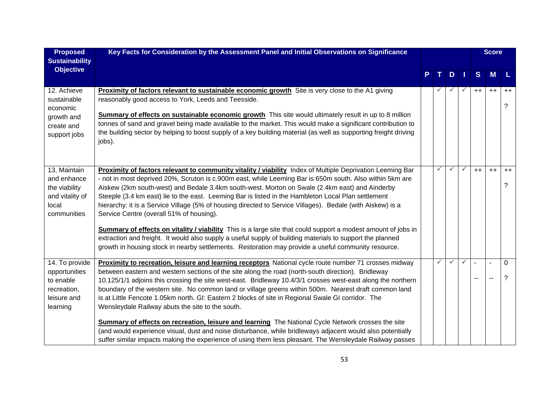| <b>Proposed</b>                                                                         | Key Facts for Consideration by the Assessment Panel and Initial Observations on Significance                                                                                                                                                                                                                                                                                                                                                                                                                                                                                                                                                                                                                                                                                                                                                                                                                                          |  |   |              |              |      | <b>Score</b>   |               |
|-----------------------------------------------------------------------------------------|---------------------------------------------------------------------------------------------------------------------------------------------------------------------------------------------------------------------------------------------------------------------------------------------------------------------------------------------------------------------------------------------------------------------------------------------------------------------------------------------------------------------------------------------------------------------------------------------------------------------------------------------------------------------------------------------------------------------------------------------------------------------------------------------------------------------------------------------------------------------------------------------------------------------------------------|--|---|--------------|--------------|------|----------------|---------------|
| <b>Sustainability</b>                                                                   |                                                                                                                                                                                                                                                                                                                                                                                                                                                                                                                                                                                                                                                                                                                                                                                                                                                                                                                                       |  |   |              |              |      |                |               |
| <b>Objective</b>                                                                        |                                                                                                                                                                                                                                                                                                                                                                                                                                                                                                                                                                                                                                                                                                                                                                                                                                                                                                                                       |  |   | D            |              | S    | M              | L             |
| 12. Achieve<br>sustainable<br>economic<br>growth and<br>create and<br>support jobs      | <b>Proximity of factors relevant to sustainable economic growth</b> Site is very close to the A1 giving<br>reasonably good access to York, Leeds and Teesside.<br>Summary of effects on sustainable economic growth This site would ultimately result in up to 8 million<br>tonnes of sand and gravel being made available to the market. This would make a significant contribution to<br>the building sector by helping to boost supply of a key building material (as well as supporting freight driving<br>jobs).                                                                                                                                                                                                                                                                                                                                                                                                                 |  |   |              | $\checkmark$ | $++$ | $++$           | $++$<br>?     |
| 13. Maintain<br>and enhance<br>the viability<br>and vitality of<br>local<br>communities | Proximity of factors relevant to community vitality / viability Index of Multiple Deprivation Leeming Bar<br>- not in most deprived 20%, Scruton is c.900m east, while Leeming Bar is 650m south. Also within 5km are<br>Aiskew (2km south-west) and Bedale 3.4km south-west. Morton on Swale (2.4km east) and Ainderby<br>Steeple (3.4 km east) lie to the east. Leeming Bar is listed in the Hambleton Local Plan settlement<br>hierarchy: it is a Service Village (5% of housing directed to Service Villages). Bedale (with Aiskew) is a<br>Service Centre (overall 51% of housing).<br>Summary of effects on vitality / viability This is a large site that could support a modest amount of jobs in<br>extraction and freight. It would also supply a useful supply of building materials to support the planned<br>growth in housing stock in nearby settlements. Restoration may provide a useful community resource.         |  | ✓ |              | $\checkmark$ | $++$ | $++$           | $++$<br>?     |
| 14. To provide<br>opportunities<br>to enable<br>recreation,<br>leisure and<br>learning  | Proximity to recreation, leisure and learning receptors National cycle route number 71 crosses midway<br>between eastern and western sections of the site along the road (north-south direction). Bridleway<br>10.125/1/1 adjoins this crossing the site west-east. Bridleway 10.4/3/1 crosses west-east along the northern<br>boundary of the western site. No common land or village greens within 500m. Nearest draft common land<br>is at Little Fencote 1.05km north. GI: Eastern 2 blocks of site in Regional Swale GI corridor. The<br>Wensleydale Railway abuts the site to the south.<br><b>Summary of effects on recreation, leisure and learning</b> The National Cycle Network crosses the site<br>(and would experience visual, dust and noise disturbance, while bridleways adjacent would also potentially<br>suffer similar impacts making the experience of using them less pleasant. The Wensleydale Railway passes |  | ✓ | $\checkmark$ | $\checkmark$ |      | $\blacksquare$ | $\Omega$<br>? |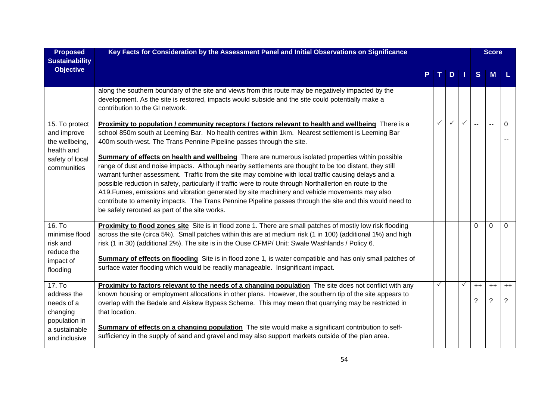| <b>Proposed</b><br><b>Sustainability</b>                                                           | Key Facts for Consideration by the Assessment Panel and Initial Observations on Significance                                                                                                                                                                                                                                                                                                                                                                                                                                                                                                                                                                                                                                                                                                                                                                                                                                                                                                |   |              |              |              | <b>Score</b> |           |
|----------------------------------------------------------------------------------------------------|---------------------------------------------------------------------------------------------------------------------------------------------------------------------------------------------------------------------------------------------------------------------------------------------------------------------------------------------------------------------------------------------------------------------------------------------------------------------------------------------------------------------------------------------------------------------------------------------------------------------------------------------------------------------------------------------------------------------------------------------------------------------------------------------------------------------------------------------------------------------------------------------------------------------------------------------------------------------------------------------|---|--------------|--------------|--------------|--------------|-----------|
| <b>Objective</b>                                                                                   |                                                                                                                                                                                                                                                                                                                                                                                                                                                                                                                                                                                                                                                                                                                                                                                                                                                                                                                                                                                             |   | D            |              | S            | M            |           |
|                                                                                                    | along the southern boundary of the site and views from this route may be negatively impacted by the<br>development. As the site is restored, impacts would subside and the site could potentially make a<br>contribution to the GI network.                                                                                                                                                                                                                                                                                                                                                                                                                                                                                                                                                                                                                                                                                                                                                 |   |              |              |              |              |           |
| 15. To protect<br>and improve<br>the wellbeing,<br>health and<br>safety of local<br>communities    | Proximity to population / community receptors / factors relevant to health and wellbeing There is a<br>school 850m south at Leeming Bar. No health centres within 1km. Nearest settlement is Leeming Bar<br>400m south-west. The Trans Pennine Pipeline passes through the site.<br><b>Summary of effects on health and wellbeing</b> There are numerous isolated properties within possible<br>range of dust and noise impacts. Although nearby settlements are thought to be too distant, they still<br>warrant further assessment. Traffic from the site may combine with local traffic causing delays and a<br>possible reduction in safety, particularly if traffic were to route through Northallerton en route to the<br>A19. Fumes, emissions and vibration generated by site machinery and vehicle movements may also<br>contribute to amenity impacts. The Trans Pennine Pipeline passes through the site and this would need to<br>be safely rerouted as part of the site works. | ✓ | $\checkmark$ | $\checkmark$ | $\sim$       | $\mathbf{L}$ | $\Omega$  |
| 16. T <sub>0</sub><br>minimise flood<br>risk and<br>reduce the<br>impact of<br>flooding            | Proximity to flood zones site Site is in flood zone 1. There are small patches of mostly low risk flooding<br>across the site (circa 5%). Small patches within this are at medium risk (1 in 100) (additional 1%) and high<br>risk (1 in 30) (additional 2%). The site is in the Ouse CFMP/ Unit: Swale Washlands / Policy 6.<br><b>Summary of effects on flooding</b> Site is in flood zone 1, is water compatible and has only small patches of<br>surface water flooding which would be readily manageable. Insignificant impact.                                                                                                                                                                                                                                                                                                                                                                                                                                                        |   |              |              | $\Omega$     | $\Omega$     | $\Omega$  |
| 17. To<br>address the<br>needs of a<br>changing<br>population in<br>a sustainable<br>and inclusive | Proximity to factors relevant to the needs of a changing population The site does not conflict with any<br>known housing or employment allocations in other plans. However, the southern tip of the site appears to<br>overlap with the Bedale and Aiskew Bypass Scheme. This may mean that quarrying may be restricted in<br>that location.<br>Summary of effects on a changing population The site would make a significant contribution to self-<br>sufficiency in the supply of sand and gravel and may also support markets outside of the plan area.                                                                                                                                                                                                                                                                                                                                                                                                                                  |   |              | $\checkmark$ | $^{++}$<br>? | $++$<br>?    | $++$<br>? |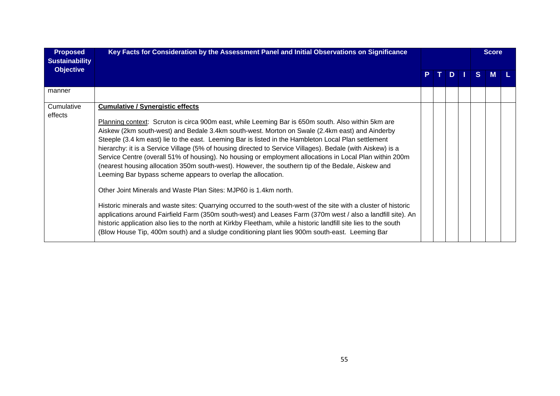| <b>Proposed</b><br><b>Sustainability</b> | Key Facts for Consideration by the Assessment Panel and Initial Observations on Significance                                                                                                                                                                                                                                                                                                                                                                                                                                                                                                                                                                                                                                                                                                                                                                                                                                                                                                                                                                                                                                                                                                                                                                                    |  |  |    |    | <b>Score</b> |  |
|------------------------------------------|---------------------------------------------------------------------------------------------------------------------------------------------------------------------------------------------------------------------------------------------------------------------------------------------------------------------------------------------------------------------------------------------------------------------------------------------------------------------------------------------------------------------------------------------------------------------------------------------------------------------------------------------------------------------------------------------------------------------------------------------------------------------------------------------------------------------------------------------------------------------------------------------------------------------------------------------------------------------------------------------------------------------------------------------------------------------------------------------------------------------------------------------------------------------------------------------------------------------------------------------------------------------------------|--|--|----|----|--------------|--|
| <b>Objective</b>                         |                                                                                                                                                                                                                                                                                                                                                                                                                                                                                                                                                                                                                                                                                                                                                                                                                                                                                                                                                                                                                                                                                                                                                                                                                                                                                 |  |  | D. | S. | M            |  |
| manner                                   |                                                                                                                                                                                                                                                                                                                                                                                                                                                                                                                                                                                                                                                                                                                                                                                                                                                                                                                                                                                                                                                                                                                                                                                                                                                                                 |  |  |    |    |              |  |
| Cumulative<br>effects                    | <b>Cumulative / Synergistic effects</b><br>Planning context: Scruton is circa 900m east, while Leeming Bar is 650m south. Also within 5km are<br>Aiskew (2km south-west) and Bedale 3.4km south-west. Morton on Swale (2.4km east) and Ainderby<br>Steeple (3.4 km east) lie to the east. Leeming Bar is listed in the Hambleton Local Plan settlement<br>hierarchy: it is a Service Village (5% of housing directed to Service Villages). Bedale (with Aiskew) is a<br>Service Centre (overall 51% of housing). No housing or employment allocations in Local Plan within 200m<br>(nearest housing allocation 350m south-west). However, the southern tip of the Bedale, Aiskew and<br>Leeming Bar bypass scheme appears to overlap the allocation.<br>Other Joint Minerals and Waste Plan Sites: MJP60 is 1.4km north.<br>Historic minerals and waste sites: Quarrying occurred to the south-west of the site with a cluster of historic<br>applications around Fairfield Farm (350m south-west) and Leases Farm (370m west / also a landfill site). An<br>historic application also lies to the north at Kirkby Fleetham, while a historic landfill site lies to the south<br>(Blow House Tip, 400m south) and a sludge conditioning plant lies 900m south-east. Leeming Bar |  |  |    |    |              |  |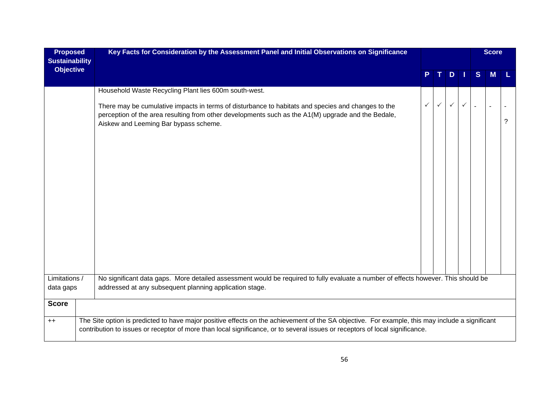| <b>Proposed</b><br><b>Sustainability</b> | Key Facts for Consideration by the Assessment Panel and Initial Observations on Significance                                                                                                                                                                                    |              |   |              |              |                | <b>Score</b> |   |
|------------------------------------------|---------------------------------------------------------------------------------------------------------------------------------------------------------------------------------------------------------------------------------------------------------------------------------|--------------|---|--------------|--------------|----------------|--------------|---|
| <b>Objective</b>                         |                                                                                                                                                                                                                                                                                 | P.           |   | $D$          |              | S              | <b>M</b>     |   |
|                                          | Household Waste Recycling Plant lies 600m south-west.                                                                                                                                                                                                                           |              |   |              |              |                |              |   |
|                                          | There may be cumulative impacts in terms of disturbance to habitats and species and changes to the<br>perception of the area resulting from other developments such as the A1(M) upgrade and the Bedale,<br>Aiskew and Leeming Bar bypass scheme.                               | $\checkmark$ | ✓ | $\checkmark$ | $\checkmark$ | $\overline{a}$ |              | ? |
| Limitations /                            | No significant data gaps. More detailed assessment would be required to fully evaluate a number of effects however. This should be                                                                                                                                              |              |   |              |              |                |              |   |
| data gaps                                | addressed at any subsequent planning application stage.                                                                                                                                                                                                                         |              |   |              |              |                |              |   |
| <b>Score</b>                             |                                                                                                                                                                                                                                                                                 |              |   |              |              |                |              |   |
| $++$                                     | The Site option is predicted to have major positive effects on the achievement of the SA objective. For example, this may include a significant<br>contribution to issues or receptor of more than local significance, or to several issues or receptors of local significance. |              |   |              |              |                |              |   |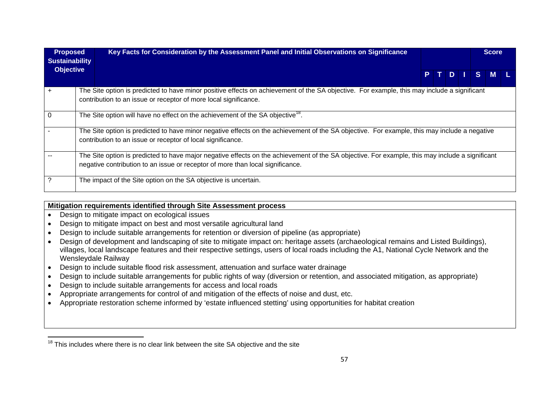| <b>Proposed</b><br><b>Sustainability</b> | Key Facts for Consideration by the Assessment Panel and Initial Observations on Significance                                                                                                                                      |  |  |         | <b>Score</b> |  |
|------------------------------------------|-----------------------------------------------------------------------------------------------------------------------------------------------------------------------------------------------------------------------------------|--|--|---------|--------------|--|
| <b>Objective</b>                         |                                                                                                                                                                                                                                   |  |  | PTDISML |              |  |
|                                          | The Site option is predicted to have minor positive effects on achievement of the SA objective. For example, this may include a significant<br>contribution to an issue or receptor of more local significance.                   |  |  |         |              |  |
|                                          | The Site option will have no effect on the achievement of the SA objective <sup>18</sup> .                                                                                                                                        |  |  |         |              |  |
|                                          | The Site option is predicted to have minor negative effects on the achievement of the SA objective. For example, this may include a negative<br>contribution to an issue or receptor of local significance.                       |  |  |         |              |  |
|                                          | The Site option is predicted to have major negative effects on the achievement of the SA objective. For example, this may include a significant<br>negative contribution to an issue or receptor of more than local significance. |  |  |         |              |  |
|                                          | The impact of the Site option on the SA objective is uncertain.                                                                                                                                                                   |  |  |         |              |  |

#### **Mitigation requirements identified through Site Assessment process**

- Design to mitigate impact on ecological issues
- Design to mitigate impact on best and most versatile agricultural land
- Design to include suitable arrangements for retention or diversion of pipeline (as appropriate)
- Design of development and landscaping of site to mitigate impact on: heritage assets (archaeological remains and Listed Buildings), villages, local landscape features and their respective settings, users of local roads including the A1, National Cycle Network and the Wensleydale Railway
- Design to include suitable flood risk assessment, attenuation and surface water drainage
- Design to include suitable arrangements for public rights of way (diversion or retention, and associated mitigation, as appropriate)
- Design to include suitable arrangements for access and local roads
- Appropriate arrangements for control of and mitigation of the effects of noise and dust, etc.
- Appropriate restoration scheme informed by 'estate influenced stetting' using opportunities for habitat creation

 $18$  This includes where there is no clear link between the site SA objective and the site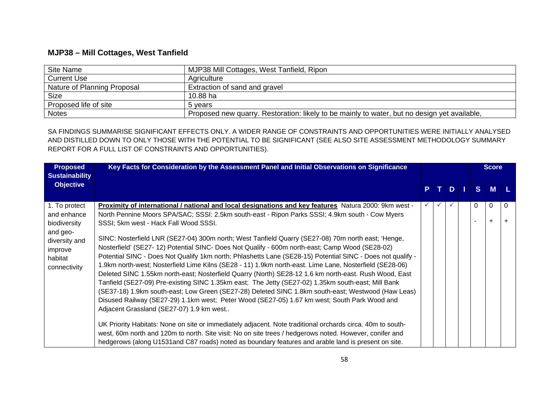# **MJP38 – Mill Cottages, West Tanfield**

| Site Name                   | MJP38 Mill Cottages, West Tanfield, Ripon                                                    |
|-----------------------------|----------------------------------------------------------------------------------------------|
| <b>Current Use</b>          | Agriculture                                                                                  |
| Nature of Planning Proposal | Extraction of sand and gravel                                                                |
| <b>Size</b>                 | 10.88 ha                                                                                     |
| Proposed life of site       | 5 vears                                                                                      |
| <b>Notes</b>                | Proposed new quarry. Restoration: likely to be mainly to water, but no design yet available, |

SA FINDINGS SUMMARISE SIGNIFICANT EFFECTS ONLY. A WIDER RANGE OF CONSTRAINTS AND OPPORTUNITIES WERE INITIALLY ANALYSED AND DISTILLED DOWN TO ONLY THOSE WITH THE POTENTIAL TO BE SIGNIFICANT (SEE ALSO SITE ASSESSMENT METHODOLOGY SUMMARY REPORT FOR A FULL LIST OF CONSTRAINTS AND OPPORTUNITIES).

| <b>Proposed</b><br><b>Sustainability</b>                                                                        | Key Facts for Consideration by the Assessment Panel and Initial Observations on Significance                                                                                                                                                                                                                                                                                                                                                                                                                                                                                                                                                                                                                                                                                                                                                                                                                                                                                                                                                                                                                                                                                                                                                                                                                                                                                                                                                                                         |   |    |          | <b>Score</b>   |   |
|-----------------------------------------------------------------------------------------------------------------|--------------------------------------------------------------------------------------------------------------------------------------------------------------------------------------------------------------------------------------------------------------------------------------------------------------------------------------------------------------------------------------------------------------------------------------------------------------------------------------------------------------------------------------------------------------------------------------------------------------------------------------------------------------------------------------------------------------------------------------------------------------------------------------------------------------------------------------------------------------------------------------------------------------------------------------------------------------------------------------------------------------------------------------------------------------------------------------------------------------------------------------------------------------------------------------------------------------------------------------------------------------------------------------------------------------------------------------------------------------------------------------------------------------------------------------------------------------------------------------|---|----|----------|----------------|---|
| <b>Objective</b>                                                                                                |                                                                                                                                                                                                                                                                                                                                                                                                                                                                                                                                                                                                                                                                                                                                                                                                                                                                                                                                                                                                                                                                                                                                                                                                                                                                                                                                                                                                                                                                                      | P | D. | S.       | <b>M</b>       |   |
| 1. To protect<br>and enhance<br>biodiversity<br>and geo-<br>diversity and<br>improve<br>habitat<br>connectivity | Proximity of international / national and local designations and key features Natura 2000: 9km west -<br>North Pennine Moors SPA/SAC; SSSI: 2.5km south-east - Ripon Parks SSSI; 4.9km south - Cow Myers<br>SSSI; 5km west - Hack Fall Wood SSSI.<br>SINC: Nosterfield LNR (SE27-04) 300m north; West Tanfield Quarry (SE27-08) 70m north east; 'Henge,<br>Nosterfield' (SE27- 12) Potential SINC- Does Not Qualify - 600m north-east; Camp Wood (SE28-02)<br>Potential SINC - Does Not Qualify 1km north; Phlashetts Lane (SE28-15) Potential SINC - Does not qualify -<br>1.9km north-west; Nosterfield Lime Kilns (SE28 - 11) 1.9km north-east. Lime Lane, Nosterfield (SE28-06)<br>Deleted SINC 1.55km north-east; Nosterfield Quarry (North) SE28-12 1.6 km north-east. Rush Wood, East<br>Tanfield (SE27-09) Pre-existing SINC 1.35km east; The Jetty (SE27-02) 1.35km south-east; Mill Bank<br>(SE37-18) 1.9km south-east; Low Green (SE27-28) Deleted SINC 1.8km south-east; Westwood (Haw Leas)<br>Disused Railway (SE27-29) 1.1km west; Peter Wood (SE27-05) 1.67 km west; South Park Wood and<br>Adjacent Grassland (SE27-07) 1.9 km west<br>UK Priority Habitats: None on site or immediately adjacent. Note traditional orchards circa. 40m to south-<br>west, 60m north and 120m to north. Site visit: No on site trees / hedgerows noted. However, conifer and<br>hedgerows (along U1531and C87 roads) noted as boundary features and arable land is present on site. |   |    | $\Omega$ | 0<br>$\ddot{}$ | 0 |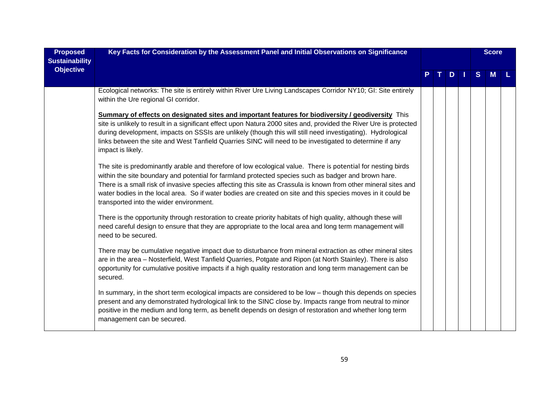| <b>Proposed</b><br><b>Sustainability</b> | Key Facts for Consideration by the Assessment Panel and Initial Observations on Significance                                                                                                                                                                                                                                                                                                                                                                                                       |  |     |   | <b>Score</b> |  |
|------------------------------------------|----------------------------------------------------------------------------------------------------------------------------------------------------------------------------------------------------------------------------------------------------------------------------------------------------------------------------------------------------------------------------------------------------------------------------------------------------------------------------------------------------|--|-----|---|--------------|--|
| <b>Objective</b>                         |                                                                                                                                                                                                                                                                                                                                                                                                                                                                                                    |  | $D$ | S | M            |  |
|                                          | Ecological networks: The site is entirely within River Ure Living Landscapes Corridor NY10; GI: Site entirely<br>within the Ure regional GI corridor.                                                                                                                                                                                                                                                                                                                                              |  |     |   |              |  |
|                                          | <b>Summary of effects on designated sites and important features for biodiversity / geodiversity</b> This<br>site is unlikely to result in a significant effect upon Natura 2000 sites and, provided the River Ure is protected<br>during development, impacts on SSSIs are unlikely (though this will still need investigating). Hydrological<br>links between the site and West Tanfield Quarries SINC will need to be investigated to determine if any<br>impact is likely.                     |  |     |   |              |  |
|                                          | The site is predominantly arable and therefore of low ecological value. There is potential for nesting birds<br>within the site boundary and potential for farmland protected species such as badger and brown hare.<br>There is a small risk of invasive species affecting this site as Crassula is known from other mineral sites and<br>water bodies in the local area. So if water bodies are created on site and this species moves in it could be<br>transported into the wider environment. |  |     |   |              |  |
|                                          | There is the opportunity through restoration to create priority habitats of high quality, although these will<br>need careful design to ensure that they are appropriate to the local area and long term management will<br>need to be secured.                                                                                                                                                                                                                                                    |  |     |   |              |  |
|                                          | There may be cumulative negative impact due to disturbance from mineral extraction as other mineral sites<br>are in the area - Nosterfield, West Tanfield Quarries, Potgate and Ripon (at North Stainley). There is also<br>opportunity for cumulative positive impacts if a high quality restoration and long term management can be<br>secured.                                                                                                                                                  |  |     |   |              |  |
|                                          | In summary, in the short term ecological impacts are considered to be low - though this depends on species<br>present and any demonstrated hydrological link to the SINC close by. Impacts range from neutral to minor<br>positive in the medium and long term, as benefit depends on design of restoration and whether long term<br>management can be secured.                                                                                                                                    |  |     |   |              |  |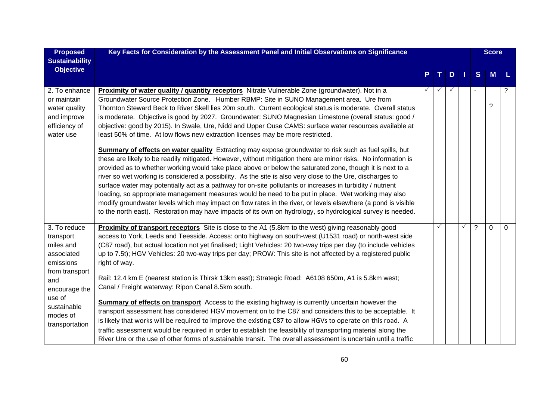| <b>Proposed</b><br><b>Sustainability</b>                                                                                                                           | Key Facts for Consideration by the Assessment Panel and Initial Observations on Significance                                                                                                                                                                                                                                                                                                                                                                                                                                                                                                                                                                                                                                                                                                                                                                                                                                                                                                                                                                                                                                                                                                                                                                                                                                                                                                                                                                                                                                             |   |   |     |   | <b>Score</b>   |   |
|--------------------------------------------------------------------------------------------------------------------------------------------------------------------|------------------------------------------------------------------------------------------------------------------------------------------------------------------------------------------------------------------------------------------------------------------------------------------------------------------------------------------------------------------------------------------------------------------------------------------------------------------------------------------------------------------------------------------------------------------------------------------------------------------------------------------------------------------------------------------------------------------------------------------------------------------------------------------------------------------------------------------------------------------------------------------------------------------------------------------------------------------------------------------------------------------------------------------------------------------------------------------------------------------------------------------------------------------------------------------------------------------------------------------------------------------------------------------------------------------------------------------------------------------------------------------------------------------------------------------------------------------------------------------------------------------------------------------|---|---|-----|---|----------------|---|
| <b>Objective</b>                                                                                                                                                   |                                                                                                                                                                                                                                                                                                                                                                                                                                                                                                                                                                                                                                                                                                                                                                                                                                                                                                                                                                                                                                                                                                                                                                                                                                                                                                                                                                                                                                                                                                                                          |   | D | - 1 | S | M              |   |
| 2. To enhance<br>or maintain<br>water quality<br>and improve<br>efficiency of<br>water use                                                                         | <b>Proximity of water quality / quantity receptors</b> Nitrate Vulnerable Zone (groundwater). Not in a<br>Groundwater Source Protection Zone. Humber RBMP: Site in SUNO Management area. Ure from<br>Thornton Steward Beck to River Skell lies 20m south. Current ecological status is moderate. Overall status<br>is moderate. Objective is good by 2027. Groundwater: SUNO Magnesian Limestone (overall status: good /<br>objective: good by 2015). In Swale, Ure, Nidd and Upper Ouse CAMS: surface water resources available at<br>least 50% of time. At low flows new extraction licenses may be more restricted.<br><b>Summary of effects on water quality</b> Extracting may expose groundwater to risk such as fuel spills, but<br>these are likely to be readily mitigated. However, without mitigation there are minor risks. No information is<br>provided as to whether working would take place above or below the saturated zone, though it is next to a<br>river so wet working is considered a possibility. As the site is also very close to the Ure, discharges to<br>surface water may potentially act as a pathway for on-site pollutants or increases in turbidity / nutrient<br>loading, so appropriate management measures would be need to be put in place. Wet working may also<br>modify groundwater levels which may impact on flow rates in the river, or levels elsewhere (a pond is visible<br>to the north east). Restoration may have impacts of its own on hydrology, so hydrological survey is needed. |   |   |     |   | $\tilde{?}$    |   |
| 3. To reduce<br>transport<br>miles and<br>associated<br>emissions<br>from transport<br>and<br>encourage the<br>use of<br>sustainable<br>modes of<br>transportation | Proximity of transport receptors Site is close to the A1 (5.8km to the west) giving reasonably good<br>access to York, Leeds and Teesside. Access: onto highway on south-west (U1531 road) or north-west side<br>(C87 road), but actual location not yet finalised; Light Vehicles: 20 two-way trips per day (to include vehicles<br>up to 7.5t); HGV Vehicles: 20 two-way trips per day; PROW: This site is not affected by a registered public<br>right of way.<br>Rail: 12.4 km E (nearest station is Thirsk 13km east); Strategic Road: A6108 650m, A1 is 5.8km west;<br>Canal / Freight waterway: Ripon Canal 8.5km south.<br><b>Summary of effects on transport</b> Access to the existing highway is currently uncertain however the<br>transport assessment has considered HGV movement on to the C87 and considers this to be acceptable. It<br>is likely that works will be required to improve the existing C87 to allow HGVs to operate on this road. A<br>traffic assessment would be required in order to establish the feasibility of transporting material along the<br>River Ure or the use of other forms of sustainable transit. The overall assessment is uncertain until a traffic                                                                                                                                                                                                                                                                                                                                  | ✓ |   | ✓   | ? | $\overline{0}$ | 0 |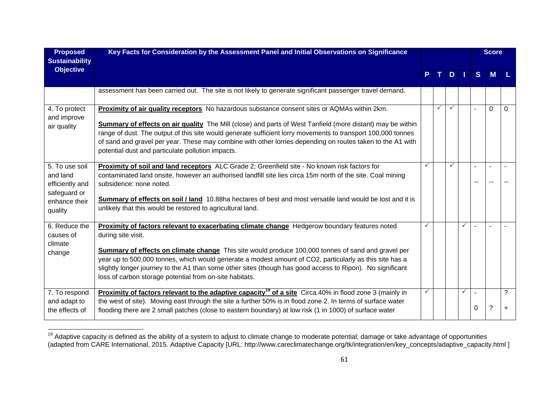| <b>Proposed</b><br><b>Sustainability</b>                      | Key Facts for Consideration by the Assessment Panel and Initial Observations on Significance                                                                                                                                                                                                                                                                                                  |              |              |              |   |                | <b>Score</b> |                |
|---------------------------------------------------------------|-----------------------------------------------------------------------------------------------------------------------------------------------------------------------------------------------------------------------------------------------------------------------------------------------------------------------------------------------------------------------------------------------|--------------|--------------|--------------|---|----------------|--------------|----------------|
| <b>Objective</b>                                              |                                                                                                                                                                                                                                                                                                                                                                                               |              | T.           | $D$          |   | <sub>S</sub>   | M            |                |
|                                                               | assessment has been carried out. The site is not likely to generate significant passenger travel demand.                                                                                                                                                                                                                                                                                      |              |              |              |   |                |              |                |
| 4. To protect<br>and improve                                  | Proximity of air quality receptors No hazardous substance consent sites or AQMAs within 2km.                                                                                                                                                                                                                                                                                                  |              | $\checkmark$ | $\checkmark$ |   | $\overline{a}$ | $\mathbf 0$  | $\Omega$       |
| air quality                                                   | Summary of effects on air quality The Mill (close) and parts of West Tanfield (more distant) may be within<br>range of dust. The output of this site would generate sufficient lorry movements to transport 100,000 tonnes<br>of sand and gravel per year. These may combine with other lorries depending on routes taken to the A1 with<br>potential dust and particulate pollution impacts. |              |              |              |   |                |              |                |
| 5. To use soil<br>and land<br>efficiently and<br>safeguard or | Proximity of soil and land receptors ALC Grade 2; Greenfield site - No known risk factors for<br>contaminated land onsite, however an authorised landfill site lies circa 15m north of the site. Coal mining<br>subsidence: none noted.                                                                                                                                                       |              |              | $\checkmark$ |   | --             |              |                |
| enhance their<br>quality                                      | Summary of effects on soil / land 10.88ha hectares of best and most versatile land would be lost and it is<br>unlikely that this would be restored to agricultural land.                                                                                                                                                                                                                      |              |              |              |   |                |              |                |
| 6. Reduce the<br>causes of<br>climate                         | <b>Proximity of factors relevant to exacerbating climate change</b> Hedgerow boundary features noted<br>during site visit.                                                                                                                                                                                                                                                                    | $\checkmark$ |              |              | ✓ | $\overline{a}$ |              |                |
| change                                                        | <b>Summary of effects on climate change</b> This site would produce 100,000 tonnes of sand and gravel per<br>year up to 500,000 tonnes, which would generate a modest amount of CO2, particularly as this site has a<br>slightly longer journey to the A1 than some other sites (though has good access to Ripon). No significant<br>loss of carbon storage potential from on-site habitats.  |              |              |              |   |                |              |                |
| 7. To respond<br>and adapt to<br>the effects of               | Proximity of factors relevant to the adaptive capacity <sup>19</sup> of a site Circa.40% in flood zone 3 (mainly in<br>the west of site). Moving east through the site a further 50% is in flood zone 2. In terms of surface water<br>flooding there are 2 small patches (close to eastern boundary) at low risk (1 in 1000) of surface water                                                 |              |              |              | ✓ | 0              | ?            | ?<br>$\ddot{}$ |

<sup>&</sup>lt;sup>19</sup> Adaptive capacity is defined as the ability of a system to adjust to climate change to moderate potential; damage or take advantage of opportunities (adapted from CARE International, 2015. Adaptive Capacity [URL: http://www.careclimatechange.org/tk/integration/en/key\_concepts/adaptive\_capacity.html ]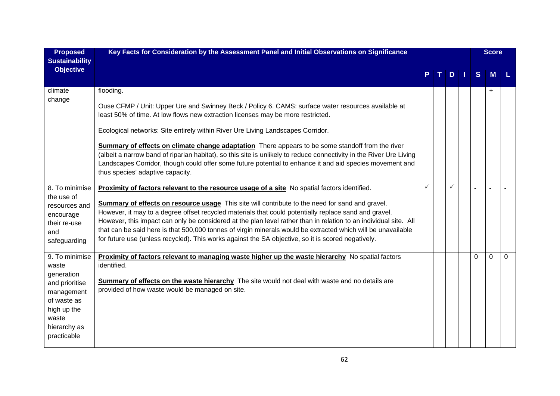| <b>Proposed</b>                                                                                                                             | Key Facts for Consideration by the Assessment Panel and Initial Observations on Significance                                                                                                                                                                                                                                                                                                                                                                                                                                                                                                                                                                             |   |              |   | <b>Score</b> |          |
|---------------------------------------------------------------------------------------------------------------------------------------------|--------------------------------------------------------------------------------------------------------------------------------------------------------------------------------------------------------------------------------------------------------------------------------------------------------------------------------------------------------------------------------------------------------------------------------------------------------------------------------------------------------------------------------------------------------------------------------------------------------------------------------------------------------------------------|---|--------------|---|--------------|----------|
| <b>Sustainability</b><br><b>Objective</b>                                                                                                   |                                                                                                                                                                                                                                                                                                                                                                                                                                                                                                                                                                                                                                                                          |   | $D$          | S | <b>M</b>     |          |
| climate<br>change                                                                                                                           | flooding.<br>Ouse CFMP / Unit: Upper Ure and Swinney Beck / Policy 6. CAMS: surface water resources available at<br>least 50% of time. At low flows new extraction licenses may be more restricted.<br>Ecological networks: Site entirely within River Ure Living Landscapes Corridor.<br><b>Summary of effects on climate change adaptation</b> There appears to be some standoff from the river<br>(albeit a narrow band of riparian habitat), so this site is unlikely to reduce connectivity in the River Ure Living<br>Landscapes Corridor, though could offer some future potential to enhance it and aid species movement and<br>thus species' adaptive capacity. |   |              |   | $\ddot{}$    |          |
| 8. To minimise<br>the use of<br>resources and<br>encourage<br>their re-use<br>and<br>safeguarding                                           | Proximity of factors relevant to the resource usage of a site No spatial factors identified.<br><b>Summary of effects on resource usage</b> This site will contribute to the need for sand and gravel.<br>However, it may to a degree offset recycled materials that could potentially replace sand and gravel.<br>However, this impact can only be considered at the plan level rather than in relation to an individual site. All<br>that can be said here is that 500,000 tonnes of virgin minerals would be extracted which will be unavailable<br>for future use (unless recycled). This works against the SA objective, so it is scored negatively.                | ✓ | $\checkmark$ |   |              |          |
| 9. To minimise<br>waste<br>generation<br>and prioritise<br>management<br>of waste as<br>high up the<br>waste<br>hierarchy as<br>practicable | <b>Proximity of factors relevant to managing waste higher up the waste hierarchy</b> No spatial factors<br>identified.<br><b>Summary of effects on the waste hierarchy</b> The site would not deal with waste and no details are<br>provided of how waste would be managed on site.                                                                                                                                                                                                                                                                                                                                                                                      |   |              | 0 | $\Omega$     | $\Omega$ |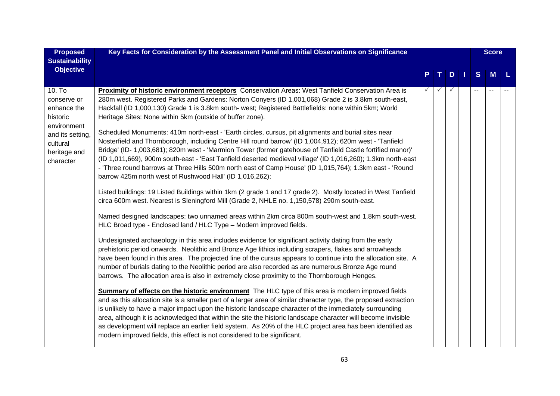| <b>Proposed</b>                                                                                                              | Key Facts for Consideration by the Assessment Panel and Initial Observations on Significance                                                                                                                                                                                                                                                                                                                                                                                                                                                                                                                                                                                                                                                                                                                                                                                                                                                                                                                                                                                                                                                                                                                                                                                                                                                                                                                                                                                                                                                                                                                                                                                                                                                                                                                                                                                                                                                                                                                                                                                                                                                                                                                                                                                                                                                                                                                                                                                                                                                                                                               |  |              |   | <b>Score</b> |          |
|------------------------------------------------------------------------------------------------------------------------------|------------------------------------------------------------------------------------------------------------------------------------------------------------------------------------------------------------------------------------------------------------------------------------------------------------------------------------------------------------------------------------------------------------------------------------------------------------------------------------------------------------------------------------------------------------------------------------------------------------------------------------------------------------------------------------------------------------------------------------------------------------------------------------------------------------------------------------------------------------------------------------------------------------------------------------------------------------------------------------------------------------------------------------------------------------------------------------------------------------------------------------------------------------------------------------------------------------------------------------------------------------------------------------------------------------------------------------------------------------------------------------------------------------------------------------------------------------------------------------------------------------------------------------------------------------------------------------------------------------------------------------------------------------------------------------------------------------------------------------------------------------------------------------------------------------------------------------------------------------------------------------------------------------------------------------------------------------------------------------------------------------------------------------------------------------------------------------------------------------------------------------------------------------------------------------------------------------------------------------------------------------------------------------------------------------------------------------------------------------------------------------------------------------------------------------------------------------------------------------------------------------------------------------------------------------------------------------------------------------|--|--------------|---|--------------|----------|
| <b>Sustainability</b><br><b>Objective</b>                                                                                    |                                                                                                                                                                                                                                                                                                                                                                                                                                                                                                                                                                                                                                                                                                                                                                                                                                                                                                                                                                                                                                                                                                                                                                                                                                                                                                                                                                                                                                                                                                                                                                                                                                                                                                                                                                                                                                                                                                                                                                                                                                                                                                                                                                                                                                                                                                                                                                                                                                                                                                                                                                                                            |  | $D$          | S | <b>M</b>     | <b>L</b> |
| 10. To<br>conserve or<br>enhance the<br>historic<br>environment<br>and its setting,<br>cultural<br>heritage and<br>character | Proximity of historic environment receptors Conservation Areas: West Tanfield Conservation Area is<br>280m west. Registered Parks and Gardens: Norton Conyers (ID 1,001,068) Grade 2 is 3.8km south-east,<br>Hackfall (ID 1,000,130) Grade 1 is 3.8km south- west; Registered Battlefields: none within 5km; World<br>Heritage Sites: None within 5km (outside of buffer zone).<br>Scheduled Monuments: 410m north-east - 'Earth circles, cursus, pit alignments and burial sites near<br>Nosterfield and Thornborough, including Centre Hill round barrow' (ID 1,004,912); 620m west - 'Tanfield<br>Bridge' (ID- 1,003,681); 820m west - 'Marmion Tower (former gatehouse of Tanfield Castle fortified manor)'<br>(ID 1,011,669), 900m south-east - 'East Tanfield deserted medieval village' (ID 1,016,260); 1.3km north-east<br>- 'Three round barrows at Three Hills 500m north east of Camp House' (ID 1,015,764); 1.3km east - 'Round<br>barrow 425m north west of Rushwood Hall' (ID 1,016,262);<br>Listed buildings: 19 Listed Buildings within 1km (2 grade 1 and 17 grade 2). Mostly located in West Tanfield<br>circa 600m west. Nearest is Sleningford Mill (Grade 2, NHLE no. 1,150,578) 290m south-east.<br>Named designed landscapes: two unnamed areas within 2km circa 800m south-west and 1.8km south-west.<br>HLC Broad type - Enclosed land / HLC Type - Modern improved fields.<br>Undesignated archaeology in this area includes evidence for significant activity dating from the early<br>prehistoric period onwards. Neolithic and Bronze Age lithics including scrapers, flakes and arrowheads<br>have been found in this area. The projected line of the cursus appears to continue into the allocation site. A<br>number of burials dating to the Neolithic period are also recorded as are numerous Bronze Age round<br>barrows. The allocation area is also in extremely close proximity to the Thornborough Henges.<br><b>Summary of effects on the historic environment</b> The HLC type of this area is modern improved fields<br>and as this allocation site is a smaller part of a larger area of similar character type, the proposed extraction<br>is unlikely to have a major impact upon the historic landscape character of the immediately surrounding<br>area, although it is acknowledged that within the site the historic landscape character will become invisible<br>as development will replace an earlier field system. As 20% of the HLC project area has been identified as<br>modern improved fields, this effect is not considered to be significant. |  | $\checkmark$ |   |              |          |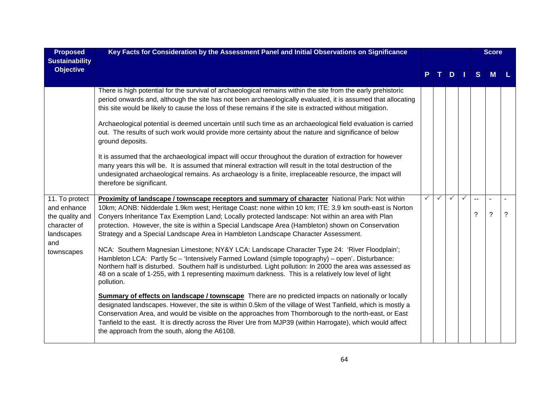| <b>Proposed</b><br><b>Sustainability</b> | Key Facts for Consideration by the Assessment Panel and Initial Observations on Significance                                                                                                                                                                                                                                                                                                                                                                                                        |              |   |   |   |                          | <b>Score</b>   |   |
|------------------------------------------|-----------------------------------------------------------------------------------------------------------------------------------------------------------------------------------------------------------------------------------------------------------------------------------------------------------------------------------------------------------------------------------------------------------------------------------------------------------------------------------------------------|--------------|---|---|---|--------------------------|----------------|---|
| <b>Objective</b>                         |                                                                                                                                                                                                                                                                                                                                                                                                                                                                                                     |              |   | D |   | S.                       | M              |   |
|                                          | There is high potential for the survival of archaeological remains within the site from the early prehistoric<br>period onwards and, although the site has not been archaeologically evaluated, it is assumed that allocating<br>this site would be likely to cause the loss of these remains if the site is extracted without mitigation.                                                                                                                                                          |              |   |   |   |                          |                |   |
|                                          | Archaeological potential is deemed uncertain until such time as an archaeological field evaluation is carried<br>out. The results of such work would provide more certainty about the nature and significance of below<br>ground deposits.                                                                                                                                                                                                                                                          |              |   |   |   |                          |                |   |
|                                          | It is assumed that the archaeological impact will occur throughout the duration of extraction for however<br>many years this will be. It is assumed that mineral extraction will result in the total destruction of the<br>undesignated archaeological remains. As archaeology is a finite, irreplaceable resource, the impact will<br>therefore be significant.                                                                                                                                    |              |   |   |   |                          |                |   |
| 11. To protect                           | Proximity of landscape / townscape receptors and summary of character National Park: Not within                                                                                                                                                                                                                                                                                                                                                                                                     | $\checkmark$ | ✓ | ✓ | ✓ | $\overline{\phantom{a}}$ | $\overline{a}$ |   |
| and enhance<br>the quality and           | 10km; AONB: Nidderdale 1.9km west; Heritage Coast: none within 10 km; ITE: 3.9 km south-east is Norton<br>Conyers Inheritance Tax Exemption Land; Locally protected landscape: Not within an area with Plan                                                                                                                                                                                                                                                                                         |              |   |   |   | ?                        | ?              | ? |
| character of                             | protection. However, the site is within a Special Landscape Area (Hambleton) shown on Conservation                                                                                                                                                                                                                                                                                                                                                                                                  |              |   |   |   |                          |                |   |
| landscapes                               | Strategy and a Special Landscape Area in Hambleton Landscape Character Assessment.                                                                                                                                                                                                                                                                                                                                                                                                                  |              |   |   |   |                          |                |   |
| and<br>townscapes                        | NCA: Southern Magnesian Limestone; NY&Y LCA: Landscape Character Type 24: 'River Floodplain';<br>Hambleton LCA: Partly 5c - 'Intensively Farmed Lowland (simple topography) - open'. Disturbance:<br>Northern half is disturbed. Southern half is undisturbed. Light pollution: In 2000 the area was assessed as<br>48 on a scale of 1-255, with 1 representing maximum darkness. This is a relatively low level of light<br>pollution.                                                             |              |   |   |   |                          |                |   |
|                                          | <b>Summary of effects on landscape / townscape</b> There are no predicted impacts on nationally or locally<br>designated landscapes. However, the site is within 0.5km of the village of West Tanfield, which is mostly a<br>Conservation Area, and would be visible on the approaches from Thornborough to the north-east, or East<br>Tanfield to the east. It is directly across the River Ure from MJP39 (within Harrogate), which would affect<br>the approach from the south, along the A6108. |              |   |   |   |                          |                |   |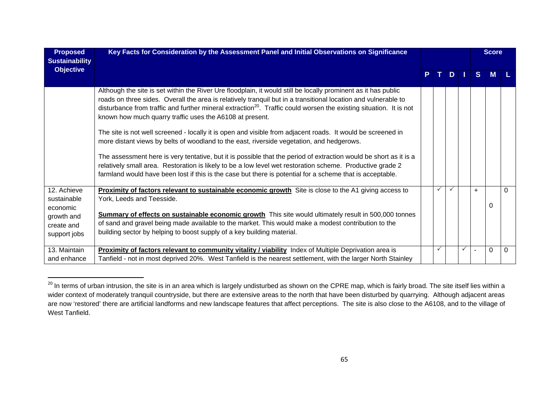| <b>Proposed</b><br><b>Sustainability</b>                                           | Key Facts for Consideration by the Assessment Panel and Initial Observations on Significance                                                                                                                                                                                                                                                                                                                                                                                                                                                                                                                                                                                                                                                                    |   |              |   |                          | <b>Score</b> |   |
|------------------------------------------------------------------------------------|-----------------------------------------------------------------------------------------------------------------------------------------------------------------------------------------------------------------------------------------------------------------------------------------------------------------------------------------------------------------------------------------------------------------------------------------------------------------------------------------------------------------------------------------------------------------------------------------------------------------------------------------------------------------------------------------------------------------------------------------------------------------|---|--------------|---|--------------------------|--------------|---|
| <b>Objective</b>                                                                   |                                                                                                                                                                                                                                                                                                                                                                                                                                                                                                                                                                                                                                                                                                                                                                 |   | TDI          |   | S.                       | <b>M</b>     |   |
|                                                                                    | Although the site is set within the River Ure floodplain, it would still be locally prominent as it has public<br>roads on three sides. Overall the area is relatively tranquil but in a transitional location and vulnerable to<br>disturbance from traffic and further mineral extraction <sup>20</sup> . Traffic could worsen the existing situation. It is not<br>known how much quarry traffic uses the A6108 at present.<br>The site is not well screened - locally it is open and visible from adjacent roads. It would be screened in<br>more distant views by belts of woodland to the east, riverside vegetation, and hedgerows.<br>The assessment here is very tentative, but it is possible that the period of extraction would be short as it is a |   |              |   |                          |              |   |
|                                                                                    | relatively small area. Restoration is likely to be a low level wet restoration scheme. Productive grade 2<br>farmland would have been lost if this is the case but there is potential for a scheme that is acceptable.                                                                                                                                                                                                                                                                                                                                                                                                                                                                                                                                          |   |              |   |                          |              |   |
| 12. Achieve<br>sustainable<br>economic<br>growth and<br>create and<br>support jobs | Proximity of factors relevant to sustainable economic growth Site is close to the A1 giving access to<br>York, Leeds and Teesside.<br>Summary of effects on sustainable economic growth This site would ultimately result in 500,000 tonnes<br>of sand and gravel being made available to the market. This would make a modest contribution to the<br>building sector by helping to boost supply of a key building material.                                                                                                                                                                                                                                                                                                                                    | ✓ | $\checkmark$ |   | $+$                      | $\mathbf{0}$ | 0 |
| 13. Maintain<br>and enhance                                                        | <b>Proximity of factors relevant to community vitality / viability</b> Index of Multiple Deprivation area is<br>Tanfield - not in most deprived 20%. West Tanfield is the nearest settlement, with the larger North Stainley                                                                                                                                                                                                                                                                                                                                                                                                                                                                                                                                    |   |              | ✓ | $\overline{\phantom{a}}$ | 0            | 0 |

 $^{20}$  In terms of urban intrusion, the site is in an area which is largely undisturbed as shown on the CPRE map, which is fairly broad. The site itself lies within a wider context of moderately tranquil countryside, but there are extensive areas to the north that have been disturbed by quarrying. Although adjacent areas are now 'restored' there are artificial landforms and new landscape features that affect perceptions. The site is also close to the A6108, and to the village of West Tanfield.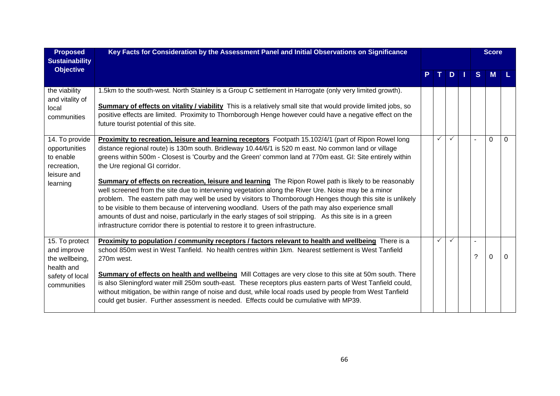| <b>Proposed</b><br><b>Sustainability</b>                                                        | Key Facts for Consideration by the Assessment Panel and Initial Observations on Significance                                                                                                                                                                                                                                                                                                                                                                                                                                                                                                                                                                                                                                                                                                                                                                                                                                                                                                              |              |               |    | <b>Score</b> |          |
|-------------------------------------------------------------------------------------------------|-----------------------------------------------------------------------------------------------------------------------------------------------------------------------------------------------------------------------------------------------------------------------------------------------------------------------------------------------------------------------------------------------------------------------------------------------------------------------------------------------------------------------------------------------------------------------------------------------------------------------------------------------------------------------------------------------------------------------------------------------------------------------------------------------------------------------------------------------------------------------------------------------------------------------------------------------------------------------------------------------------------|--------------|---------------|----|--------------|----------|
| <b>Objective</b>                                                                                |                                                                                                                                                                                                                                                                                                                                                                                                                                                                                                                                                                                                                                                                                                                                                                                                                                                                                                                                                                                                           | т.           | $D \mid \mid$ | S. | <b>M</b>     |          |
| the viability<br>and vitality of<br>local<br>communities                                        | 1.5km to the south-west. North Stainley is a Group C settlement in Harrogate (only very limited growth).<br>Summary of effects on vitality / viability This is a relatively small site that would provide limited jobs, so<br>positive effects are limited. Proximity to Thornborough Henge however could have a negative effect on the<br>future tourist potential of this site.                                                                                                                                                                                                                                                                                                                                                                                                                                                                                                                                                                                                                         |              |               |    |              |          |
| 14. To provide<br>opportunities<br>to enable<br>recreation,<br>leisure and<br>learning          | Proximity to recreation, leisure and learning receptors Footpath 15.102/4/1 (part of Ripon Rowel long<br>distance regional route) is 130m south. Bridleway 10.44/6/1 is 520 m east. No common land or village<br>greens within 500m - Closest is 'Courby and the Green' common land at 770m east. GI: Site entirely within<br>the Ure regional GI corridor.<br><b>Summary of effects on recreation, leisure and learning</b> The Ripon Rowel path is likely to be reasonably<br>well screened from the site due to intervening vegetation along the River Ure. Noise may be a minor<br>problem. The eastern path may well be used by visitors to Thornborough Henges though this site is unlikely<br>to be visible to them because of intervening woodland. Users of the path may also experience small<br>amounts of dust and noise, particularly in the early stages of soil stripping. As this site is in a green<br>infrastructure corridor there is potential to restore it to green infrastructure. | $\checkmark$ | $\checkmark$  |    | $\Omega$     | $\Omega$ |
| 15. To protect<br>and improve<br>the wellbeing,<br>health and<br>safety of local<br>communities | Proximity to population / community receptors / factors relevant to health and wellbeing There is a<br>school 850m west in West Tanfield. No health centres within 1km. Nearest settlement is West Tanfield<br>270m west.<br>Summary of effects on health and wellbeing Mill Cottages are very close to this site at 50m south. There<br>is also Sleningford water mill 250m south-east. These receptors plus eastern parts of West Tanfield could,<br>without mitigation, be within range of noise and dust, while local roads used by people from West Tanfield<br>could get busier. Further assessment is needed. Effects could be cumulative with MP39.                                                                                                                                                                                                                                                                                                                                               | $\checkmark$ |               | ာ  | $\Omega$     | 0        |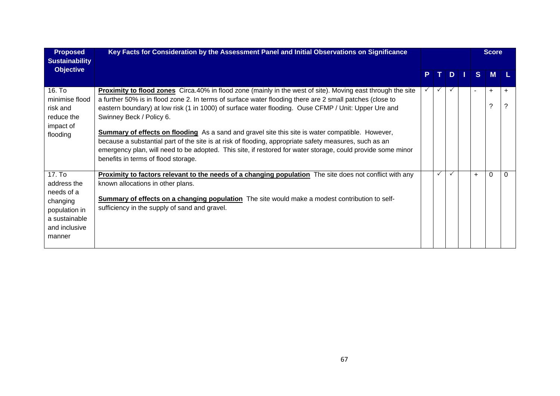| <b>Proposed</b><br><b>Sustainability</b>                                                                     | Key Facts for Consideration by the Assessment Panel and Initial Observations on Significance                                                                                                                                                                                                                                                                                                                                                                                                                                                                                                                                                                                                                                                  |    |              |              |     |                | <b>Score</b>   |           |
|--------------------------------------------------------------------------------------------------------------|-----------------------------------------------------------------------------------------------------------------------------------------------------------------------------------------------------------------------------------------------------------------------------------------------------------------------------------------------------------------------------------------------------------------------------------------------------------------------------------------------------------------------------------------------------------------------------------------------------------------------------------------------------------------------------------------------------------------------------------------------|----|--------------|--------------|-----|----------------|----------------|-----------|
| <b>Objective</b>                                                                                             |                                                                                                                                                                                                                                                                                                                                                                                                                                                                                                                                                                                                                                                                                                                                               | P. | T I          | D            | l T | S.             | M              |           |
| 16. To<br>minimise flood<br>risk and<br>reduce the<br>impact of<br>flooding                                  | <b>Proximity to flood zones</b> Circa.40% in flood zone (mainly in the west of site). Moving east through the site<br>a further 50% is in flood zone 2. In terms of surface water flooding there are 2 small patches (close to<br>eastern boundary) at low risk (1 in 1000) of surface water flooding. Ouse CFMP / Unit: Upper Ure and<br>Swinney Beck / Policy 6.<br><b>Summary of effects on flooding</b> As a sand and gravel site this site is water compatible. However,<br>because a substantial part of the site is at risk of flooding, appropriate safety measures, such as an<br>emergency plan, will need to be adopted. This site, if restored for water storage, could provide some minor<br>benefits in terms of flood storage. |    | $\checkmark$ | $\checkmark$ |     | $\blacksquare$ | $\ddot{}$<br>? | $\ddot{}$ |
| 17. To<br>address the<br>needs of a<br>changing<br>population in<br>a sustainable<br>and inclusive<br>manner | <b>Proximity to factors relevant to the needs of a changing population</b> The site does not conflict with any<br>known allocations in other plans.<br>Summary of effects on a changing population The site would make a modest contribution to self-<br>sufficiency in the supply of sand and gravel.                                                                                                                                                                                                                                                                                                                                                                                                                                        |    | $\checkmark$ |              |     | $\ddot{}$      | 0              | 0         |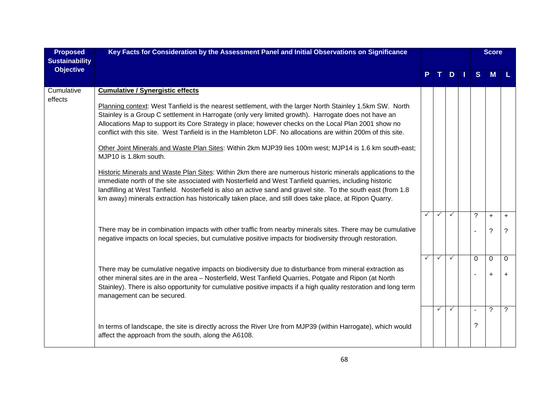| <b>Proposed</b><br><b>Sustainability</b> | Key Facts for Consideration by the Assessment Panel and Initial Observations on Significance                                                                                                                                                                                                                                                                                                                                                                                                                                                                                                                                                                                                                                                                                                                                                                                                                                                                                                                                                                                 |              |              |              |              | <b>Score</b>   |                |
|------------------------------------------|------------------------------------------------------------------------------------------------------------------------------------------------------------------------------------------------------------------------------------------------------------------------------------------------------------------------------------------------------------------------------------------------------------------------------------------------------------------------------------------------------------------------------------------------------------------------------------------------------------------------------------------------------------------------------------------------------------------------------------------------------------------------------------------------------------------------------------------------------------------------------------------------------------------------------------------------------------------------------------------------------------------------------------------------------------------------------|--------------|--------------|--------------|--------------|----------------|----------------|
| <b>Objective</b>                         |                                                                                                                                                                                                                                                                                                                                                                                                                                                                                                                                                                                                                                                                                                                                                                                                                                                                                                                                                                                                                                                                              |              |              | D            | <sub>S</sub> | M              |                |
| Cumulative<br>effects                    | <b>Cumulative / Synergistic effects</b><br>Planning context: West Tanfield is the nearest settlement, with the larger North Stainley 1.5km SW. North<br>Stainley is a Group C settlement in Harrogate (only very limited growth). Harrogate does not have an<br>Allocations Map to support its Core Strategy in place; however checks on the Local Plan 2001 show no<br>conflict with this site. West Tanfield is in the Hambleton LDF. No allocations are within 200m of this site.<br>Other Joint Minerals and Waste Plan Sites: Within 2km MJP39 lies 100m west; MJP14 is 1.6 km south-east;<br>MJP10 is 1.8km south.<br>Historic Minerals and Waste Plan Sites: Within 2km there are numerous historic minerals applications to the<br>immediate north of the site associated with Nosterfield and West Tanfield quarries, including historic<br>landfilling at West Tanfield. Nosterfield is also an active sand and gravel site. To the south east (from 1.8<br>km away) minerals extraction has historically taken place, and still does take place, at Ripon Quarry. |              |              |              |              |                |                |
|                                          |                                                                                                                                                                                                                                                                                                                                                                                                                                                                                                                                                                                                                                                                                                                                                                                                                                                                                                                                                                                                                                                                              | $\checkmark$ | $\checkmark$ | $\checkmark$ | $\tilde{?}$  | $\ddot{}$      | $\ddot{}$      |
|                                          | There may be in combination impacts with other traffic from nearby minerals sites. There may be cumulative<br>negative impacts on local species, but cumulative positive impacts for biodiversity through restoration.                                                                                                                                                                                                                                                                                                                                                                                                                                                                                                                                                                                                                                                                                                                                                                                                                                                       |              |              |              |              | $\tilde{?}$    | ?              |
|                                          |                                                                                                                                                                                                                                                                                                                                                                                                                                                                                                                                                                                                                                                                                                                                                                                                                                                                                                                                                                                                                                                                              | $\checkmark$ | $\checkmark$ | $\checkmark$ | $\mathbf{0}$ | $\mathbf 0$    | $\Omega$       |
|                                          | There may be cumulative negative impacts on biodiversity due to disturbance from mineral extraction as<br>other mineral sites are in the area - Nosterfield, West Tanfield Quarries, Potgate and Ripon (at North<br>Stainley). There is also opportunity for cumulative positive impacts if a high quality restoration and long term<br>management can be secured.                                                                                                                                                                                                                                                                                                                                                                                                                                                                                                                                                                                                                                                                                                           |              |              |              |              | $\ddot{}$      | $\ddot{}$      |
|                                          |                                                                                                                                                                                                                                                                                                                                                                                                                                                                                                                                                                                                                                                                                                                                                                                                                                                                                                                                                                                                                                                                              |              | $\checkmark$ | $\checkmark$ |              | $\overline{?}$ | $\overline{?}$ |
|                                          | In terms of landscape, the site is directly across the River Ure from MJP39 (within Harrogate), which would<br>affect the approach from the south, along the A6108.                                                                                                                                                                                                                                                                                                                                                                                                                                                                                                                                                                                                                                                                                                                                                                                                                                                                                                          |              |              |              | ?            |                |                |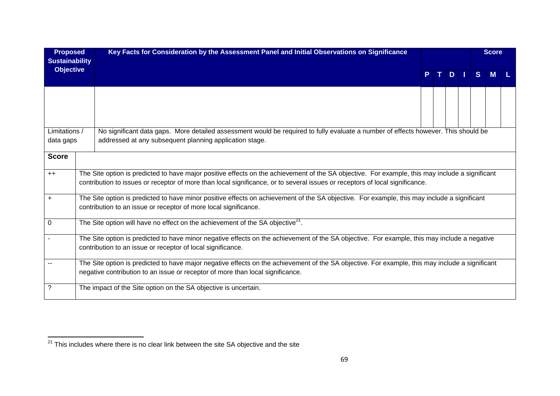| <b>Proposed</b><br><b>Sustainability</b> |                                                                                                                                                                                                                                                                                 | Key Facts for Consideration by the Assessment Panel and Initial Observations on Significance                                                                                                                                      |    |  |         |  |   | <b>Score</b> |  |  |
|------------------------------------------|---------------------------------------------------------------------------------------------------------------------------------------------------------------------------------------------------------------------------------------------------------------------------------|-----------------------------------------------------------------------------------------------------------------------------------------------------------------------------------------------------------------------------------|----|--|---------|--|---|--------------|--|--|
| <b>Objective</b>                         |                                                                                                                                                                                                                                                                                 |                                                                                                                                                                                                                                   | P. |  | $T$ D I |  | S | M            |  |  |
|                                          |                                                                                                                                                                                                                                                                                 |                                                                                                                                                                                                                                   |    |  |         |  |   |              |  |  |
| Limitations /<br>data gaps               |                                                                                                                                                                                                                                                                                 | No significant data gaps. More detailed assessment would be required to fully evaluate a number of effects however. This should be<br>addressed at any subsequent planning application stage.                                     |    |  |         |  |   |              |  |  |
| <b>Score</b>                             |                                                                                                                                                                                                                                                                                 |                                                                                                                                                                                                                                   |    |  |         |  |   |              |  |  |
| $++$                                     | The Site option is predicted to have major positive effects on the achievement of the SA objective. For example, this may include a significant<br>contribution to issues or receptor of more than local significance, or to several issues or receptors of local significance. |                                                                                                                                                                                                                                   |    |  |         |  |   |              |  |  |
| $\ddot{}$                                | The Site option is predicted to have minor positive effects on achievement of the SA objective. For example, this may include a significant<br>contribution to an issue or receptor of more local significance.                                                                 |                                                                                                                                                                                                                                   |    |  |         |  |   |              |  |  |
| 0                                        | The Site option will have no effect on the achievement of the SA objective <sup>21</sup> .                                                                                                                                                                                      |                                                                                                                                                                                                                                   |    |  |         |  |   |              |  |  |
|                                          | The Site option is predicted to have minor negative effects on the achievement of the SA objective. For example, this may include a negative<br>contribution to an issue or receptor of local significance.                                                                     |                                                                                                                                                                                                                                   |    |  |         |  |   |              |  |  |
|                                          |                                                                                                                                                                                                                                                                                 | The Site option is predicted to have major negative effects on the achievement of the SA objective. For example, this may include a significant<br>negative contribution to an issue or receptor of more than local significance. |    |  |         |  |   |              |  |  |
| ?                                        |                                                                                                                                                                                                                                                                                 | The impact of the Site option on the SA objective is uncertain.                                                                                                                                                                   |    |  |         |  |   |              |  |  |

 $\frac{1}{21}$  This includes where there is no clear link between the site SA objective and the site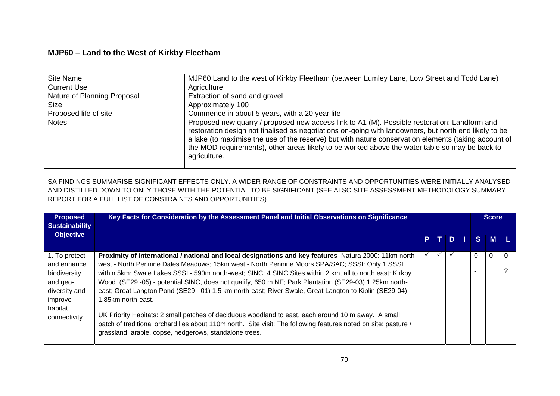## **MJP60 – Land to the West of Kirkby Fleetham**

| Site Name                   | MJP60 Land to the west of Kirkby Fleetham (between Lumley Lane, Low Street and Todd Lane)                                                                                                                                                                                                                                                                                                                                       |
|-----------------------------|---------------------------------------------------------------------------------------------------------------------------------------------------------------------------------------------------------------------------------------------------------------------------------------------------------------------------------------------------------------------------------------------------------------------------------|
| <b>Current Use</b>          | Agriculture                                                                                                                                                                                                                                                                                                                                                                                                                     |
| Nature of Planning Proposal | Extraction of sand and gravel                                                                                                                                                                                                                                                                                                                                                                                                   |
| Size                        | Approximately 100                                                                                                                                                                                                                                                                                                                                                                                                               |
| Proposed life of site       | Commence in about 5 years, with a 20 year life                                                                                                                                                                                                                                                                                                                                                                                  |
| <b>Notes</b>                | Proposed new quarry / proposed new access link to A1 (M). Possible restoration: Landform and<br>restoration design not finalised as negotiations on-going with landowners, but north end likely to be<br>a lake (to maximise the use of the reserve) but with nature conservation elements (taking account of<br>the MOD requirements), other areas likely to be worked above the water table so may be back to<br>agriculture. |

SA FINDINGS SUMMARISE SIGNIFICANT EFFECTS ONLY. A WIDER RANGE OF CONSTRAINTS AND OPPORTUNITIES WERE INITIALLY ANALYSED AND DISTILLED DOWN TO ONLY THOSE WITH THE POTENTIAL TO BE SIGNIFICANT (SEE ALSO SITE ASSESSMENT METHODOLOGY SUMMARY REPORT FOR A FULL LIST OF CONSTRAINTS AND OPPORTUNITIES).

| <b>Proposed</b><br><b>Sustainability</b> | Key Facts for Consideration by the Assessment Panel and Initial Observations on Significance                    |  |      |  |  |   | Score |          |  |
|------------------------------------------|-----------------------------------------------------------------------------------------------------------------|--|------|--|--|---|-------|----------|--|
| <b>Objective</b>                         |                                                                                                                 |  | PTDI |  |  |   | $S$ M |          |  |
| 1. To protect                            | Proximity of international / national and local designations and key features Natura 2000: 11km north-          |  |      |  |  | 0 |       | $\Omega$ |  |
| and enhance                              | west - North Pennine Dales Meadows; 15km west - North Pennine Moors SPA/SAC; SSSI: Only 1 SSSI                  |  |      |  |  |   |       |          |  |
| biodiversity                             | within 5km: Swale Lakes SSSI - 590m north-west; SINC: 4 SINC Sites within 2 km, all to north east: Kirkby       |  |      |  |  |   |       |          |  |
| and geo-                                 | Wood (SE29-05) - potential SINC, does not qualify, 650 m NE; Park Plantation (SE29-03) 1.25km north-            |  |      |  |  |   |       |          |  |
| diversity and                            | east; Great Langton Pond (SE29 - 01) 1.5 km north-east; River Swale, Great Langton to Kiplin (SE29-04)          |  |      |  |  |   |       |          |  |
| improve                                  | 1.85km north-east.                                                                                              |  |      |  |  |   |       |          |  |
| habitat                                  |                                                                                                                 |  |      |  |  |   |       |          |  |
| connectivity                             | UK Priority Habitats: 2 small patches of deciduous woodland to east, each around 10 m away. A small             |  |      |  |  |   |       |          |  |
|                                          | patch of traditional orchard lies about 110m north. Site visit: The following features noted on site: pasture / |  |      |  |  |   |       |          |  |
|                                          | grassland, arable, copse, hedgerows, standalone trees.                                                          |  |      |  |  |   |       |          |  |
|                                          |                                                                                                                 |  |      |  |  |   |       |          |  |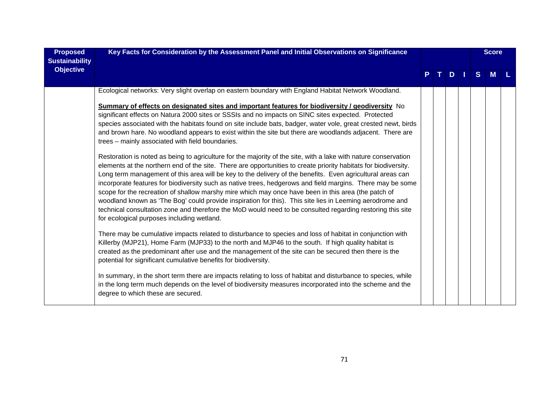| <b>Proposed</b><br><b>Sustainability</b> | Key Facts for Consideration by the Assessment Panel and Initial Observations on Significance                                                                                                                                                                                                                                                                                                                                                                                                                                                                                                                                                                                                                                                                                                                                                  |  |  |   |  |              | <b>Score</b> |  |
|------------------------------------------|-----------------------------------------------------------------------------------------------------------------------------------------------------------------------------------------------------------------------------------------------------------------------------------------------------------------------------------------------------------------------------------------------------------------------------------------------------------------------------------------------------------------------------------------------------------------------------------------------------------------------------------------------------------------------------------------------------------------------------------------------------------------------------------------------------------------------------------------------|--|--|---|--|--------------|--------------|--|
| <b>Objective</b>                         |                                                                                                                                                                                                                                                                                                                                                                                                                                                                                                                                                                                                                                                                                                                                                                                                                                               |  |  | D |  | <sub>S</sub> | M            |  |
|                                          | Ecological networks: Very slight overlap on eastern boundary with England Habitat Network Woodland.                                                                                                                                                                                                                                                                                                                                                                                                                                                                                                                                                                                                                                                                                                                                           |  |  |   |  |              |              |  |
|                                          | Summary of effects on designated sites and important features for biodiversity / geodiversity No<br>significant effects on Natura 2000 sites or SSSIs and no impacts on SINC sites expected. Protected<br>species associated with the habitats found on site include bats, badger, water vole, great crested newt, birds<br>and brown hare. No woodland appears to exist within the site but there are woodlands adjacent. There are<br>trees - mainly associated with field boundaries.                                                                                                                                                                                                                                                                                                                                                      |  |  |   |  |              |              |  |
|                                          | Restoration is noted as being to agriculture for the majority of the site, with a lake with nature conservation<br>elements at the northern end of the site. There are opportunities to create priority habitats for biodiversity.<br>Long term management of this area will be key to the delivery of the benefits. Even agricultural areas can<br>incorporate features for biodiversity such as native trees, hedgerows and field margins. There may be some<br>scope for the recreation of shallow marshy mire which may once have been in this area (the patch of<br>woodland known as 'The Bog' could provide inspiration for this). This site lies in Leeming aerodrome and<br>technical consultation zone and therefore the MoD would need to be consulted regarding restoring this site<br>for ecological purposes including wetland. |  |  |   |  |              |              |  |
|                                          | There may be cumulative impacts related to disturbance to species and loss of habitat in conjunction with<br>Killerby (MJP21), Home Farm (MJP33) to the north and MJP46 to the south. If high quality habitat is<br>created as the predominant after use and the management of the site can be secured then there is the<br>potential for significant cumulative benefits for biodiversity.                                                                                                                                                                                                                                                                                                                                                                                                                                                   |  |  |   |  |              |              |  |
|                                          | In summary, in the short term there are impacts relating to loss of habitat and disturbance to species, while<br>in the long term much depends on the level of biodiversity measures incorporated into the scheme and the<br>degree to which these are secured.                                                                                                                                                                                                                                                                                                                                                                                                                                                                                                                                                                               |  |  |   |  |              |              |  |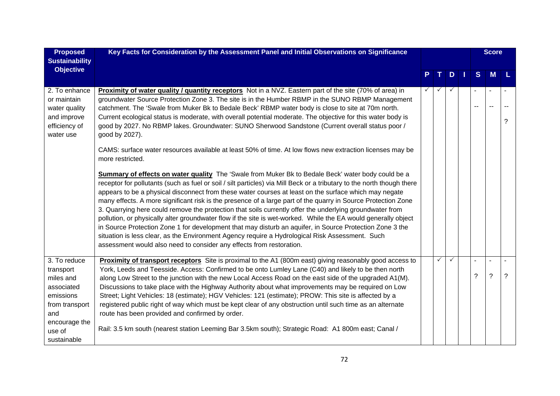| <b>Proposed</b>                                                                             | Key Facts for Consideration by the Assessment Panel and Initial Observations on Significance                                                                                                                                                                                                                                                                                                                                                                                                                                                                                                                                                                                                                                                                                                                                                                                                                                                                                |  |              |              |  |   | <b>Score</b> |   |
|---------------------------------------------------------------------------------------------|-----------------------------------------------------------------------------------------------------------------------------------------------------------------------------------------------------------------------------------------------------------------------------------------------------------------------------------------------------------------------------------------------------------------------------------------------------------------------------------------------------------------------------------------------------------------------------------------------------------------------------------------------------------------------------------------------------------------------------------------------------------------------------------------------------------------------------------------------------------------------------------------------------------------------------------------------------------------------------|--|--------------|--------------|--|---|--------------|---|
| <b>Sustainability</b>                                                                       |                                                                                                                                                                                                                                                                                                                                                                                                                                                                                                                                                                                                                                                                                                                                                                                                                                                                                                                                                                             |  |              |              |  |   |              |   |
| <b>Objective</b>                                                                            |                                                                                                                                                                                                                                                                                                                                                                                                                                                                                                                                                                                                                                                                                                                                                                                                                                                                                                                                                                             |  |              | D            |  | S | <b>M</b>     |   |
| 2. To enhance<br>or maintain<br>water quality<br>and improve<br>efficiency of<br>water use  | <b>Proximity of water quality / quantity receptors</b> Not in a NVZ. Eastern part of the site (70% of area) in<br>groundwater Source Protection Zone 3. The site is in the Humber RBMP in the SUNO RBMP Management<br>catchment. The 'Swale from Muker Bk to Bedale Beck' RBMP water body is close to site at 70m north.<br>Current ecological status is moderate, with overall potential moderate. The objective for this water body is<br>good by 2027. No RBMP lakes. Groundwater: SUNO Sherwood Sandstone (Current overall status poor /<br>good by 2027).                                                                                                                                                                                                                                                                                                                                                                                                              |  | $\checkmark$ | $\checkmark$ |  |   |              | ? |
|                                                                                             | CAMS: surface water resources available at least 50% of time. At low flows new extraction licenses may be<br>more restricted.                                                                                                                                                                                                                                                                                                                                                                                                                                                                                                                                                                                                                                                                                                                                                                                                                                               |  |              |              |  |   |              |   |
|                                                                                             | Summary of effects on water quality The 'Swale from Muker Bk to Bedale Beck' water body could be a<br>receptor for pollutants (such as fuel or soil / silt particles) via Mill Beck or a tributary to the north though there<br>appears to be a physical disconnect from these water courses at least on the surface which may negate<br>many effects. A more significant risk is the presence of a large part of the quarry in Source Protection Zone<br>3. Quarrying here could remove the protection that soils currently offer the underlying groundwater from<br>pollution, or physically alter groundwater flow if the site is wet-worked. While the EA would generally object<br>in Source Protection Zone 1 for development that may disturb an aquifer, in Source Protection Zone 3 the<br>situation is less clear, as the Environment Agency require a Hydrological Risk Assessment. Such<br>assessment would also need to consider any effects from restoration. |  |              |              |  |   |              |   |
| 3. To reduce                                                                                | Proximity of transport receptors Site is proximal to the A1 (800m east) giving reasonably good access to                                                                                                                                                                                                                                                                                                                                                                                                                                                                                                                                                                                                                                                                                                                                                                                                                                                                    |  | $\checkmark$ | $\checkmark$ |  |   |              |   |
| transport<br>miles and<br>associated<br>emissions<br>from transport<br>and<br>encourage the | York, Leeds and Teesside. Access: Confirmed to be onto Lumley Lane (C40) and likely to be then north<br>along Low Street to the junction with the new Local Access Road on the east side of the upgraded A1(M).<br>Discussions to take place with the Highway Authority about what improvements may be required on Low<br>Street; Light Vehicles: 18 (estimate); HGV Vehicles: 121 (estimate); PROW: This site is affected by a<br>registered public right of way which must be kept clear of any obstruction until such time as an alternate<br>route has been provided and confirmed by order.                                                                                                                                                                                                                                                                                                                                                                            |  |              |              |  | ? | $\tilde{?}$  | ? |
| use of<br>sustainable                                                                       | Rail: 3.5 km south (nearest station Leeming Bar 3.5 km south); Strategic Road: A1 800m east; Canal /                                                                                                                                                                                                                                                                                                                                                                                                                                                                                                                                                                                                                                                                                                                                                                                                                                                                        |  |              |              |  |   |              |   |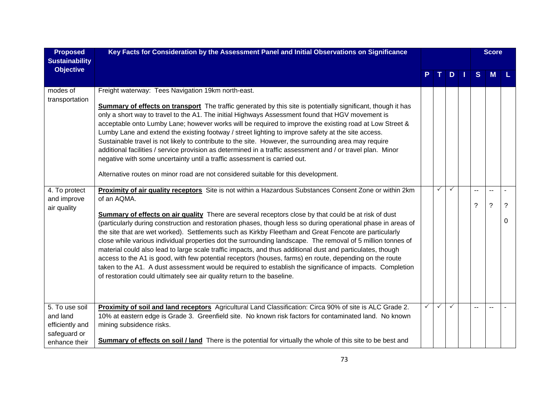| <b>Proposed</b><br><b>Sustainability</b> | Key Facts for Consideration by the Assessment Panel and Initial Observations on Significance                                                                                                                           |   |   |              |   | <b>Score</b> |   |
|------------------------------------------|------------------------------------------------------------------------------------------------------------------------------------------------------------------------------------------------------------------------|---|---|--------------|---|--------------|---|
| <b>Objective</b>                         |                                                                                                                                                                                                                        |   |   | D            | S | M            |   |
| modes of<br>transportation               | Freight waterway: Tees Navigation 19km north-east.                                                                                                                                                                     |   |   |              |   |              |   |
|                                          | <b>Summary of effects on transport</b> The traffic generated by this site is potentially significant, though it has                                                                                                    |   |   |              |   |              |   |
|                                          | only a short way to travel to the A1. The initial Highways Assessment found that HGV movement is                                                                                                                       |   |   |              |   |              |   |
|                                          | acceptable onto Lumby Lane; however works will be required to improve the existing road at Low Street &                                                                                                                |   |   |              |   |              |   |
|                                          | Lumby Lane and extend the existing footway / street lighting to improve safety at the site access.                                                                                                                     |   |   |              |   |              |   |
|                                          | Sustainable travel is not likely to contribute to the site. However, the surrounding area may require<br>additional facilities / service provision as determined in a traffic assessment and / or travel plan. Minor   |   |   |              |   |              |   |
|                                          | negative with some uncertainty until a traffic assessment is carried out.                                                                                                                                              |   |   |              |   |              |   |
|                                          |                                                                                                                                                                                                                        |   |   |              |   |              |   |
|                                          | Alternative routes on minor road are not considered suitable for this development.                                                                                                                                     |   |   |              |   |              |   |
| 4. To protect                            | Proximity of air quality receptors Site is not within a Hazardous Substances Consent Zone or within 2km                                                                                                                |   | ✓ | ✓            |   |              |   |
| and improve                              | of an AQMA.                                                                                                                                                                                                            |   |   |              |   |              |   |
| air quality                              |                                                                                                                                                                                                                        |   |   |              | ? | $\tilde{?}$  | ? |
|                                          | <b>Summary of effects on air quality</b> There are several receptors close by that could be at risk of dust                                                                                                            |   |   |              |   |              | 0 |
|                                          | (particularly during construction and restoration phases, though less so during operational phase in areas of<br>the site that are wet worked). Settlements such as Kirkby Fleetham and Great Fencote are particularly |   |   |              |   |              |   |
|                                          | close while various individual properties dot the surrounding landscape. The removal of 5 million tonnes of                                                                                                            |   |   |              |   |              |   |
|                                          | material could also lead to large scale traffic impacts, and thus additional dust and particulates, though                                                                                                             |   |   |              |   |              |   |
|                                          | access to the A1 is good, with few potential receptors (houses, farms) en route, depending on the route                                                                                                                |   |   |              |   |              |   |
|                                          | taken to the A1. A dust assessment would be required to establish the significance of impacts. Completion                                                                                                              |   |   |              |   |              |   |
|                                          | of restoration could ultimately see air quality return to the baseline.                                                                                                                                                |   |   |              |   |              |   |
|                                          |                                                                                                                                                                                                                        |   |   |              |   |              |   |
|                                          |                                                                                                                                                                                                                        |   |   |              |   |              |   |
| 5. To use soil                           | Proximity of soil and land receptors Agricultural Land Classification: Circa 90% of site is ALC Grade 2.                                                                                                               | ✓ | ✓ | $\checkmark$ |   |              |   |
| and land                                 | 10% at eastern edge is Grade 3. Greenfield site. No known risk factors for contaminated land. No known                                                                                                                 |   |   |              |   |              |   |
| efficiently and                          | mining subsidence risks.                                                                                                                                                                                               |   |   |              |   |              |   |
| safeguard or                             |                                                                                                                                                                                                                        |   |   |              |   |              |   |
| enhance their                            | <b>Summary of effects on soil / land</b> There is the potential for virtually the whole of this site to be best and                                                                                                    |   |   |              |   |              |   |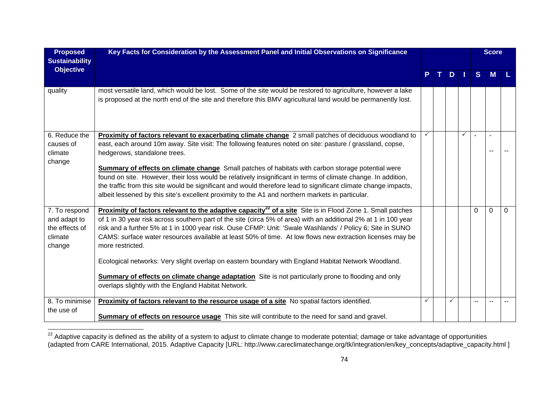| <b>Proposed</b><br><b>Sustainability</b>                             | Key Facts for Consideration by the Assessment Panel and Initial Observations on Significance                                                                                                                                                                                                                                                                                                                                                                                                                                                                                                                                                                                                                                                                             |   |    |               |              |    | <b>Score</b> |          |
|----------------------------------------------------------------------|--------------------------------------------------------------------------------------------------------------------------------------------------------------------------------------------------------------------------------------------------------------------------------------------------------------------------------------------------------------------------------------------------------------------------------------------------------------------------------------------------------------------------------------------------------------------------------------------------------------------------------------------------------------------------------------------------------------------------------------------------------------------------|---|----|---------------|--------------|----|--------------|----------|
| <b>Objective</b>                                                     |                                                                                                                                                                                                                                                                                                                                                                                                                                                                                                                                                                                                                                                                                                                                                                          |   | Т. | $D$   $\vert$ |              | S. | <b>M</b>     |          |
| quality                                                              | most versatile land, which would be lost. Some of the site would be restored to agriculture, however a lake<br>is proposed at the north end of the site and therefore this BMV agricultural land would be permanently lost.                                                                                                                                                                                                                                                                                                                                                                                                                                                                                                                                              |   |    |               |              |    |              |          |
| 6. Reduce the<br>causes of<br>climate<br>change                      | Proximity of factors relevant to exacerbating climate change 2 small patches of deciduous woodland to<br>east, each around 10m away. Site visit: The following features noted on site: pasture / grassland, copse,<br>hedgerows, standalone trees.<br><b>Summary of effects on climate change</b> Small patches of habitats with carbon storage potential were<br>found on site. However, their loss would be relatively insignificant in terms of climate change. In addition,<br>the traffic from this site would be significant and would therefore lead to significant climate change impacts,<br>albeit lessened by this site's excellent proximity to the A1 and northern markets in particular.                                                                   |   |    |               | $\checkmark$ |    |              |          |
| 7. To respond<br>and adapt to<br>the effects of<br>climate<br>change | <b>Proximity of factors relevant to the adaptive capacity<sup>22</sup> of a site Site is in Flood Zone 1. Small patches</b><br>of 1 in 30 year risk across southern part of the site (circa 5% of area) with an additional 2% at 1 in 100 year<br>risk and a further 5% at 1 in 1000 year risk. Ouse CFMP: Unit: 'Swale Washlands' / Policy 6; Site in SUNO<br>CAMS: surface water resources available at least 50% of time. At low flows new extraction licenses may be<br>more restricted.<br>Ecological networks: Very slight overlap on eastern boundary with England Habitat Network Woodland.<br><b>Summary of effects on climate change adaptation</b> Site is not particularly prone to flooding and only<br>overlaps slightly with the England Habitat Network. |   |    |               |              | 0  | $\Omega$     | $\Omega$ |
| 8. To minimise<br>the use of                                         | Proximity of factors relevant to the resource usage of a site No spatial factors identified.<br>Summary of effects on resource usage This site will contribute to the need for sand and gravel.                                                                                                                                                                                                                                                                                                                                                                                                                                                                                                                                                                          | ✓ |    | ✓             |              |    | ٠.           |          |

 $^{22}$  Adaptive capacity is defined as the ability of a system to adjust to climate change to moderate potential; damage or take advantage of opportunities (adapted from CARE International, 2015. Adaptive Capacity [URL: http://www.careclimatechange.org/tk/integration/en/key\_concepts/adaptive\_capacity.html ]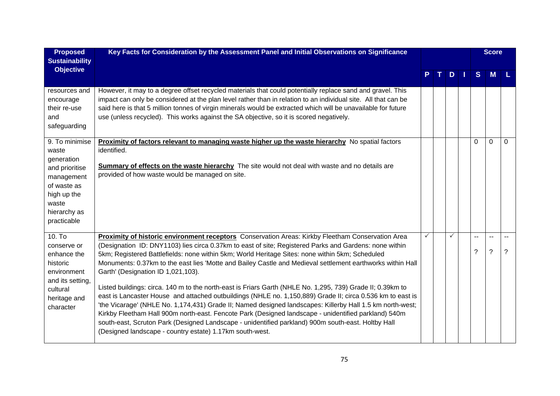| <b>Proposed</b><br><b>Sustainability</b>                                                                                                    | Key Facts for Consideration by the Assessment Panel and Initial Observations on Significance                                                                                                                                                                                                                                                                                                                                                                                                                                                                                                                                                                                                                                                                                                                                                                                                                                                                                                                                                                                          |  |     |         | <b>Score</b>                   |   |  |
|---------------------------------------------------------------------------------------------------------------------------------------------|---------------------------------------------------------------------------------------------------------------------------------------------------------------------------------------------------------------------------------------------------------------------------------------------------------------------------------------------------------------------------------------------------------------------------------------------------------------------------------------------------------------------------------------------------------------------------------------------------------------------------------------------------------------------------------------------------------------------------------------------------------------------------------------------------------------------------------------------------------------------------------------------------------------------------------------------------------------------------------------------------------------------------------------------------------------------------------------|--|-----|---------|--------------------------------|---|--|
| <b>Objective</b>                                                                                                                            |                                                                                                                                                                                                                                                                                                                                                                                                                                                                                                                                                                                                                                                                                                                                                                                                                                                                                                                                                                                                                                                                                       |  | $D$ | S       | <b>M</b>                       |   |  |
| resources and<br>encourage<br>their re-use<br>and<br>safeguarding                                                                           | However, it may to a degree offset recycled materials that could potentially replace sand and gravel. This<br>impact can only be considered at the plan level rather than in relation to an individual site. All that can be<br>said here is that 5 million tonnes of virgin minerals would be extracted which will be unavailable for future<br>use (unless recycled). This works against the SA objective, so it is scored negatively.                                                                                                                                                                                                                                                                                                                                                                                                                                                                                                                                                                                                                                              |  |     |         |                                |   |  |
| 9. To minimise<br>waste<br>generation<br>and prioritise<br>management<br>of waste as<br>high up the<br>waste<br>hierarchy as<br>practicable | Proximity of factors relevant to managing waste higher up the waste hierarchy No spatial factors<br>identified.<br><b>Summary of effects on the waste hierarchy</b> The site would not deal with waste and no details are<br>provided of how waste would be managed on site.                                                                                                                                                                                                                                                                                                                                                                                                                                                                                                                                                                                                                                                                                                                                                                                                          |  |     | 0       | 0                              | 0 |  |
| 10. T <sub>o</sub><br>conserve or<br>enhance the<br>historic<br>environment<br>and its setting,<br>cultural<br>heritage and<br>character    | Proximity of historic environment receptors Conservation Areas: Kirkby Fleetham Conservation Area<br>(Designation ID: DNY1103) lies circa 0.37km to east of site; Registered Parks and Gardens: none within<br>5km; Registered Battlefields: none within 5km; World Heritage Sites: none within 5km; Scheduled<br>Monuments: 0.37km to the east lies 'Motte and Bailey Castle and Medieval settlement earthworks within Hall<br>Garth' (Designation ID 1,021,103).<br>Listed buildings: circa. 140 m to the north-east is Friars Garth (NHLE No. 1,295, 739) Grade II; 0.39km to<br>east is Lancaster House and attached outbuildings (NHLE no. 1,150,889) Grade II; circa 0.536 km to east is<br>'the Vicarage' (NHLE No. 1,174,431) Grade II; Named designed landscapes: Killerby Hall 1.5 km north-west;<br>Kirkby Fleetham Hall 900m north-east. Fencote Park (Designed landscape - unidentified parkland) 540m<br>south-east, Scruton Park (Designed Landscape - unidentified parkland) 900m south-east. Holtby Hall<br>(Designed landscape - country estate) 1.17km south-west. |  | ✓   | --<br>? | --<br>$\overline{\phantom{0}}$ | ? |  |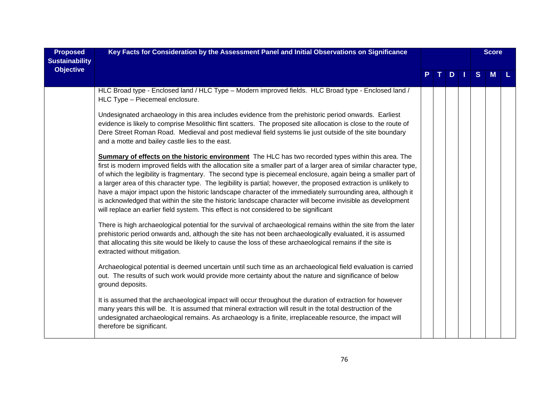| <b>Proposed</b>                           | Key Facts for Consideration by the Assessment Panel and Initial Observations on Significance                                                                                                                                                                                                                                                                                                                                                                                                                                                                                                                                                                                                                                                                                                |  |  |   |  |   | <b>Score</b> |  |
|-------------------------------------------|---------------------------------------------------------------------------------------------------------------------------------------------------------------------------------------------------------------------------------------------------------------------------------------------------------------------------------------------------------------------------------------------------------------------------------------------------------------------------------------------------------------------------------------------------------------------------------------------------------------------------------------------------------------------------------------------------------------------------------------------------------------------------------------------|--|--|---|--|---|--------------|--|
| <b>Sustainability</b><br><b>Objective</b> |                                                                                                                                                                                                                                                                                                                                                                                                                                                                                                                                                                                                                                                                                                                                                                                             |  |  | D |  | S | M            |  |
|                                           | HLC Broad type - Enclosed land / HLC Type - Modern improved fields. HLC Broad type - Enclosed land /<br>HLC Type - Piecemeal enclosure.                                                                                                                                                                                                                                                                                                                                                                                                                                                                                                                                                                                                                                                     |  |  |   |  |   |              |  |
|                                           | Undesignated archaeology in this area includes evidence from the prehistoric period onwards. Earliest<br>evidence is likely to comprise Mesolithic flint scatters. The proposed site allocation is close to the route of<br>Dere Street Roman Road. Medieval and post medieval field systems lie just outside of the site boundary<br>and a motte and bailey castle lies to the east.                                                                                                                                                                                                                                                                                                                                                                                                       |  |  |   |  |   |              |  |
|                                           | <b>Summary of effects on the historic environment</b> The HLC has two recorded types within this area. The<br>first is modern improved fields with the allocation site a smaller part of a larger area of similar character type,<br>of which the legibility is fragmentary. The second type is piecemeal enclosure, again being a smaller part of<br>a larger area of this character type. The legibility is partial; however, the proposed extraction is unlikely to<br>have a major impact upon the historic landscape character of the immediately surrounding area, although it<br>is acknowledged that within the site the historic landscape character will become invisible as development<br>will replace an earlier field system. This effect is not considered to be significant |  |  |   |  |   |              |  |
|                                           | There is high archaeological potential for the survival of archaeological remains within the site from the later<br>prehistoric period onwards and, although the site has not been archaeologically evaluated, it is assumed<br>that allocating this site would be likely to cause the loss of these archaeological remains if the site is<br>extracted without mitigation.                                                                                                                                                                                                                                                                                                                                                                                                                 |  |  |   |  |   |              |  |
|                                           | Archaeological potential is deemed uncertain until such time as an archaeological field evaluation is carried<br>out. The results of such work would provide more certainty about the nature and significance of below<br>ground deposits.                                                                                                                                                                                                                                                                                                                                                                                                                                                                                                                                                  |  |  |   |  |   |              |  |
|                                           | It is assumed that the archaeological impact will occur throughout the duration of extraction for however<br>many years this will be. It is assumed that mineral extraction will result in the total destruction of the<br>undesignated archaeological remains. As archaeology is a finite, irreplaceable resource, the impact will<br>therefore be significant.                                                                                                                                                                                                                                                                                                                                                                                                                            |  |  |   |  |   |              |  |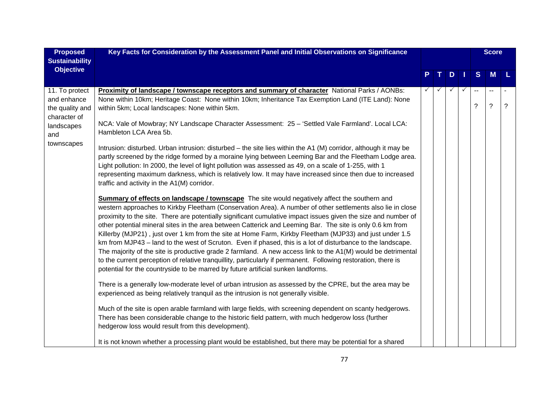| <b>Proposed</b>       | Key Facts for Consideration by the Assessment Panel and Initial Observations on Significance                    |   |              |   |     |    | <b>Score</b> |                |
|-----------------------|-----------------------------------------------------------------------------------------------------------------|---|--------------|---|-----|----|--------------|----------------|
| <b>Sustainability</b> |                                                                                                                 |   |              |   |     |    |              |                |
| <b>Objective</b>      |                                                                                                                 | P | $\mathbf{T}$ | D | - 1 | S  | M            |                |
|                       |                                                                                                                 |   |              |   |     |    |              |                |
| 11. To protect        | <b>Proximity of landscape / townscape receptors and summary of character</b> National Parks / AONBs:            |   |              |   |     | -- |              |                |
| and enhance           | None within 10km; Heritage Coast: None within 10km; Inheritance Tax Exemption Land (ITE Land): None             |   |              |   |     | ?  | $\ddot{?}$   | $\overline{?}$ |
| the quality and       | within 5km; Local landscapes: None within 5km.                                                                  |   |              |   |     |    |              |                |
| character of          | NCA: Vale of Mowbray; NY Landscape Character Assessment: 25 - 'Settled Vale Farmland'. Local LCA:               |   |              |   |     |    |              |                |
| landscapes<br>and     | Hambleton LCA Area 5b.                                                                                          |   |              |   |     |    |              |                |
| townscapes            |                                                                                                                 |   |              |   |     |    |              |                |
|                       | Intrusion: disturbed. Urban intrusion: disturbed – the site lies within the A1 (M) corridor, although it may be |   |              |   |     |    |              |                |
|                       | partly screened by the ridge formed by a moraine lying between Leeming Bar and the Fleetham Lodge area.         |   |              |   |     |    |              |                |
|                       | Light pollution: In 2000, the level of light pollution was assessed as 49, on a scale of 1-255, with 1          |   |              |   |     |    |              |                |
|                       | representing maximum darkness, which is relatively low. It may have increased since then due to increased       |   |              |   |     |    |              |                |
|                       | traffic and activity in the A1(M) corridor.                                                                     |   |              |   |     |    |              |                |
|                       | Summary of effects on landscape / townscape The site would negatively affect the southern and                   |   |              |   |     |    |              |                |
|                       | western approaches to Kirkby Fleetham (Conservation Area). A number of other settlements also lie in close      |   |              |   |     |    |              |                |
|                       | proximity to the site. There are potentially significant cumulative impact issues given the size and number of  |   |              |   |     |    |              |                |
|                       | other potential mineral sites in the area between Catterick and Leeming Bar. The site is only 0.6 km from       |   |              |   |     |    |              |                |
|                       | Killerby (MJP21), just over 1 km from the site at Home Farm, Kirkby Fleetham (MJP33) and just under 1.5         |   |              |   |     |    |              |                |
|                       | km from MJP43 - land to the west of Scruton. Even if phased, this is a lot of disturbance to the landscape.     |   |              |   |     |    |              |                |
|                       | The majority of the site is productive grade 2 farmland. A new access link to the A1(M) would be detrimental    |   |              |   |     |    |              |                |
|                       | to the current perception of relative tranquillity, particularly if permanent. Following restoration, there is  |   |              |   |     |    |              |                |
|                       | potential for the countryside to be marred by future artificial sunken landforms.                               |   |              |   |     |    |              |                |
|                       | There is a generally low-moderate level of urban intrusion as assessed by the CPRE, but the area may be         |   |              |   |     |    |              |                |
|                       | experienced as being relatively tranquil as the intrusion is not generally visible.                             |   |              |   |     |    |              |                |
|                       |                                                                                                                 |   |              |   |     |    |              |                |
|                       | Much of the site is open arable farmland with large fields, with screening dependent on scanty hedgerows.       |   |              |   |     |    |              |                |
|                       | There has been considerable change to the historic field pattern, with much hedgerow loss (further              |   |              |   |     |    |              |                |
|                       | hedgerow loss would result from this development).                                                              |   |              |   |     |    |              |                |
|                       | It is not known whether a processing plant would be established, but there may be potential for a shared        |   |              |   |     |    |              |                |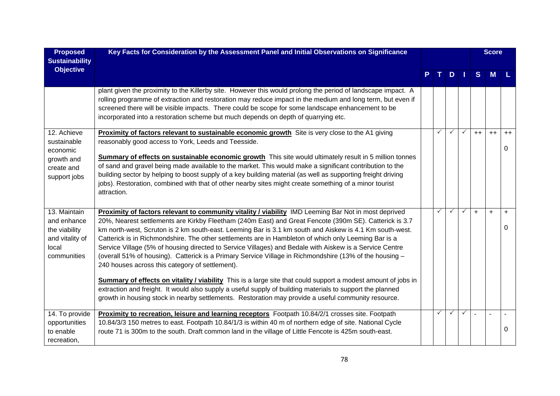| <b>Proposed</b>                                                                         | Key Facts for Consideration by the Assessment Panel and Initial Observations on Significance                                                                                                                                                                                                                                                                                                                                                                                                                                                                                                                                                                                                                                                                                                                                |   |              |              |              | <b>Score</b> |           |  |
|-----------------------------------------------------------------------------------------|-----------------------------------------------------------------------------------------------------------------------------------------------------------------------------------------------------------------------------------------------------------------------------------------------------------------------------------------------------------------------------------------------------------------------------------------------------------------------------------------------------------------------------------------------------------------------------------------------------------------------------------------------------------------------------------------------------------------------------------------------------------------------------------------------------------------------------|---|--------------|--------------|--------------|--------------|-----------|--|
| <b>Sustainability</b><br><b>Objective</b>                                               |                                                                                                                                                                                                                                                                                                                                                                                                                                                                                                                                                                                                                                                                                                                                                                                                                             |   |              |              |              |              |           |  |
|                                                                                         |                                                                                                                                                                                                                                                                                                                                                                                                                                                                                                                                                                                                                                                                                                                                                                                                                             |   | D            |              | <sub>S</sub> | M            |           |  |
|                                                                                         | plant given the proximity to the Killerby site. However this would prolong the period of landscape impact. A<br>rolling programme of extraction and restoration may reduce impact in the medium and long term, but even if<br>screened there will be visible impacts. There could be scope for some landscape enhancement to be<br>incorporated into a restoration scheme but much depends on depth of quarrying etc.                                                                                                                                                                                                                                                                                                                                                                                                       |   |              |              |              |              |           |  |
| 12. Achieve<br>sustainable<br>economic                                                  | Proximity of factors relevant to sustainable economic growth Site is very close to the A1 giving<br>reasonably good access to York, Leeds and Teesside.                                                                                                                                                                                                                                                                                                                                                                                                                                                                                                                                                                                                                                                                     | ✓ | ✓            | $\checkmark$ | $++$         | $++$         | $++$<br>0 |  |
| growth and<br>create and<br>support jobs                                                | Summary of effects on sustainable economic growth This site would ultimately result in 5 million tonnes<br>of sand and gravel being made available to the market. This would make a significant contribution to the<br>building sector by helping to boost supply of a key building material (as well as supporting freight driving<br>jobs). Restoration, combined with that of other nearby sites might create something of a minor tourist<br>attraction.                                                                                                                                                                                                                                                                                                                                                                |   |              |              |              |              |           |  |
| 13. Maintain<br>and enhance<br>the viability<br>and vitality of<br>local<br>communities | Proximity of factors relevant to community vitality / viability IMD Leeming Bar Not in most deprived<br>20%, Nearest settlements are Kirkby Fleetham (240m East) and Great Fencote (390m SE). Catterick is 3.7<br>km north-west, Scruton is 2 km south-east. Leeming Bar is 3.1 km south and Aiskew is 4.1 Km south-west.<br>Catterick is in Richmondshire. The other settlements are in Hambleton of which only Leeming Bar is a<br>Service Village (5% of housing directed to Service Villages) and Bedale with Aiskew is a Service Centre<br>(overall 51% of housing). Catterick is a Primary Service Village in Richmondshire (13% of the housing -<br>240 houses across this category of settlement).<br>Summary of effects on vitality / viability This is a large site that could support a modest amount of jobs in | ✓ |              | $\checkmark$ | $+$          | $\ddot{}$    | $+$<br>0  |  |
|                                                                                         | extraction and freight. It would also supply a useful supply of building materials to support the planned<br>growth in housing stock in nearby settlements. Restoration may provide a useful community resource.                                                                                                                                                                                                                                                                                                                                                                                                                                                                                                                                                                                                            |   |              |              |              |              |           |  |
| 14. To provide<br>opportunities<br>to enable<br>recreation,                             | Proximity to recreation, leisure and learning receptors Footpath 10.84/2/1 crosses site. Footpath<br>10.84/3/3 150 metres to east. Footpath 10.84/1/3 is within 40 m of northern edge of site. National Cycle<br>route 71 is 300m to the south. Draft common land in the village of Little Fencote is 425m south-east.                                                                                                                                                                                                                                                                                                                                                                                                                                                                                                      |   | $\checkmark$ | $\checkmark$ |              |              | 0         |  |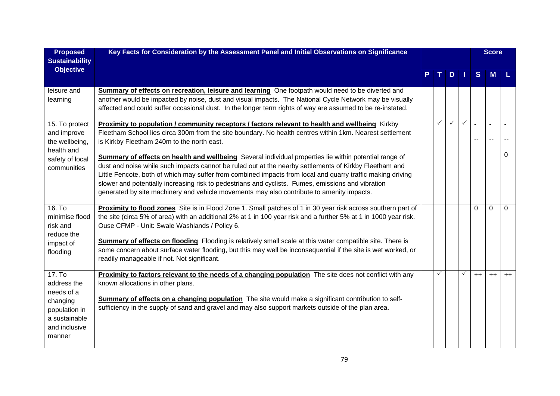| <b>Proposed</b>                                                                                              | Key Facts for Consideration by the Assessment Panel and Initial Observations on Significance                                                                                                                                                                                                                                                                                                                                                                                                                                                                                                                                                                                                                                                                                                           |              |              |              |                | <b>Score</b>             |      |
|--------------------------------------------------------------------------------------------------------------|--------------------------------------------------------------------------------------------------------------------------------------------------------------------------------------------------------------------------------------------------------------------------------------------------------------------------------------------------------------------------------------------------------------------------------------------------------------------------------------------------------------------------------------------------------------------------------------------------------------------------------------------------------------------------------------------------------------------------------------------------------------------------------------------------------|--------------|--------------|--------------|----------------|--------------------------|------|
| <b>Sustainability</b><br><b>Objective</b>                                                                    |                                                                                                                                                                                                                                                                                                                                                                                                                                                                                                                                                                                                                                                                                                                                                                                                        |              | $D$          |              | S              | <b>M</b>                 |      |
| leisure and<br>learning                                                                                      | Summary of effects on recreation, leisure and learning One footpath would need to be diverted and<br>another would be impacted by noise, dust and visual impacts. The National Cycle Network may be visually<br>affected and could suffer occasional dust. In the longer term rights of way are assumed to be re-instated.                                                                                                                                                                                                                                                                                                                                                                                                                                                                             |              |              |              |                |                          |      |
| 15. To protect<br>and improve<br>the wellbeing,<br>health and<br>safety of local<br>communities              | <b>Proximity to population / community receptors / factors relevant to health and wellbeing</b> Kirkby<br>Fleetham School lies circa 300m from the site boundary. No health centres within 1km. Nearest settlement<br>is Kirkby Fleetham 240m to the north east.<br>Summary of effects on health and wellbeing Several individual properties lie within potential range of<br>dust and noise while such impacts cannot be ruled out at the nearby settlements of Kirkby Fleetham and<br>Little Fencote, both of which may suffer from combined impacts from local and quarry traffic making driving<br>slower and potentially increasing risk to pedestrians and cyclists. Fumes, emissions and vibration<br>generated by site machinery and vehicle movements may also contribute to amenity impacts. | $\checkmark$ | $\checkmark$ | $\checkmark$ | $\blacksquare$ | $\blacksquare$<br>$\sim$ | 0    |
| 16. To<br>minimise flood<br>risk and<br>reduce the<br>impact of<br>flooding                                  | Proximity to flood zones Site is in Flood Zone 1. Small patches of 1 in 30 year risk across southern part of<br>the site (circa 5% of area) with an additional 2% at 1 in 100 year risk and a further 5% at 1 in 1000 year risk.<br>Ouse CFMP - Unit: Swale Washlands / Policy 6.<br><b>Summary of effects on flooding</b> Flooding is relatively small scale at this water compatible site. There is<br>some concern about surface water flooding, but this may well be inconsequential if the site is wet worked, or<br>readily manageable if not. Not significant.                                                                                                                                                                                                                                  |              |              |              | 0              | 0                        | 0    |
| 17. To<br>address the<br>needs of a<br>changing<br>population in<br>a sustainable<br>and inclusive<br>manner | <b>Proximity to factors relevant to the needs of a changing population</b> The site does not conflict with any<br>known allocations in other plans.<br>Summary of effects on a changing population The site would make a significant contribution to self-<br>sufficiency in the supply of sand and gravel and may also support markets outside of the plan area.                                                                                                                                                                                                                                                                                                                                                                                                                                      | $\checkmark$ |              | $\checkmark$ | $++$           | $++$                     | $++$ |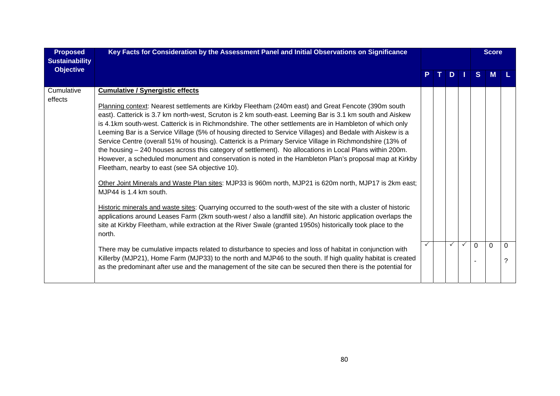| <b>Proposed</b><br><b>Sustainability</b> | Key Facts for Consideration by the Assessment Panel and Initial Observations on Significance                                                                                                                                                                                                                                                                                                                                                                                                                                                                                                                                                                                                                                                                                                                                                                                                                                                                                                                                                                                                                                                                                                                                                                                                                                                                               |  |  |              |              |              | <b>Score</b> |   |
|------------------------------------------|----------------------------------------------------------------------------------------------------------------------------------------------------------------------------------------------------------------------------------------------------------------------------------------------------------------------------------------------------------------------------------------------------------------------------------------------------------------------------------------------------------------------------------------------------------------------------------------------------------------------------------------------------------------------------------------------------------------------------------------------------------------------------------------------------------------------------------------------------------------------------------------------------------------------------------------------------------------------------------------------------------------------------------------------------------------------------------------------------------------------------------------------------------------------------------------------------------------------------------------------------------------------------------------------------------------------------------------------------------------------------|--|--|--------------|--------------|--------------|--------------|---|
| <b>Objective</b>                         |                                                                                                                                                                                                                                                                                                                                                                                                                                                                                                                                                                                                                                                                                                                                                                                                                                                                                                                                                                                                                                                                                                                                                                                                                                                                                                                                                                            |  |  | D            |              | <sub>S</sub> | M            |   |
| Cumulative<br>effects                    | <b>Cumulative / Synergistic effects</b><br>Planning context: Nearest settlements are Kirkby Fleetham (240m east) and Great Fencote (390m south<br>east). Catterick is 3.7 km north-west, Scruton is 2 km south-east. Leeming Bar is 3.1 km south and Aiskew<br>is 4.1km south-west. Catterick is in Richmondshire. The other settlements are in Hambleton of which only<br>Leeming Bar is a Service Village (5% of housing directed to Service Villages) and Bedale with Aiskew is a<br>Service Centre (overall 51% of housing). Catterick is a Primary Service Village in Richmondshire (13% of<br>the housing - 240 houses across this category of settlement). No allocations in Local Plans within 200m.<br>However, a scheduled monument and conservation is noted in the Hambleton Plan's proposal map at Kirkby<br>Fleetham, nearby to east (see SA objective 10).<br>Other Joint Minerals and Waste Plan sites: MJP33 is 960m north, MJP21 is 620m north, MJP17 is 2km east;<br>MJP44 is 1.4 km south.<br>Historic minerals and waste sites: Quarrying occurred to the south-west of the site with a cluster of historic<br>applications around Leases Farm (2km south-west / also a landfill site). An historic application overlaps the<br>site at Kirkby Fleetham, while extraction at the River Swale (granted 1950s) historically took place to the<br>north. |  |  | $\checkmark$ | $\checkmark$ | $\Omega$     | $\Omega$     | 0 |
|                                          | There may be cumulative impacts related to disturbance to species and loss of habitat in conjunction with<br>Killerby (MJP21), Home Farm (MJP33) to the north and MJP46 to the south. If high quality habitat is created<br>as the predominant after use and the management of the site can be secured then there is the potential for                                                                                                                                                                                                                                                                                                                                                                                                                                                                                                                                                                                                                                                                                                                                                                                                                                                                                                                                                                                                                                     |  |  |              |              |              |              |   |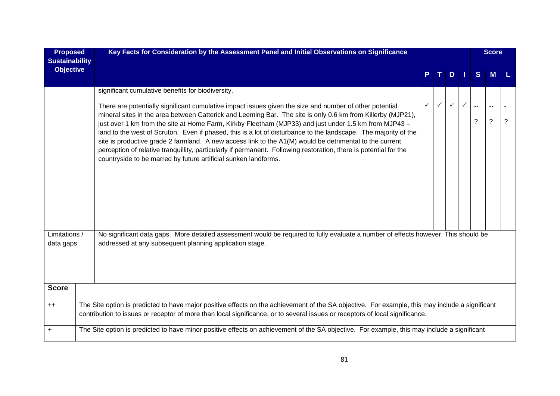| <b>Proposed</b><br><b>Sustainability</b><br><b>Objective</b> | Key Facts for Consideration by the Assessment Panel and Initial Observations on Significance                                                                                                                                                                                                                                                                                                                                                                                                                                                                                                                                                                                                                                                          |              |              |              |              |                     | <b>Score</b> |                |  |  |  |  |
|--------------------------------------------------------------|-------------------------------------------------------------------------------------------------------------------------------------------------------------------------------------------------------------------------------------------------------------------------------------------------------------------------------------------------------------------------------------------------------------------------------------------------------------------------------------------------------------------------------------------------------------------------------------------------------------------------------------------------------------------------------------------------------------------------------------------------------|--------------|--------------|--------------|--------------|---------------------|--------------|----------------|--|--|--|--|
|                                                              |                                                                                                                                                                                                                                                                                                                                                                                                                                                                                                                                                                                                                                                                                                                                                       |              |              | D            | <b>J</b>     | <sub>S</sub>        | M            |                |  |  |  |  |
|                                                              | significant cumulative benefits for biodiversity.                                                                                                                                                                                                                                                                                                                                                                                                                                                                                                                                                                                                                                                                                                     |              |              |              |              |                     |              |                |  |  |  |  |
|                                                              | There are potentially significant cumulative impact issues given the size and number of other potential<br>mineral sites in the area between Catterick and Leeming Bar. The site is only 0.6 km from Killerby (MJP21),<br>just over 1 km from the site at Home Farm, Kirkby Fleetham (MJP33) and just under 1.5 km from MJP43 -<br>land to the west of Scruton. Even if phased, this is a lot of disturbance to the landscape. The majority of the<br>site is productive grade 2 farmland. A new access link to the A1(M) would be detrimental to the current<br>perception of relative tranquillity, particularly if permanent. Following restoration, there is potential for the<br>countryside to be marred by future artificial sunken landforms. | $\checkmark$ | $\checkmark$ | $\checkmark$ | $\checkmark$ | $\overline{a}$<br>? | ?            | $\overline{?}$ |  |  |  |  |
| Limitations /<br>data gaps                                   | No significant data gaps. More detailed assessment would be required to fully evaluate a number of effects however. This should be<br>addressed at any subsequent planning application stage.                                                                                                                                                                                                                                                                                                                                                                                                                                                                                                                                                         |              |              |              |              |                     |              |                |  |  |  |  |
| <b>Score</b>                                                 |                                                                                                                                                                                                                                                                                                                                                                                                                                                                                                                                                                                                                                                                                                                                                       |              |              |              |              |                     |              |                |  |  |  |  |
| $++$                                                         | The Site option is predicted to have major positive effects on the achievement of the SA objective. For example, this may include a significant<br>contribution to issues or receptor of more than local significance, or to several issues or receptors of local significance.                                                                                                                                                                                                                                                                                                                                                                                                                                                                       |              |              |              |              |                     |              |                |  |  |  |  |
| $\ddot{}$                                                    | The Site option is predicted to have minor positive effects on achievement of the SA objective. For example, this may include a significant                                                                                                                                                                                                                                                                                                                                                                                                                                                                                                                                                                                                           |              |              |              |              |                     |              |                |  |  |  |  |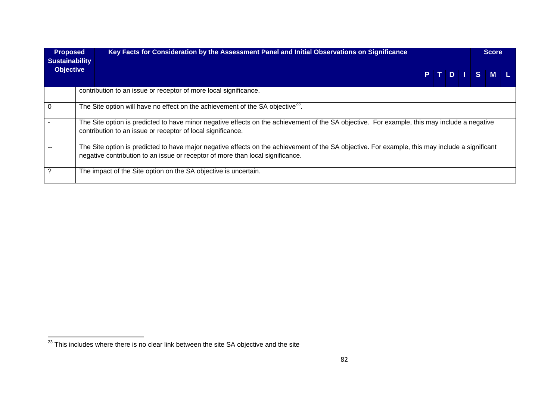| <b>Proposed</b><br><b>Sustainability</b> | Key Facts for Consideration by the Assessment Panel and Initial Observations on Significance                                                                                                                                      |  |  | <b>Score</b> |       |  |
|------------------------------------------|-----------------------------------------------------------------------------------------------------------------------------------------------------------------------------------------------------------------------------------|--|--|--------------|-------|--|
| <b>Objective</b>                         |                                                                                                                                                                                                                                   |  |  | PTDI         | S M L |  |
|                                          | contribution to an issue or receptor of more local significance.                                                                                                                                                                  |  |  |              |       |  |
| 0                                        | The Site option will have no effect on the achievement of the SA objective <sup>23</sup> .                                                                                                                                        |  |  |              |       |  |
|                                          | The Site option is predicted to have minor negative effects on the achievement of the SA objective. For example, this may include a negative<br>contribution to an issue or receptor of local significance.                       |  |  |              |       |  |
|                                          | The Site option is predicted to have major negative effects on the achievement of the SA objective. For example, this may include a significant<br>negative contribution to an issue or receptor of more than local significance. |  |  |              |       |  |
|                                          | The impact of the Site option on the SA objective is uncertain.                                                                                                                                                                   |  |  |              |       |  |

 $\frac{1}{23}$  This includes where there is no clear link between the site SA objective and the site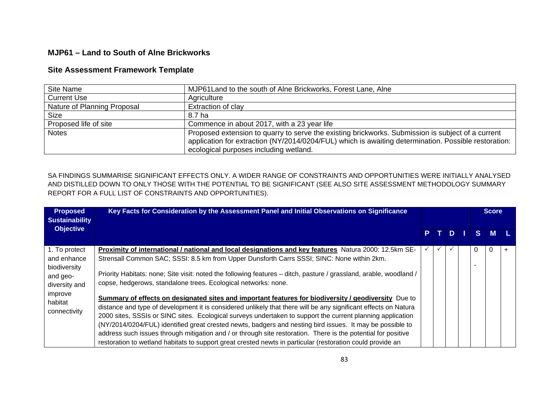## **MJP61 – Land to South of Alne Brickworks**

## **Site Assessment Framework Template**

| <b>Site Name</b>            | MJP61 Land to the south of Alne Brickworks, Forest Lane, Alne                                                                                                                                                                                       |
|-----------------------------|-----------------------------------------------------------------------------------------------------------------------------------------------------------------------------------------------------------------------------------------------------|
| <b>Current Use</b>          | Agriculture                                                                                                                                                                                                                                         |
| Nature of Planning Proposal | Extraction of clay                                                                                                                                                                                                                                  |
| <b>Size</b>                 | 8.7 ha                                                                                                                                                                                                                                              |
| Proposed life of site       | Commence in about 2017, with a 23 year life                                                                                                                                                                                                         |
| <b>Notes</b>                | Proposed extension to quarry to serve the existing brickworks. Submission is subject of a current<br>application for extraction (NY/2014/0204/FUL) which is awaiting determination. Possible restoration:<br>ecological purposes including wetland. |

SA FINDINGS SUMMARISE SIGNIFICANT EFFECTS ONLY. A WIDER RANGE OF CONSTRAINTS AND OPPORTUNITIES WERE INITIALLY ANALYSED AND DISTILLED DOWN TO ONLY THOSE WITH THE POTENTIAL TO BE SIGNIFICANT (SEE ALSO SITE ASSESSMENT METHODOLOGY SUMMARY REPORT FOR A FULL LIST OF CONSTRAINTS AND OPPORTUNITIES).

| <b>Proposed</b><br><b>Sustainability</b>                                                                        | Key Facts for Consideration by the Assessment Panel and Initial Observations on Significance                                                                                                                                                                                                                                                                                                                                                                                                                                                                                                                                                                                                                                                                                                                                                                                                                                                                                                                                                                                     |  |     |    |  |             |          | <b>Score</b> |  |
|-----------------------------------------------------------------------------------------------------------------|----------------------------------------------------------------------------------------------------------------------------------------------------------------------------------------------------------------------------------------------------------------------------------------------------------------------------------------------------------------------------------------------------------------------------------------------------------------------------------------------------------------------------------------------------------------------------------------------------------------------------------------------------------------------------------------------------------------------------------------------------------------------------------------------------------------------------------------------------------------------------------------------------------------------------------------------------------------------------------------------------------------------------------------------------------------------------------|--|-----|----|--|-------------|----------|--------------|--|
| <b>Objective</b>                                                                                                |                                                                                                                                                                                                                                                                                                                                                                                                                                                                                                                                                                                                                                                                                                                                                                                                                                                                                                                                                                                                                                                                                  |  | PT. | D. |  | $S^{\perp}$ | <b>M</b> |              |  |
| 1. To protect<br>and enhance<br>biodiversity<br>and geo-<br>diversity and<br>improve<br>habitat<br>connectivity | Proximity of international / national and local designations and key features Natura 2000: 12.5km SE-<br>Strensall Common SAC; SSSI: 8.5 km from Upper Dunsforth Carrs SSSI; SINC: None within 2km.<br>Priority Habitats: none; Site visit: noted the following features – ditch, pasture / grassland, arable, woodland /<br>copse, hedgerows, standalone trees. Ecological networks: none.<br>Summary of effects on designated sites and important features for biodiversity / geodiversity Due to<br>distance and type of development it is considered unlikely that there will be any significant effects on Natura<br>2000 sites, SSSIs or SINC sites. Ecological surveys undertaken to support the current planning application<br>(NY/2014/0204/FUL) identified great crested newts, badgers and nesting bird issues. It may be possible to<br>address such issues through mitigation and / or through site restoration. There is the potential for positive<br>restoration to wetland habitats to support great crested newts in particular (restoration could provide an |  |     |    |  | 0           |          |              |  |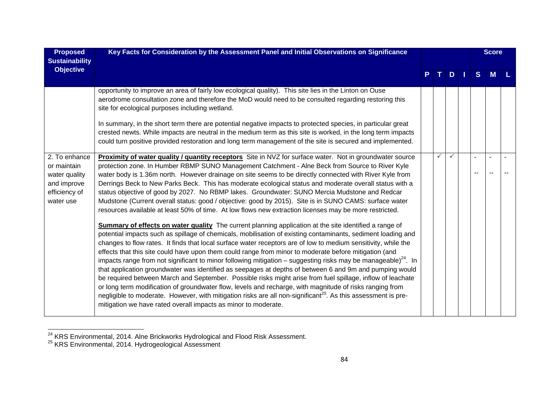| <b>Proposed</b><br><b>Sustainability</b>                                                   | Key Facts for Consideration by the Assessment Panel and Initial Observations on Significance                                                                                                                                                                                                                                                                                                                                                                                                                                                                                                                                                                                                                                                                                                                                                                                                                                                                                                                                                                                                                                                                                                                                                                                                                                                                                                                                                                                                                                                                                                                                                                                                                                                                                                                                                                                        |              |    |              | <b>Score</b> |  |
|--------------------------------------------------------------------------------------------|-------------------------------------------------------------------------------------------------------------------------------------------------------------------------------------------------------------------------------------------------------------------------------------------------------------------------------------------------------------------------------------------------------------------------------------------------------------------------------------------------------------------------------------------------------------------------------------------------------------------------------------------------------------------------------------------------------------------------------------------------------------------------------------------------------------------------------------------------------------------------------------------------------------------------------------------------------------------------------------------------------------------------------------------------------------------------------------------------------------------------------------------------------------------------------------------------------------------------------------------------------------------------------------------------------------------------------------------------------------------------------------------------------------------------------------------------------------------------------------------------------------------------------------------------------------------------------------------------------------------------------------------------------------------------------------------------------------------------------------------------------------------------------------------------------------------------------------------------------------------------------------|--------------|----|--------------|--------------|--|
| <b>Objective</b>                                                                           |                                                                                                                                                                                                                                                                                                                                                                                                                                                                                                                                                                                                                                                                                                                                                                                                                                                                                                                                                                                                                                                                                                                                                                                                                                                                                                                                                                                                                                                                                                                                                                                                                                                                                                                                                                                                                                                                                     |              | D. | <sub>S</sub> | M            |  |
|                                                                                            | opportunity to improve an area of fairly low ecological quality). This site lies in the Linton on Ouse<br>aerodrome consultation zone and therefore the MoD would need to be consulted regarding restoring this<br>site for ecological purposes including wetland.<br>In summary, in the short term there are potential negative impacts to protected species, in particular great                                                                                                                                                                                                                                                                                                                                                                                                                                                                                                                                                                                                                                                                                                                                                                                                                                                                                                                                                                                                                                                                                                                                                                                                                                                                                                                                                                                                                                                                                                  |              |    |              |              |  |
|                                                                                            | crested newts. While impacts are neutral in the medium term as this site is worked, in the long term impacts<br>could turn positive provided restoration and long term management of the site is secured and implemented.                                                                                                                                                                                                                                                                                                                                                                                                                                                                                                                                                                                                                                                                                                                                                                                                                                                                                                                                                                                                                                                                                                                                                                                                                                                                                                                                                                                                                                                                                                                                                                                                                                                           |              |    |              |              |  |
| 2. To enhance<br>or maintain<br>water quality<br>and improve<br>efficiency of<br>water use | Proximity of water quality / quantity receptors Site in NVZ for surface water. Not in groundwater source<br>protection zone. In Humber RBMP SUNO Management Catchment - Alne Beck from Source to River Kyle<br>water body is 1.36m north. However drainage on site seems to be directly connected with River Kyle from<br>Derrings Beck to New Parks Beck. This has moderate ecological status and moderate overall status with a<br>status objective of good by 2027. No RBMP lakes. Groundwater: SUNO Mercia Mudstone and Redcar<br>Mudstone (Current overall status: good / objective: good by 2015). Site is in SUNO CAMS: surface water<br>resources available at least 50% of time. At low flows new extraction licenses may be more restricted.<br><b>Summary of effects on water quality</b> The current planning application at the site identified a range of<br>potential impacts such as spillage of chemicals, mobilisation of existing contaminants, sediment loading and<br>changes to flow rates. It finds that local surface water receptors are of low to medium sensitivity, while the<br>effects that this site could have upon them could range from minor to moderate before mitigation (and<br>impacts range from not significant to minor following mitigation – suggesting risks may be manageable) <sup>24</sup> . In<br>that application groundwater was identified as seepages at depths of between 6 and 9m and pumping would<br>be required between March and September. Possible risks might arise from fuel spillage, inflow of leachate<br>or long term modification of groundwater flow, levels and recharge, with magnitude of risks ranging from<br>negligible to moderate. However, with mitigation risks are all non-significant <sup>25</sup> . As this assessment is pre-<br>mitigation we have rated overall impacts as minor to moderate. | $\checkmark$ |    |              |              |  |

<sup>&</sup>lt;sup>24</sup> KRS Environmental, 2014. Alne Brickworks Hydrological and Flood Risk Assessment.<br><sup>25</sup> KRS Environmental, 2014. Hydrogeological Assessment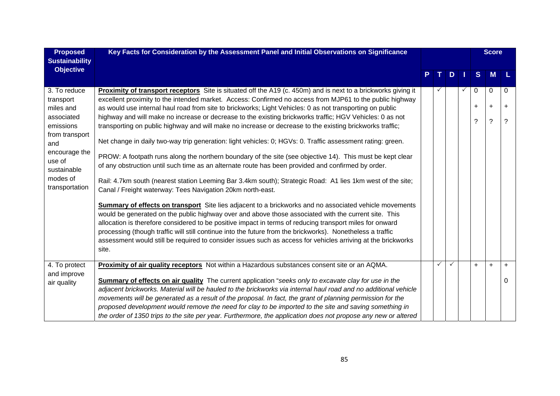| <b>Proposed</b><br><b>Sustainability</b> | Key Facts for Consideration by the Assessment Panel and Initial Observations on Significance                    |    |              |               |              |     | <b>Score</b> |           |
|------------------------------------------|-----------------------------------------------------------------------------------------------------------------|----|--------------|---------------|--------------|-----|--------------|-----------|
| <b>Objective</b>                         |                                                                                                                 |    |              |               |              |     |              |           |
|                                          |                                                                                                                 | P. | $\mathbf{T}$ | $D$   $\vert$ |              | S   | <b>M</b>     | - 14      |
| 3. To reduce                             | Proximity of transport receptors Site is situated off the A19 (c. 450m) and is next to a brickworks giving it   |    |              |               | $\checkmark$ | 0   | 0            | 0         |
| transport                                | excellent proximity to the intended market. Access: Confirmed no access from MJP61 to the public highway        |    |              |               |              |     |              |           |
| miles and                                | as would use internal haul road from site to brickworks; Light Vehicles: 0 as not transporting on public        |    |              |               |              | +   | $\ddot{}$    | $\ddot{}$ |
| associated                               | highway and will make no increase or decrease to the existing brickworks traffic; HGV Vehicles: 0 as not        |    |              |               |              | ?   | ?            | ?         |
| emissions                                | transporting on public highway and will make no increase or decrease to the existing brickworks traffic;        |    |              |               |              |     |              |           |
| from transport<br>and                    | Net change in daily two-way trip generation: light vehicles: 0; HGVs: 0. Traffic assessment rating: green.      |    |              |               |              |     |              |           |
| encourage the                            | PROW: A footpath runs along the northern boundary of the site (see objective 14). This must be kept clear       |    |              |               |              |     |              |           |
| use of<br>sustainable                    | of any obstruction until such time as an alternate route has been provided and confirmed by order.              |    |              |               |              |     |              |           |
| modes of                                 |                                                                                                                 |    |              |               |              |     |              |           |
| transportation                           | Rail: 4.7km south (nearest station Leeming Bar 3.4km south); Strategic Road: A1 lies 1km west of the site;      |    |              |               |              |     |              |           |
|                                          | Canal / Freight waterway: Tees Navigation 20km north-east.                                                      |    |              |               |              |     |              |           |
|                                          | Summary of effects on transport Site lies adjacent to a brickworks and no associated vehicle movements          |    |              |               |              |     |              |           |
|                                          | would be generated on the public highway over and above those associated with the current site. This            |    |              |               |              |     |              |           |
|                                          | allocation is therefore considered to be positive impact in terms of reducing transport miles for onward        |    |              |               |              |     |              |           |
|                                          | processing (though traffic will still continue into the future from the brickworks). Nonetheless a traffic      |    |              |               |              |     |              |           |
|                                          | assessment would still be required to consider issues such as access for vehicles arriving at the brickworks    |    |              |               |              |     |              |           |
|                                          | site.                                                                                                           |    |              |               |              |     |              |           |
| 4. To protect                            | Proximity of air quality receptors Not within a Hazardous substances consent site or an AQMA.                   |    | $\checkmark$ |               |              | $+$ | $\ddot{}$    | $\ddot{}$ |
| and improve                              |                                                                                                                 |    |              |               |              |     |              |           |
| air quality                              | <b>Summary of effects on air quality</b> The current application "seeks only to excavate clay for use in the    |    |              |               |              |     |              | 0         |
|                                          | adjacent brickworks. Material will be hauled to the brickworks via internal haul road and no additional vehicle |    |              |               |              |     |              |           |
|                                          | movements will be generated as a result of the proposal. In fact, the grant of planning permission for the      |    |              |               |              |     |              |           |
|                                          | proposed development would remove the need for clay to be imported to the site and saving something in          |    |              |               |              |     |              |           |
|                                          | the order of 1350 trips to the site per year. Furthermore, the application does not propose any new or altered  |    |              |               |              |     |              |           |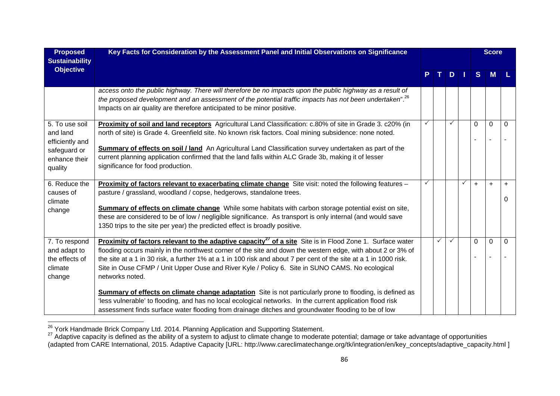| <b>Proposed</b><br><b>Sustainability</b>                                                  | Key Facts for Consideration by the Assessment Panel and Initial Observations on Significance                                                                                                                                                                                                                                                                                                                                                                                                                                                                                                                                                                                                                                                                                                                                   |   |    |    |              |          | <b>Score</b> |                |
|-------------------------------------------------------------------------------------------|--------------------------------------------------------------------------------------------------------------------------------------------------------------------------------------------------------------------------------------------------------------------------------------------------------------------------------------------------------------------------------------------------------------------------------------------------------------------------------------------------------------------------------------------------------------------------------------------------------------------------------------------------------------------------------------------------------------------------------------------------------------------------------------------------------------------------------|---|----|----|--------------|----------|--------------|----------------|
| <b>Objective</b>                                                                          |                                                                                                                                                                                                                                                                                                                                                                                                                                                                                                                                                                                                                                                                                                                                                                                                                                |   | т. | D. |              | S        | <b>M</b>     |                |
|                                                                                           | access onto the public highway. There will therefore be no impacts upon the public highway as a result of<br>the proposed development and an assessment of the potential traffic impacts has not been undertaken". <sup>26</sup><br>Impacts on air quality are therefore anticipated to be minor positive.                                                                                                                                                                                                                                                                                                                                                                                                                                                                                                                     |   |    |    |              |          |              |                |
| 5. To use soil<br>and land<br>efficiently and<br>safeguard or<br>enhance their<br>quality | Proximity of soil and land receptors Agricultural Land Classification: c.80% of site in Grade 3. c20% (in<br>north of site) is Grade 4. Greenfield site. No known risk factors. Coal mining subsidence: none noted.<br><b>Summary of effects on soil / land</b> An Agricultural Land Classification survey undertaken as part of the<br>current planning application confirmed that the land falls within ALC Grade 3b, making it of lesser<br>significance for food production.                                                                                                                                                                                                                                                                                                                                               |   |    |    |              | $\Omega$ | $\mathbf 0$  | 0              |
| 6. Reduce the<br>causes of<br>climate<br>change                                           | Proximity of factors relevant to exacerbating climate change Site visit: noted the following features -<br>pasture / grassland, woodland / copse, hedgerows, standalone trees.<br><b>Summary of effects on climate change</b> While some habitats with carbon storage potential exist on site,<br>these are considered to be of low / negligible significance. As transport is only internal (and would save<br>1350 trips to the site per year) the predicted effect is broadly positive.                                                                                                                                                                                                                                                                                                                                     | ✓ |    |    | $\checkmark$ | $+$      | $\ddot{}$    | $\ddot{}$<br>0 |
| 7. To respond<br>and adapt to<br>the effects of<br>climate<br>change                      | <b>Proximity of factors relevant to the adaptive capacity<sup>27</sup> of a site Site is in Flood Zone 1. Surface water</b><br>flooding occurs mainly in the northwest corner of the site and down the western edge, with about 2 or 3% of<br>the site at a 1 in 30 risk, a further 1% at a 1 in 100 risk and about 7 per cent of the site at a 1 in 1000 risk.<br>Site in Ouse CFMP / Unit Upper Ouse and River Kyle / Policy 6. Site in SUNO CAMS. No ecological<br>networks noted.<br><b>Summary of effects on climate change adaptation</b> Site is not particularly prone to flooding, is defined as<br>'less vulnerable' to flooding, and has no local ecological networks. In the current application flood risk<br>assessment finds surface water flooding from drainage ditches and groundwater flooding to be of low |   | ✓  |    |              | 0        | $\mathbf{0}$ | $\Omega$       |

<sup>&</sup>lt;sup>26</sup> York Handmade Brick Company Ltd. 2014. Planning Application and Supporting Statement.<br><sup>27</sup> Adaptive capacity is defined as the ability of a system to adjust to climate change to moderate potential; damage or take adva (adapted from CARE International, 2015. Adaptive Capacity [URL: http://www.careclimatechange.org/tk/integration/en/key\_concepts/adaptive\_capacity.html ]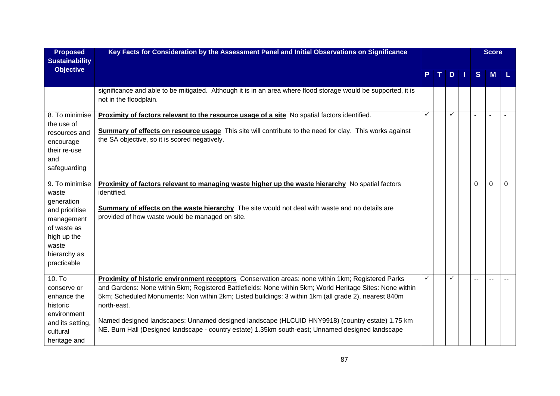| <b>Proposed</b><br><b>Sustainability</b>                                                                                                    | Key Facts for Consideration by the Assessment Panel and Initial Observations on Significance                                                                                                                                                                                                                                                                                                                                                                                                                                                  |   |       |     |   | <b>Score</b> |          |
|---------------------------------------------------------------------------------------------------------------------------------------------|-----------------------------------------------------------------------------------------------------------------------------------------------------------------------------------------------------------------------------------------------------------------------------------------------------------------------------------------------------------------------------------------------------------------------------------------------------------------------------------------------------------------------------------------------|---|-------|-----|---|--------------|----------|
| <b>Objective</b>                                                                                                                            |                                                                                                                                                                                                                                                                                                                                                                                                                                                                                                                                               |   | $T$ . | $D$ | S | <b>M</b>     |          |
|                                                                                                                                             | significance and able to be mitigated. Although it is in an area where flood storage would be supported, it is<br>not in the floodplain.                                                                                                                                                                                                                                                                                                                                                                                                      |   |       |     |   |              |          |
| 8. To minimise<br>the use of<br>resources and<br>encourage<br>their re-use<br>and<br>safeguarding                                           | Proximity of factors relevant to the resource usage of a site No spatial factors identified.<br>Summary of effects on resource usage This site will contribute to the need for clay. This works against<br>the SA objective, so it is scored negatively.                                                                                                                                                                                                                                                                                      | ✓ |       | ✓   |   | $\sim$       |          |
| 9. To minimise<br>waste<br>generation<br>and prioritise<br>management<br>of waste as<br>high up the<br>waste<br>hierarchy as<br>practicable | Proximity of factors relevant to managing waste higher up the waste hierarchy No spatial factors<br>identified.<br><b>Summary of effects on the waste hierarchy</b> The site would not deal with waste and no details are<br>provided of how waste would be managed on site.                                                                                                                                                                                                                                                                  |   |       |     | 0 | $\Omega$     | $\Omega$ |
| 10. T <sub>o</sub><br>conserve or<br>enhance the<br>historic<br>environment<br>and its setting,<br>cultural<br>heritage and                 | Proximity of historic environment receptors Conservation areas: none within 1km; Registered Parks<br>and Gardens: None within 5km; Registered Battlefields: None within 5km; World Heritage Sites: None within<br>5km; Scheduled Monuments: Non within 2km; Listed buildings: 3 within 1km (all grade 2), nearest 840m<br>north-east.<br>Named designed landscapes: Unnamed designed landscape (HLCUID HNY9918) (country estate) 1.75 km<br>NE. Burn Hall (Designed landscape - country estate) 1.35km south-east; Unnamed designed landscape | ✓ |       | ✓   |   |              |          |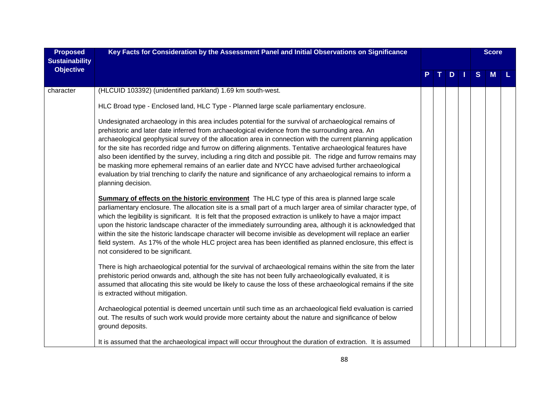| <b>Proposed</b><br><b>Sustainability</b> | Key Facts for Consideration by the Assessment Panel and Initial Observations on Significance                                                                                                                                                                                                                                                                                                                                                                                                                                                                                                                                                                                                                                                                                                         |  |     |   | <b>Score</b> |   |
|------------------------------------------|------------------------------------------------------------------------------------------------------------------------------------------------------------------------------------------------------------------------------------------------------------------------------------------------------------------------------------------------------------------------------------------------------------------------------------------------------------------------------------------------------------------------------------------------------------------------------------------------------------------------------------------------------------------------------------------------------------------------------------------------------------------------------------------------------|--|-----|---|--------------|---|
| <b>Objective</b>                         |                                                                                                                                                                                                                                                                                                                                                                                                                                                                                                                                                                                                                                                                                                                                                                                                      |  | TDI | S | M            | L |
| character                                | (HLCUID 103392) (unidentified parkland) 1.69 km south-west.                                                                                                                                                                                                                                                                                                                                                                                                                                                                                                                                                                                                                                                                                                                                          |  |     |   |              |   |
|                                          | HLC Broad type - Enclosed land, HLC Type - Planned large scale parliamentary enclosure.                                                                                                                                                                                                                                                                                                                                                                                                                                                                                                                                                                                                                                                                                                              |  |     |   |              |   |
|                                          | Undesignated archaeology in this area includes potential for the survival of archaeological remains of<br>prehistoric and later date inferred from archaeological evidence from the surrounding area. An<br>archaeological geophysical survey of the allocation area in connection with the current planning application<br>for the site has recorded ridge and furrow on differing alignments. Tentative archaeological features have<br>also been identified by the survey, including a ring ditch and possible pit. The ridge and furrow remains may<br>be masking more ephemeral remains of an earlier date and NYCC have advised further archaeological<br>evaluation by trial trenching to clarify the nature and significance of any archaeological remains to inform a<br>planning decision. |  |     |   |              |   |
|                                          | Summary of effects on the historic environment The HLC type of this area is planned large scale<br>parliamentary enclosure. The allocation site is a small part of a much larger area of similar character type, of<br>which the legibility is significant. It is felt that the proposed extraction is unlikely to have a major impact<br>upon the historic landscape character of the immediately surrounding area, although it is acknowledged that<br>within the site the historic landscape character will become invisible as development will replace an earlier<br>field system. As 17% of the whole HLC project area has been identified as planned enclosure, this effect is<br>not considered to be significant.                                                                           |  |     |   |              |   |
|                                          | There is high archaeological potential for the survival of archaeological remains within the site from the later<br>prehistoric period onwards and, although the site has not been fully archaeologically evaluated, it is<br>assumed that allocating this site would be likely to cause the loss of these archaeological remains if the site<br>is extracted without mitigation.                                                                                                                                                                                                                                                                                                                                                                                                                    |  |     |   |              |   |
|                                          | Archaeological potential is deemed uncertain until such time as an archaeological field evaluation is carried<br>out. The results of such work would provide more certainty about the nature and significance of below<br>ground deposits.                                                                                                                                                                                                                                                                                                                                                                                                                                                                                                                                                           |  |     |   |              |   |
|                                          | It is assumed that the archaeological impact will occur throughout the duration of extraction. It is assumed                                                                                                                                                                                                                                                                                                                                                                                                                                                                                                                                                                                                                                                                                         |  |     |   |              |   |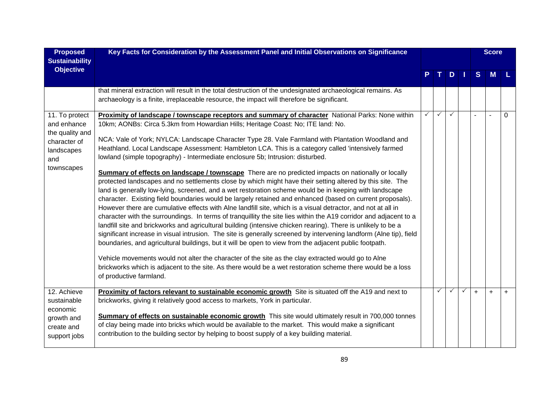| <b>Proposed</b>                                                                                     | Key Facts for Consideration by the Assessment Panel and Initial Observations on Significance                                                                                                                                                                                                                                                                                                                                                                                                                                                                                                                                                                                                                                                                                                                                                                                                                                                                                                                                                                                                                                                                                                                                                                                                                                                                                                                                                                                                                                                                                                                                                                                                                                                                        |   |              |              |              |                | <b>Score</b>             |     |
|-----------------------------------------------------------------------------------------------------|---------------------------------------------------------------------------------------------------------------------------------------------------------------------------------------------------------------------------------------------------------------------------------------------------------------------------------------------------------------------------------------------------------------------------------------------------------------------------------------------------------------------------------------------------------------------------------------------------------------------------------------------------------------------------------------------------------------------------------------------------------------------------------------------------------------------------------------------------------------------------------------------------------------------------------------------------------------------------------------------------------------------------------------------------------------------------------------------------------------------------------------------------------------------------------------------------------------------------------------------------------------------------------------------------------------------------------------------------------------------------------------------------------------------------------------------------------------------------------------------------------------------------------------------------------------------------------------------------------------------------------------------------------------------------------------------------------------------------------------------------------------------|---|--------------|--------------|--------------|----------------|--------------------------|-----|
| <b>Sustainability</b><br><b>Objective</b>                                                           |                                                                                                                                                                                                                                                                                                                                                                                                                                                                                                                                                                                                                                                                                                                                                                                                                                                                                                                                                                                                                                                                                                                                                                                                                                                                                                                                                                                                                                                                                                                                                                                                                                                                                                                                                                     |   |              | D.           |              | S              | M                        |     |
|                                                                                                     | that mineral extraction will result in the total destruction of the undesignated archaeological remains. As<br>archaeology is a finite, irreplaceable resource, the impact will therefore be significant.                                                                                                                                                                                                                                                                                                                                                                                                                                                                                                                                                                                                                                                                                                                                                                                                                                                                                                                                                                                                                                                                                                                                                                                                                                                                                                                                                                                                                                                                                                                                                           |   |              |              |              |                |                          |     |
| 11. To protect<br>and enhance<br>the quality and<br>character of<br>landscapes<br>and<br>townscapes | Proximity of landscape / townscape receptors and summary of character National Parks: None within<br>10km; AONBs: Circa 5.3km from Howardian Hills; Heritage Coast: No; ITE land: No.<br>NCA: Vale of York; NYLCA: Landscape Character Type 28. Vale Farmland with Plantation Woodland and<br>Heathland. Local Landscape Assessment: Hambleton LCA. This is a category called 'intensively farmed<br>lowland (simple topography) - Intermediate enclosure 5b; Intrusion: disturbed.<br>Summary of effects on landscape / townscape There are no predicted impacts on nationally or locally<br>protected landscapes and no settlements close by which might have their setting altered by this site. The<br>land is generally low-lying, screened, and a wet restoration scheme would be in keeping with landscape<br>character. Existing field boundaries would be largely retained and enhanced (based on current proposals).<br>However there are cumulative effects with Alne landfill site, which is a visual detractor, and not at all in<br>character with the surroundings. In terms of tranquillity the site lies within the A19 corridor and adjacent to a<br>landfill site and brickworks and agricultural building (intensive chicken rearing). There is unlikely to be a<br>significant increase in visual intrusion. The site is generally screened by intervening landform (Alne tip), field<br>boundaries, and agricultural buildings, but it will be open to view from the adjacent public footpath.<br>Vehicle movements would not alter the character of the site as the clay extracted would go to Alne<br>brickworks which is adjacent to the site. As there would be a wet restoration scheme there would be a loss<br>of productive farmland. | ✓ | $\checkmark$ | $\checkmark$ |              | $\overline{a}$ | $\overline{\phantom{a}}$ | 0   |
| 12. Achieve<br>sustainable<br>economic<br>growth and<br>create and<br>support jobs                  | Proximity of factors relevant to sustainable economic growth Site is situated off the A19 and next to<br>brickworks, giving it relatively good access to markets, York in particular.<br>Summary of effects on sustainable economic growth This site would ultimately result in 700,000 tonnes<br>of clay being made into bricks which would be available to the market. This would make a significant<br>contribution to the building sector by helping to boost supply of a key building material.                                                                                                                                                                                                                                                                                                                                                                                                                                                                                                                                                                                                                                                                                                                                                                                                                                                                                                                                                                                                                                                                                                                                                                                                                                                                |   | ✓            | $\checkmark$ | $\checkmark$ | $+$            | $+$                      | $+$ |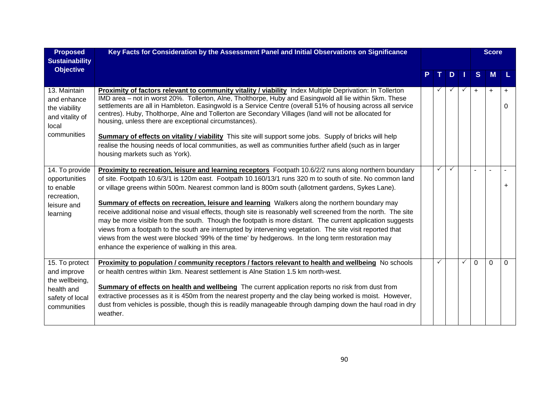| <b>Proposed</b><br><b>Sustainability</b>                                                        | Key Facts for Consideration by the Assessment Panel and Initial Observations on Significance                                                                                                                                                                                                                                                                                                                                                                                                                                                       |              |              |              |           | <b>Score</b> |                |
|-------------------------------------------------------------------------------------------------|----------------------------------------------------------------------------------------------------------------------------------------------------------------------------------------------------------------------------------------------------------------------------------------------------------------------------------------------------------------------------------------------------------------------------------------------------------------------------------------------------------------------------------------------------|--------------|--------------|--------------|-----------|--------------|----------------|
| <b>Objective</b>                                                                                |                                                                                                                                                                                                                                                                                                                                                                                                                                                                                                                                                    |              | D.           |              | S.        | M            |                |
| 13. Maintain<br>and enhance<br>the viability<br>and vitality of<br>local                        | Proximity of factors relevant to community vitality / viability Index Multiple Deprivation: In Tollerton<br>IMD area - not in worst 20%. Tollerton, Alne, Tholthorpe, Huby and Easingwold all lie within 5km. These<br>settlements are all in Hambleton. Easingwold is a Service Centre (overall 51% of housing across all service<br>centres). Huby, Tholthorpe, Alne and Tollerton are Secondary Villages (land will not be allocated for<br>housing, unless there are exceptional circumstances).                                               |              |              |              | $\ddot{}$ | $\ddot{}$    | $\ddot{}$<br>0 |
| communities                                                                                     | Summary of effects on vitality / viability This site will support some jobs. Supply of bricks will help<br>realise the housing needs of local communities, as well as communities further afield (such as in larger<br>housing markets such as York).                                                                                                                                                                                                                                                                                              |              |              |              |           |              |                |
| 14. To provide<br>opportunities<br>to enable<br>recreation,<br>leisure and<br>learning          | Proximity to recreation, leisure and learning receptors Footpath 10.6/2/2 runs along northern boundary<br>of site. Footpath 10.6/3/1 is 120m east. Footpath 10.160/13/1 runs 320 m to south of site. No common land<br>or village greens within 500m. Nearest common land is 800m south (allotment gardens, Sykes Lane).<br><b>Summary of effects on recreation, leisure and learning</b> Walkers along the northern boundary may<br>receive additional noise and visual effects, though site is reasonably well screened from the north. The site | $\checkmark$ | $\checkmark$ |              |           |              | $+$            |
|                                                                                                 | may be more visible from the south. Though the footpath is more distant. The current application suggests<br>views from a footpath to the south are interrupted by intervening vegetation. The site visit reported that<br>views from the west were blocked '99% of the time' by hedgerows. In the long term restoration may<br>enhance the experience of walking in this area.                                                                                                                                                                    |              |              |              |           |              |                |
| 15. To protect<br>and improve<br>the wellbeing,<br>health and<br>safety of local<br>communities | Proximity to population / community receptors / factors relevant to health and wellbeing No schools<br>or health centres within 1km. Nearest settlement is Alne Station 1.5 km north-west.<br>Summary of effects on health and wellbeing The current application reports no risk from dust from<br>extractive processes as it is 450m from the nearest property and the clay being worked is moist. However,<br>dust from vehicles is possible, though this is readily manageable through damping down the haul road in dry<br>weather.            | $\checkmark$ |              | $\checkmark$ | $\Omega$  | $\Omega$     | $\Omega$       |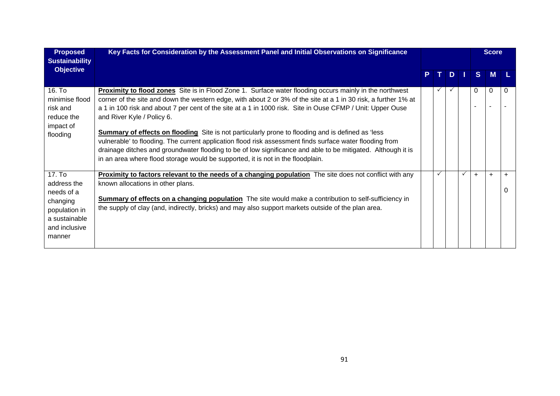| <b>Proposed</b><br><b>Sustainability</b>                                                                     | Key Facts for Consideration by the Assessment Panel and Initial Observations on Significance                                                                                                                                                                                                                                                                                                                                                                                                                                                                                                                                                                                                                                                                                                             |    |              |              |              |             | <b>Score</b> |           |
|--------------------------------------------------------------------------------------------------------------|----------------------------------------------------------------------------------------------------------------------------------------------------------------------------------------------------------------------------------------------------------------------------------------------------------------------------------------------------------------------------------------------------------------------------------------------------------------------------------------------------------------------------------------------------------------------------------------------------------------------------------------------------------------------------------------------------------------------------------------------------------------------------------------------------------|----|--------------|--------------|--------------|-------------|--------------|-----------|
| <b>Objective</b>                                                                                             |                                                                                                                                                                                                                                                                                                                                                                                                                                                                                                                                                                                                                                                                                                                                                                                                          | P. | T I          | D            | H.           | S.          | <b>M</b>     |           |
| 16. To<br>minimise flood<br>risk and<br>reduce the<br>impact of<br>flooding                                  | <b>Proximity to flood zones</b> Site is in Flood Zone 1. Surface water flooding occurs mainly in the northwest<br>corner of the site and down the western edge, with about 2 or 3% of the site at a 1 in 30 risk, a further 1% at<br>a 1 in 100 risk and about 7 per cent of the site at a 1 in 1000 risk. Site in Ouse CFMP / Unit: Upper Ouse<br>and River Kyle / Policy 6.<br><b>Summary of effects on flooding</b> Site is not particularly prone to flooding and is defined as 'less<br>vulnerable' to flooding. The current application flood risk assessment finds surface water flooding from<br>drainage ditches and groundwater flooding to be of low significance and able to be mitigated. Although it is<br>in an area where flood storage would be supported, it is not in the floodplain. |    | $\checkmark$ | $\checkmark$ |              | $\mathbf 0$ | 0            | 0         |
| 17. To<br>address the<br>needs of a<br>changing<br>population in<br>a sustainable<br>and inclusive<br>manner | <b>Proximity to factors relevant to the needs of a changing population</b> The site does not conflict with any<br>known allocations in other plans.<br><b>Summary of effects on a changing population</b> The site would make a contribution to self-sufficiency in<br>the supply of clay (and, indirectly, bricks) and may also support markets outside of the plan area.                                                                                                                                                                                                                                                                                                                                                                                                                               |    | $\checkmark$ |              | $\checkmark$ | $+$         | $\ddot{}$    | $\ddot{}$ |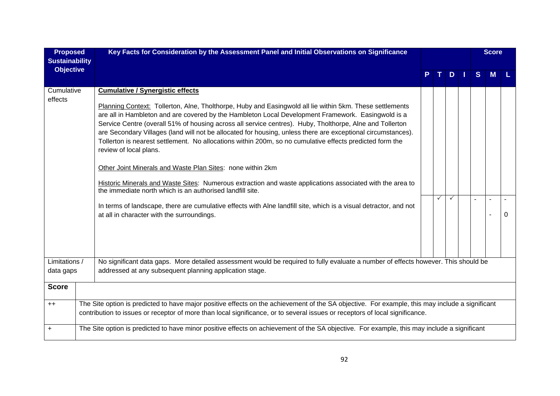| <b>Proposed</b><br><b>Sustainability</b> | Key Facts for Consideration by the Assessment Panel and Initial Observations on Significance                                                                                                                                                                                                                                                                                                                                                                                                                                                                                                                                                                                                                                                                                                                                                                                                                                                                                                                                           |   |                |   | <b>Score</b> |   |
|------------------------------------------|----------------------------------------------------------------------------------------------------------------------------------------------------------------------------------------------------------------------------------------------------------------------------------------------------------------------------------------------------------------------------------------------------------------------------------------------------------------------------------------------------------------------------------------------------------------------------------------------------------------------------------------------------------------------------------------------------------------------------------------------------------------------------------------------------------------------------------------------------------------------------------------------------------------------------------------------------------------------------------------------------------------------------------------|---|----------------|---|--------------|---|
| <b>Objective</b>                         |                                                                                                                                                                                                                                                                                                                                                                                                                                                                                                                                                                                                                                                                                                                                                                                                                                                                                                                                                                                                                                        |   | D <sub>1</sub> | S | м            |   |
| Cumulative<br>effects                    | <b>Cumulative / Synergistic effects</b><br>Planning Context: Tollerton, Alne, Tholthorpe, Huby and Easingwold all lie within 5km. These settlements<br>are all in Hambleton and are covered by the Hambleton Local Development Framework. Easingwold is a<br>Service Centre (overall 51% of housing across all service centres). Huby, Tholthorpe, Alne and Tollerton<br>are Secondary Villages (land will not be allocated for housing, unless there are exceptional circumstances).<br>Tollerton is nearest settlement. No allocations within 200m, so no cumulative effects predicted form the<br>review of local plans.<br>Other Joint Minerals and Waste Plan Sites: none within 2km<br>Historic Minerals and Waste Sites: Numerous extraction and waste applications associated with the area to<br>the immediate north which is an authorised landfill site.<br>In terms of landscape, there are cumulative effects with Alne landfill site, which is a visual detractor, and not<br>at all in character with the surroundings. | ✓ | ✓              |   |              | 0 |
| Limitations /<br>data gaps               | No significant data gaps. More detailed assessment would be required to fully evaluate a number of effects however. This should be<br>addressed at any subsequent planning application stage.                                                                                                                                                                                                                                                                                                                                                                                                                                                                                                                                                                                                                                                                                                                                                                                                                                          |   |                |   |              |   |
| <b>Score</b>                             |                                                                                                                                                                                                                                                                                                                                                                                                                                                                                                                                                                                                                                                                                                                                                                                                                                                                                                                                                                                                                                        |   |                |   |              |   |
| $++$                                     | The Site option is predicted to have major positive effects on the achievement of the SA objective. For example, this may include a significant<br>contribution to issues or receptor of more than local significance, or to several issues or receptors of local significance.                                                                                                                                                                                                                                                                                                                                                                                                                                                                                                                                                                                                                                                                                                                                                        |   |                |   |              |   |
| $\ddot{}$                                | The Site option is predicted to have minor positive effects on achievement of the SA objective. For example, this may include a significant                                                                                                                                                                                                                                                                                                                                                                                                                                                                                                                                                                                                                                                                                                                                                                                                                                                                                            |   |                |   |              |   |